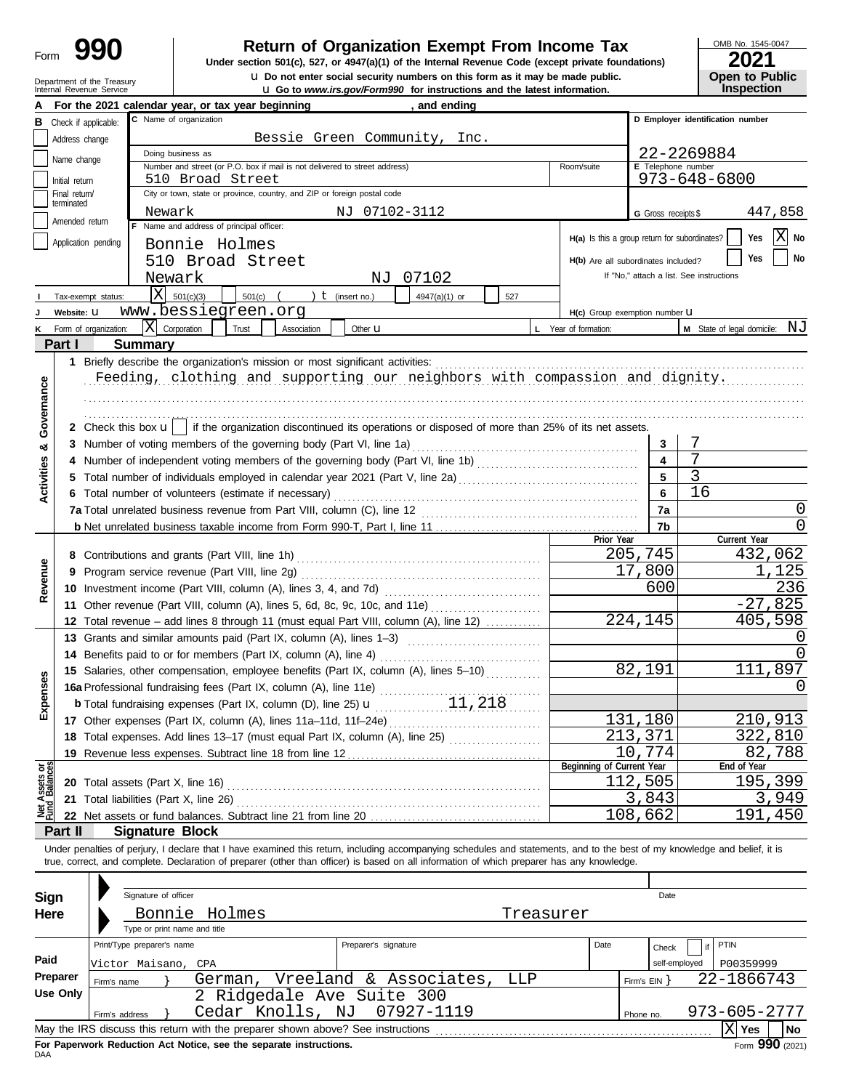# Department of the Treasury<br>Internal Revenue Service

### **C Return of Organization Exempt From Income Tax**

**u** Go to *www.irs.gov/Form990* for instructions and the latest information. **u** Do not enter social security numbers on this form as it may be made public. **Under section 501(c), 527, or 4947(a)(1) of the Internal Revenue Code (except private foundations)** OMB No. 1545-0047

| ZUZ I                 |  |
|-----------------------|--|
| <b>Open to Public</b> |  |
| <b>Inspection</b>     |  |

|                                |                             |                       | For the 2021 calendar year, or tax year beginning                                                                                                                          |                                                                            |                      | , and ending           |           |                                               |                         |                                          |              |              |
|--------------------------------|-----------------------------|-----------------------|----------------------------------------------------------------------------------------------------------------------------------------------------------------------------|----------------------------------------------------------------------------|----------------------|------------------------|-----------|-----------------------------------------------|-------------------------|------------------------------------------|--------------|--------------|
| в                              |                             | Check if applicable:  | C Name of organization                                                                                                                                                     |                                                                            |                      |                        |           |                                               |                         | D Employer identification number         |              |              |
|                                | Address change              |                       | Bessie Green Community, Inc.                                                                                                                                               |                                                                            |                      |                        |           |                                               |                         |                                          |              |              |
|                                | Name change                 |                       | 22-2269884<br>Doing business as                                                                                                                                            |                                                                            |                      |                        |           |                                               |                         |                                          |              |              |
|                                |                             |                       |                                                                                                                                                                            | Number and street (or P.O. box if mail is not delivered to street address) |                      |                        |           | Room/suite                                    | E Telephone number      |                                          |              |              |
|                                | Initial return              |                       | 510 Broad Street                                                                                                                                                           |                                                                            |                      |                        |           |                                               |                         | 973-648-6800                             |              |              |
|                                | Final return/<br>terminated |                       |                                                                                                                                                                            | City or town, state or province, country, and ZIP or foreign postal code   |                      |                        |           |                                               |                         |                                          |              |              |
|                                | Amended return              |                       | Newark                                                                                                                                                                     |                                                                            | NJ 07102-3112        |                        |           |                                               | G Gross receipts \$     |                                          |              | 447,858      |
|                                |                             |                       | F Name and address of principal officer:                                                                                                                                   |                                                                            |                      |                        |           | H(a) Is this a group return for subordinates? |                         |                                          | Yes          | X<br>No      |
|                                |                             | Application pending   | Bonnie Holmes                                                                                                                                                              |                                                                            |                      |                        |           |                                               |                         |                                          |              |              |
|                                |                             |                       | 510 Broad Street                                                                                                                                                           |                                                                            |                      |                        |           | H(b) Are all subordinates included?           |                         |                                          | Yes          | No           |
|                                |                             |                       | Newark                                                                                                                                                                     |                                                                            | NJ                   | 07102                  |           |                                               |                         | If "No," attach a list. See instructions |              |              |
|                                |                             | Tax-exempt status:    | X<br>501(c)(3)                                                                                                                                                             | 501(c)                                                                     | $t$ (insert no.)     | 4947(a)(1) or          | 527       |                                               |                         |                                          |              |              |
|                                | Website: U                  |                       | www.bessiegreen.org                                                                                                                                                        |                                                                            |                      |                        |           | H(c) Group exemption number U                 |                         |                                          |              |              |
|                                |                             | Form of organization: | X <br>Corporation                                                                                                                                                          | Association<br>Trust                                                       | Other $\mathbf u$    |                        |           | L Year of formation:                          |                         | M State of legal domicile: NJ            |              |              |
|                                | Part I                      |                       | <b>Summary</b>                                                                                                                                                             |                                                                            |                      |                        |           |                                               |                         |                                          |              |              |
|                                |                             |                       | 1 Briefly describe the organization's mission or most significant activities:                                                                                              |                                                                            |                      |                        |           |                                               |                         |                                          |              |              |
|                                |                             |                       | Feeding, clothing and supporting our neighbors with compassion and dignity.                                                                                                |                                                                            |                      |                        |           |                                               |                         |                                          |              |              |
|                                |                             |                       |                                                                                                                                                                            |                                                                            |                      |                        |           |                                               |                         |                                          |              |              |
| Governance                     |                             |                       |                                                                                                                                                                            |                                                                            |                      |                        |           |                                               |                         |                                          |              |              |
|                                |                             |                       | 2 Check this box $\mathbf{u}$   if the organization discontinued its operations or disposed of more than 25% of its net assets.                                            |                                                                            |                      |                        |           |                                               |                         |                                          |              |              |
| න්                             |                             |                       |                                                                                                                                                                            |                                                                            |                      |                        |           |                                               | 3                       | 7                                        |              |              |
|                                |                             |                       | 4 Number of independent voting members of the governing body (Part VI, line 1b) [11] [11] Number of independent voting members of the governing body (Part VI, line 1b)    |                                                                            |                      |                        |           |                                               | $\overline{\mathbf{4}}$ | 7                                        |              |              |
|                                |                             |                       |                                                                                                                                                                            |                                                                            |                      |                        |           |                                               | $5\phantom{a}$          | $\overline{3}$                           |              |              |
| Activities                     |                             |                       | 6 Total number of volunteers (estimate if necessary)                                                                                                                       |                                                                            |                      |                        |           |                                               | 6                       | 16                                       |              |              |
|                                |                             |                       |                                                                                                                                                                            |                                                                            |                      |                        |           |                                               | 7a                      |                                          |              | 0            |
|                                |                             |                       |                                                                                                                                                                            |                                                                            |                      |                        |           |                                               | 7b                      |                                          |              | $\Omega$     |
|                                |                             |                       |                                                                                                                                                                            |                                                                            |                      |                        |           | Prior Year                                    |                         |                                          | Current Year |              |
|                                |                             |                       |                                                                                                                                                                            |                                                                            |                      |                        |           |                                               | 205,745                 |                                          |              | 432,062      |
|                                |                             |                       | 9 Program service revenue (Part VIII, line 2g)                                                                                                                             |                                                                            |                      |                        |           |                                               | 17,800                  |                                          |              | 1,125        |
| Revenue                        |                             |                       |                                                                                                                                                                            |                                                                            |                      |                        |           |                                               | 600                     |                                          |              | 236          |
|                                |                             |                       | 11 Other revenue (Part VIII, column (A), lines 5, 6d, 8c, 9c, 10c, and 11e)                                                                                                |                                                                            |                      |                        |           |                                               |                         |                                          |              | $-27,825$    |
|                                |                             |                       | 12 Total revenue - add lines 8 through 11 (must equal Part VIII, column (A), line 12)                                                                                      |                                                                            |                      |                        |           |                                               | $\overline{224}$ , 145  |                                          |              | 405,598      |
|                                |                             |                       | 13 Grants and similar amounts paid (Part IX, column (A), lines 1-3)                                                                                                        |                                                                            |                      |                        |           |                                               |                         |                                          |              | O            |
|                                |                             |                       | 14 Benefits paid to or for members (Part IX, column (A), line 4)                                                                                                           |                                                                            |                      |                        |           |                                               |                         |                                          |              | <sup>0</sup> |
|                                |                             |                       | 15 Salaries, other compensation, employee benefits (Part IX, column (A), lines 5-10)                                                                                       |                                                                            |                      |                        |           |                                               | 82,191                  |                                          | 111,897      |              |
|                                |                             |                       | 16a Professional fundraising fees (Part IX, column (A), line 11e)                                                                                                          |                                                                            |                      |                        |           |                                               |                         |                                          |              | 0            |
| kpenses                        |                             |                       | <b>b</b> Total fundraising expenses (Part IX, column (D), line 25) <b>u</b>                                                                                                |                                                                            |                      | 11,218                 |           |                                               |                         |                                          |              |              |
| ш                              |                             |                       | 17 Other expenses (Part IX, column (A), lines 11a-11d, 11f-24e)                                                                                                            |                                                                            |                      |                        |           |                                               | 131,180                 |                                          | 210,913      |              |
|                                |                             |                       | 18 Total expenses. Add lines 13-17 (must equal Part IX, column (A), line 25) [                                                                                             |                                                                            |                      |                        |           |                                               | 213,371                 |                                          |              | 322,810      |
|                                |                             |                       | 19 Revenue less expenses. Subtract line 18 from line 12                                                                                                                    |                                                                            |                      |                        |           |                                               | 10,774                  |                                          |              | 82,788       |
|                                |                             |                       |                                                                                                                                                                            |                                                                            |                      |                        |           | Beginning of Current Year                     |                         |                                          | End of Year  |              |
| Net Assets or<br>Fund Balances |                             |                       | 20 Total assets (Part X, line 16) <b>CONVERTED ASSETS</b>                                                                                                                  |                                                                            |                      |                        |           |                                               | 112,505                 |                                          |              | 195,399      |
|                                |                             |                       | 21 Total liabilities (Part X, line 26) Mathematic et al. (26) Mathematic et al. (26)                                                                                       |                                                                            |                      |                        |           |                                               | 3,843                   |                                          |              | 3,949        |
|                                |                             |                       |                                                                                                                                                                            |                                                                            |                      |                        |           |                                               | 108,662                 |                                          | 191,450      |              |
|                                | Part II                     |                       | <b>Signature Block</b>                                                                                                                                                     |                                                                            |                      |                        |           |                                               |                         |                                          |              |              |
|                                |                             |                       | Under penalties of perjury, I declare that I have examined this return, including accompanying schedules and statements, and to the best of my knowledge and belief, it is |                                                                            |                      |                        |           |                                               |                         |                                          |              |              |
|                                |                             |                       | true, correct, and complete. Declaration of preparer (other than officer) is based on all information of which preparer has any knowledge.                                 |                                                                            |                      |                        |           |                                               |                         |                                          |              |              |
|                                |                             |                       |                                                                                                                                                                            |                                                                            |                      |                        |           |                                               |                         |                                          |              |              |
| <b>Sign</b>                    |                             |                       | Signature of officer                                                                                                                                                       |                                                                            |                      |                        |           |                                               | Date                    |                                          |              |              |
| Here                           |                             |                       | Bonnie Holmes                                                                                                                                                              |                                                                            |                      |                        | Treasurer |                                               |                         |                                          |              |              |
|                                |                             |                       | Type or print name and title                                                                                                                                               |                                                                            |                      |                        |           |                                               |                         |                                          |              |              |
|                                |                             |                       | Print/Type preparer's name                                                                                                                                                 |                                                                            | Preparer's signature |                        |           | Date                                          | Check                   |                                          | PTIN         |              |
| Paid                           |                             |                       | Victor Maisano, CPA                                                                                                                                                        |                                                                            |                      |                        |           |                                               |                         | self-employed                            | P00359999    |              |
|                                | Preparer                    | Firm's name           | German,                                                                                                                                                                    |                                                                            |                      | Vreeland & Associates, | LLP       |                                               | Firm's $EIN$ }          |                                          | 22-1866743   |              |
|                                | <b>Use Only</b>             |                       |                                                                                                                                                                            | 2 Ridgedale Ave Suite 300                                                  |                      |                        |           |                                               |                         |                                          |              |              |
|                                |                             | Firm's address        |                                                                                                                                                                            | Cedar Knolls, NJ                                                           |                      | 07927-1119             |           |                                               | Phone no.               |                                          | 973-605-2777 |              |
|                                |                             |                       | May the IRS discuss this return with the preparer shown above? See instructions                                                                                            |                                                                            |                      |                        |           |                                               |                         |                                          | $ X $ Yes    | No           |

| Sign     | Signature of officer       |                                                                                                                                                                                                                                |                                                                                 |           |      |              | Date          |              |      |
|----------|----------------------------|--------------------------------------------------------------------------------------------------------------------------------------------------------------------------------------------------------------------------------|---------------------------------------------------------------------------------|-----------|------|--------------|---------------|--------------|------|
| Here     |                            | Bonnie Holmes                                                                                                                                                                                                                  |                                                                                 | Treasurer |      |              |               |              |      |
|          |                            | Type or print name and title                                                                                                                                                                                                   |                                                                                 |           |      |              |               |              |      |
|          | Print/Type preparer's name |                                                                                                                                                                                                                                | Preparer's signature                                                            |           | Date | Check        | if            | PTIN         |      |
| Paid     | Victor Maisano, CPA        |                                                                                                                                                                                                                                |                                                                                 |           |      |              | self-employed | P00359999    |      |
| Preparer | Firm's name                |                                                                                                                                                                                                                                | German, Vreeland & Associates,                                                  | LLP       |      | Firm's $EIN$ |               | 22-1866743   |      |
| Use Only |                            |                                                                                                                                                                                                                                | 2 Ridgedale Ave Suite 300                                                       |           |      |              |               |              |      |
|          | Firm's address             |                                                                                                                                                                                                                                | Cedar Knolls, NJ 07927-1119                                                     |           |      | Phone no.    |               | 973-605-2777 |      |
|          |                            |                                                                                                                                                                                                                                | May the IRS discuss this return with the preparer shown above? See instructions |           |      |              |               | .X∣ Yes      | No   |
|          |                            | First Floor construct Floor Hotel Control and Alleged and Control and Controlled Association of the American Control of the American Control of the American Control of the American Control of the American Control of the Am |                                                                                 |           |      |              |               |              | nnn. |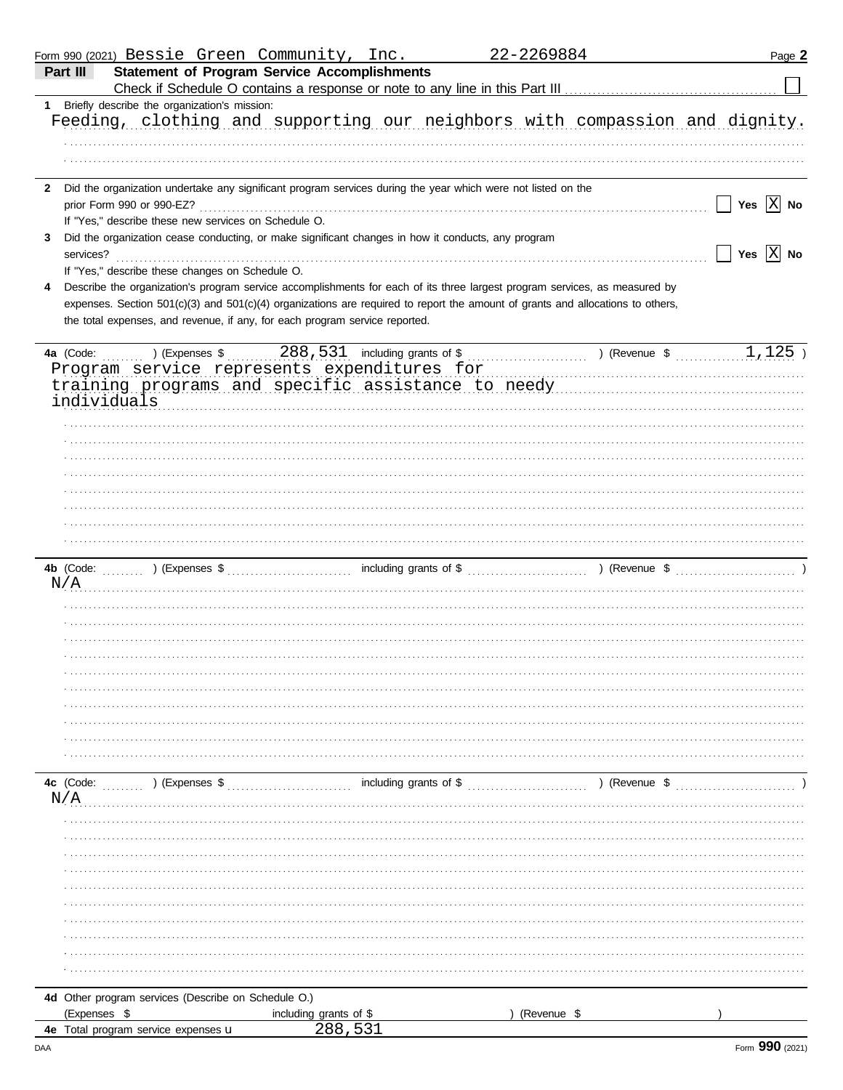|   |              | Form 990 (2021) Bessie Green Community, Inc.                                      |                |                        |                                                                                                                | 22-2269884 |                                                                                                                                | Page 2                |
|---|--------------|-----------------------------------------------------------------------------------|----------------|------------------------|----------------------------------------------------------------------------------------------------------------|------------|--------------------------------------------------------------------------------------------------------------------------------|-----------------------|
|   | Part III     |                                                                                   |                |                        | <b>Statement of Program Service Accomplishments</b>                                                            |            |                                                                                                                                |                       |
|   |              |                                                                                   |                |                        |                                                                                                                |            |                                                                                                                                |                       |
|   |              | 1 Briefly describe the organization's mission:                                    |                |                        |                                                                                                                |            |                                                                                                                                |                       |
|   |              |                                                                                   |                |                        |                                                                                                                |            | Feeding, clothing and supporting our neighbors with compassion and dignity.                                                    |                       |
|   |              |                                                                                   |                |                        |                                                                                                                |            |                                                                                                                                |                       |
|   |              |                                                                                   |                |                        |                                                                                                                |            |                                                                                                                                |                       |
|   |              |                                                                                   |                |                        |                                                                                                                |            |                                                                                                                                |                       |
|   |              |                                                                                   |                |                        | 2 Did the organization undertake any significant program services during the year which were not listed on the |            |                                                                                                                                | Yes $ X $ No          |
|   |              | prior Form 990 or 990-EZ?<br>If "Yes," describe these new services on Schedule O. |                |                        |                                                                                                                |            |                                                                                                                                |                       |
| 3 |              |                                                                                   |                |                        | Did the organization cease conducting, or make significant changes in how it conducts, any program             |            |                                                                                                                                |                       |
|   | services?    |                                                                                   |                |                        |                                                                                                                |            |                                                                                                                                | Yes $\overline{X}$ No |
|   |              | If "Yes," describe these changes on Schedule O.                                   |                |                        |                                                                                                                |            |                                                                                                                                |                       |
| 4 |              |                                                                                   |                |                        |                                                                                                                |            | Describe the organization's program service accomplishments for each of its three largest program services, as measured by     |                       |
|   |              |                                                                                   |                |                        |                                                                                                                |            | expenses. Section 501(c)(3) and 501(c)(4) organizations are required to report the amount of grants and allocations to others, |                       |
|   |              |                                                                                   |                |                        | the total expenses, and revenue, if any, for each program service reported.                                    |            |                                                                                                                                |                       |
|   |              |                                                                                   |                |                        |                                                                                                                |            |                                                                                                                                |                       |
|   | 4a (Code:    |                                                                                   |                |                        |                                                                                                                |            |                                                                                                                                |                       |
|   |              |                                                                                   |                |                        | Program service represents expenditures for                                                                    |            |                                                                                                                                |                       |
|   |              |                                                                                   |                |                        |                                                                                                                |            | training programs and specific assistance to needy manuscrimon and specific assistance to needy                                |                       |
|   | individuals  |                                                                                   |                |                        |                                                                                                                |            |                                                                                                                                |                       |
|   |              |                                                                                   |                |                        |                                                                                                                |            |                                                                                                                                |                       |
|   |              |                                                                                   |                |                        |                                                                                                                |            |                                                                                                                                |                       |
|   |              |                                                                                   |                |                        |                                                                                                                |            |                                                                                                                                |                       |
|   |              |                                                                                   |                |                        |                                                                                                                |            |                                                                                                                                |                       |
|   |              |                                                                                   |                |                        |                                                                                                                |            |                                                                                                                                |                       |
|   |              |                                                                                   |                |                        |                                                                                                                |            |                                                                                                                                |                       |
|   |              |                                                                                   |                |                        |                                                                                                                |            |                                                                                                                                |                       |
|   |              |                                                                                   |                |                        |                                                                                                                |            |                                                                                                                                |                       |
|   |              |                                                                                   |                |                        |                                                                                                                |            |                                                                                                                                |                       |
|   |              |                                                                                   |                |                        |                                                                                                                |            |                                                                                                                                |                       |
|   | N/A          |                                                                                   |                |                        |                                                                                                                |            |                                                                                                                                |                       |
|   |              |                                                                                   |                |                        |                                                                                                                |            |                                                                                                                                |                       |
|   |              |                                                                                   |                |                        |                                                                                                                |            |                                                                                                                                |                       |
|   |              |                                                                                   |                |                        |                                                                                                                |            |                                                                                                                                |                       |
|   |              |                                                                                   |                |                        |                                                                                                                |            |                                                                                                                                |                       |
|   |              |                                                                                   |                |                        |                                                                                                                |            |                                                                                                                                |                       |
|   |              |                                                                                   |                |                        |                                                                                                                |            |                                                                                                                                |                       |
|   |              |                                                                                   |                |                        |                                                                                                                |            |                                                                                                                                |                       |
|   |              |                                                                                   |                |                        |                                                                                                                |            |                                                                                                                                |                       |
|   |              |                                                                                   |                |                        |                                                                                                                |            |                                                                                                                                |                       |
|   |              |                                                                                   |                |                        |                                                                                                                |            |                                                                                                                                |                       |
|   | 4c (Code:    |                                                                                   | ) (Expenses \$ |                        |                                                                                                                |            | ) (Revenue \$                                                                                                                  |                       |
|   | N/A          |                                                                                   |                |                        |                                                                                                                |            |                                                                                                                                |                       |
|   |              |                                                                                   |                |                        |                                                                                                                |            |                                                                                                                                |                       |
|   |              |                                                                                   |                |                        |                                                                                                                |            |                                                                                                                                |                       |
|   |              |                                                                                   |                |                        |                                                                                                                |            |                                                                                                                                |                       |
|   |              |                                                                                   |                |                        |                                                                                                                |            |                                                                                                                                |                       |
|   |              |                                                                                   |                |                        |                                                                                                                |            |                                                                                                                                |                       |
|   |              |                                                                                   |                |                        |                                                                                                                |            |                                                                                                                                |                       |
|   |              |                                                                                   |                |                        |                                                                                                                |            |                                                                                                                                |                       |
|   |              |                                                                                   |                |                        |                                                                                                                |            |                                                                                                                                |                       |
|   |              |                                                                                   |                |                        |                                                                                                                |            |                                                                                                                                |                       |
|   |              |                                                                                   |                |                        |                                                                                                                |            |                                                                                                                                |                       |
|   |              |                                                                                   |                |                        |                                                                                                                |            |                                                                                                                                |                       |
|   |              | 4d Other program services (Describe on Schedule O.)                               |                |                        |                                                                                                                |            |                                                                                                                                |                       |
|   | (Expenses \$ |                                                                                   |                | including grants of \$ |                                                                                                                |            | (Revenue \$                                                                                                                    |                       |
|   |              | 4e Total program service expenses u                                               |                | 288,531                |                                                                                                                |            |                                                                                                                                |                       |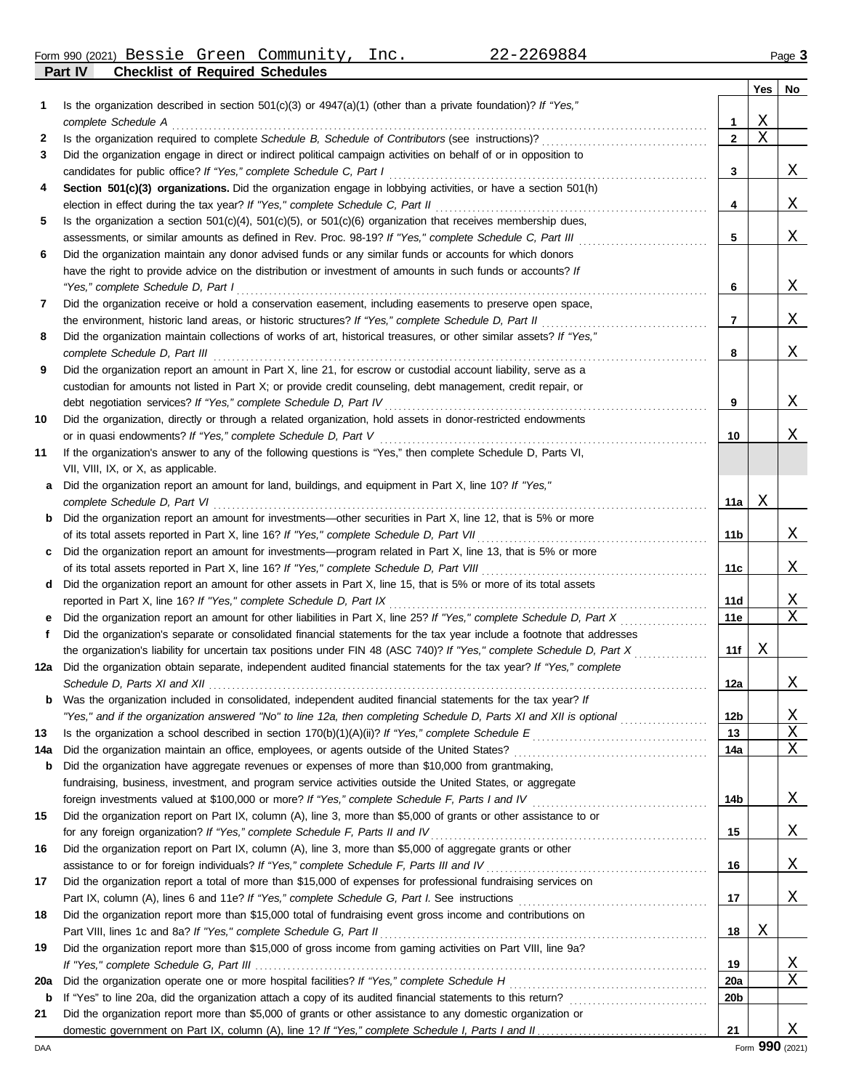Form 990 (2021) Page **3** Bessie Green Community, Inc. 22-2269884

**Part IV Checklist of Required Schedules**

|     |                                                                                                                                                                                                 |                 | Yes         | No       |
|-----|-------------------------------------------------------------------------------------------------------------------------------------------------------------------------------------------------|-----------------|-------------|----------|
| 1   | Is the organization described in section $501(c)(3)$ or $4947(a)(1)$ (other than a private foundation)? If "Yes,"                                                                               |                 |             |          |
|     | complete Schedule A                                                                                                                                                                             | 1               | $\mathbf X$ |          |
| 2   |                                                                                                                                                                                                 | $\mathbf{2}$    | $\mathbf X$ |          |
| З   | Did the organization engage in direct or indirect political campaign activities on behalf of or in opposition to                                                                                |                 |             |          |
|     | candidates for public office? If "Yes," complete Schedule C, Part I                                                                                                                             | 3               |             | Χ        |
| 4   | Section 501(c)(3) organizations. Did the organization engage in lobbying activities, or have a section 501(h)<br>election in effect during the tax year? If "Yes," complete Schedule C, Part II | 4               |             | Χ        |
| 5   | Is the organization a section $501(c)(4)$ , $501(c)(5)$ , or $501(c)(6)$ organization that receives membership dues,                                                                            |                 |             |          |
|     | assessments, or similar amounts as defined in Rev. Proc. 98-19? If "Yes," complete Schedule C, Part III                                                                                         | 5               |             | Χ        |
| 6   | Did the organization maintain any donor advised funds or any similar funds or accounts for which donors                                                                                         |                 |             |          |
|     | have the right to provide advice on the distribution or investment of amounts in such funds or accounts? If                                                                                     |                 |             |          |
|     | "Yes," complete Schedule D, Part I                                                                                                                                                              | 6               |             | Χ        |
| 7   | Did the organization receive or hold a conservation easement, including easements to preserve open space,                                                                                       |                 |             |          |
|     | the environment, historic land areas, or historic structures? If "Yes," complete Schedule D, Part II                                                                                            | 7               |             | Χ        |
| 8   | Did the organization maintain collections of works of art, historical treasures, or other similar assets? If "Yes,"                                                                             |                 |             |          |
|     | complete Schedule D, Part III                                                                                                                                                                   | 8               |             | Χ        |
| 9   | Did the organization report an amount in Part X, line 21, for escrow or custodial account liability, serve as a                                                                                 |                 |             |          |
|     | custodian for amounts not listed in Part X; or provide credit counseling, debt management, credit repair, or                                                                                    |                 |             |          |
|     | debt negotiation services? If "Yes," complete Schedule D, Part IV                                                                                                                               | 9               |             | Χ        |
| 10  | Did the organization, directly or through a related organization, hold assets in donor-restricted endowments                                                                                    |                 |             |          |
|     | or in quasi endowments? If "Yes," complete Schedule D, Part V                                                                                                                                   | 10              |             | Χ        |
| 11  | If the organization's answer to any of the following questions is "Yes," then complete Schedule D, Parts VI,<br>VII, VIII, IX, or X, as applicable.                                             |                 |             |          |
| a   | Did the organization report an amount for land, buildings, and equipment in Part X, line 10? If "Yes,"                                                                                          |                 |             |          |
|     | complete Schedule D, Part VI                                                                                                                                                                    | 11a             | Χ           |          |
| b   | Did the organization report an amount for investments—other securities in Part X, line 12, that is 5% or more                                                                                   |                 |             |          |
|     | of its total assets reported in Part X, line 16? If "Yes," complete Schedule D, Part VII                                                                                                        | 11b             |             | Χ        |
|     | Did the organization report an amount for investments—program related in Part X, line 13, that is 5% or more                                                                                    |                 |             |          |
|     | of its total assets reported in Part X, line 16? If "Yes," complete Schedule D, Part VIII                                                                                                       | 11c             |             | Χ        |
| d   | Did the organization report an amount for other assets in Part X, line 15, that is 5% or more of its total assets                                                                               |                 |             |          |
|     | reported in Part X, line 16? If "Yes," complete Schedule D, Part IX                                                                                                                             | 11d             |             | <u>X</u> |
| е   |                                                                                                                                                                                                 | 11e             |             | X        |
| f   | Did the organization's separate or consolidated financial statements for the tax year include a footnote that addresses                                                                         |                 |             |          |
|     | the organization's liability for uncertain tax positions under FIN 48 (ASC 740)? If "Yes," complete Schedule D, Part X                                                                          | 11f             | Χ           |          |
| 12a | Did the organization obtain separate, independent audited financial statements for the tax year? If "Yes," complete<br>Schedule D, Parts XI and XII                                             | 12a             |             | Χ        |
|     | <b>b</b> Was the organization included in consolidated, independent audited financial statements for the tax year? If                                                                           |                 |             |          |
|     | "Yes," and if the organization answered "No" to line 12a, then completing Schedule D, Parts XI and XII is optional                                                                              | 12 <sub>b</sub> |             | <u>X</u> |
| 13  |                                                                                                                                                                                                 | 13              |             | Χ        |
| 14a |                                                                                                                                                                                                 | 14a             |             | Χ        |
| b   | Did the organization have aggregate revenues or expenses of more than \$10,000 from grantmaking,                                                                                                |                 |             |          |
|     | fundraising, business, investment, and program service activities outside the United States, or aggregate                                                                                       |                 |             |          |
|     |                                                                                                                                                                                                 | 14b             |             | <u>X</u> |
| 15  | Did the organization report on Part IX, column (A), line 3, more than \$5,000 of grants or other assistance to or                                                                               |                 |             |          |
|     | for any foreign organization? If "Yes," complete Schedule F, Parts II and IV                                                                                                                    | 15              |             | <u>X</u> |
| 16  | Did the organization report on Part IX, column (A), line 3, more than \$5,000 of aggregate grants or other                                                                                      |                 |             |          |
|     | assistance to or for foreign individuals? If "Yes," complete Schedule F, Parts III and IV [[[[[[[[[[[[[[[[[[[                                                                                   | 16              |             | <u>X</u> |
| 17  | Did the organization report a total of more than \$15,000 of expenses for professional fundraising services on                                                                                  |                 |             |          |
|     |                                                                                                                                                                                                 | 17              |             | X        |
| 18  | Did the organization report more than \$15,000 total of fundraising event gross income and contributions on                                                                                     | 18              | Χ           |          |
| 19  | Did the organization report more than \$15,000 of gross income from gaming activities on Part VIII, line 9a?                                                                                    |                 |             |          |
|     |                                                                                                                                                                                                 | 19              |             | <u>X</u> |
| 20a |                                                                                                                                                                                                 | <b>20a</b>      |             | Χ        |
| b   |                                                                                                                                                                                                 | 20 <sub>b</sub> |             |          |
| 21  | Did the organization report more than \$5,000 of grants or other assistance to any domestic organization or                                                                                     |                 |             |          |
|     |                                                                                                                                                                                                 | 21              |             | Χ        |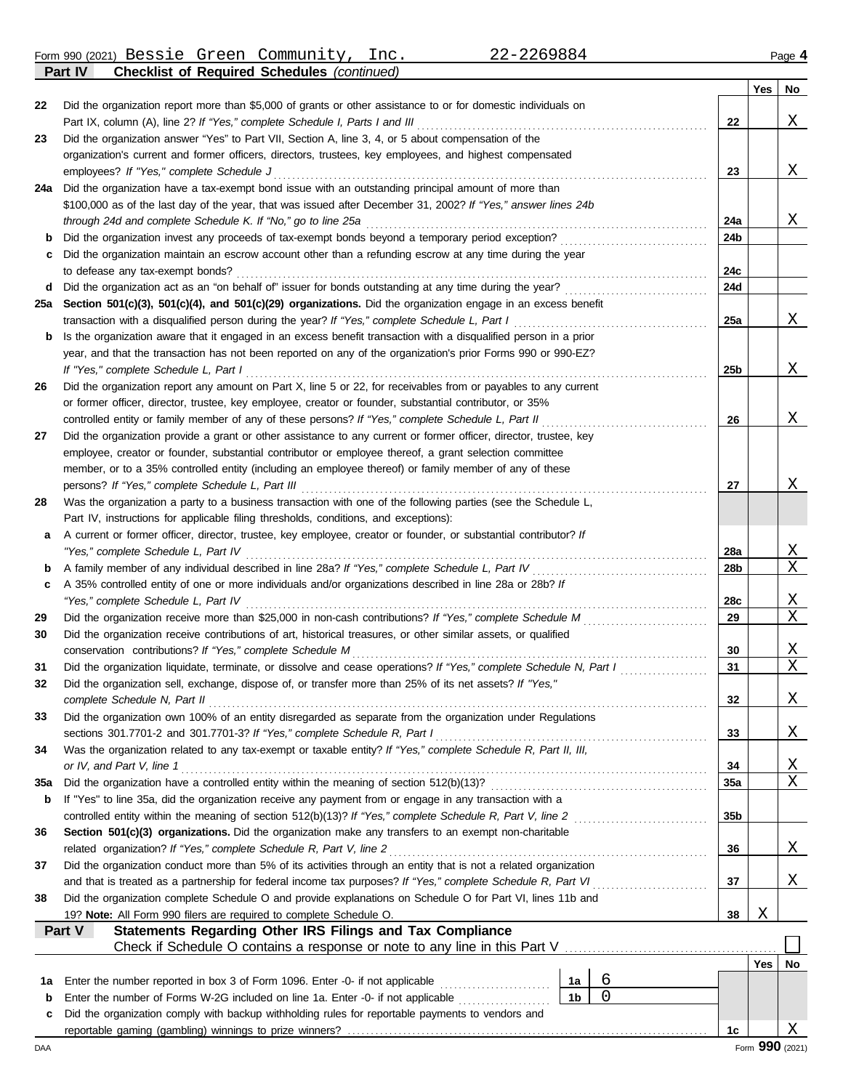Form 990 (2021) Page **4 Part IV Checklist of Required Schedules** *(continued)* Bessie Green Community, Inc. 22-2269884

|        |                                                                                                                                                                             |    |                |                        | <b>Yes</b> | No              |
|--------|-----------------------------------------------------------------------------------------------------------------------------------------------------------------------------|----|----------------|------------------------|------------|-----------------|
| 22     | Did the organization report more than \$5,000 of grants or other assistance to or for domestic individuals on                                                               |    |                |                        |            |                 |
|        | Part IX, column (A), line 2? If "Yes," complete Schedule I, Parts I and III                                                                                                 |    |                | 22                     |            | Χ               |
| 23     | Did the organization answer "Yes" to Part VII, Section A, line 3, 4, or 5 about compensation of the                                                                         |    |                |                        |            |                 |
|        | organization's current and former officers, directors, trustees, key employees, and highest compensated                                                                     |    |                |                        |            |                 |
|        | employees? If "Yes," complete Schedule J                                                                                                                                    |    |                | 23                     |            | X               |
| 24a    | Did the organization have a tax-exempt bond issue with an outstanding principal amount of more than                                                                         |    |                |                        |            |                 |
|        | \$100,000 as of the last day of the year, that was issued after December 31, 2002? If "Yes," answer lines 24b                                                               |    |                |                        |            |                 |
|        |                                                                                                                                                                             |    |                | 24a                    |            | X               |
| b      | Did the organization invest any proceeds of tax-exempt bonds beyond a temporary period exception?                                                                           |    |                | 24b                    |            |                 |
| c      | Did the organization maintain an escrow account other than a refunding escrow at any time during the year<br>to defease any tax-exempt bonds?                               |    |                | 24c                    |            |                 |
| d      |                                                                                                                                                                             |    |                | 24d                    |            |                 |
| 25a    | Section 501(c)(3), 501(c)(4), and 501(c)(29) organizations. Did the organization engage in an excess benefit                                                                |    |                |                        |            |                 |
|        | transaction with a disqualified person during the year? If "Yes," complete Schedule L, Part I                                                                               |    |                | 25a                    |            | X               |
| b      | Is the organization aware that it engaged in an excess benefit transaction with a disqualified person in a prior                                                            |    |                |                        |            |                 |
|        | year, and that the transaction has not been reported on any of the organization's prior Forms 990 or 990-EZ?                                                                |    |                |                        |            |                 |
|        | If "Yes," complete Schedule L, Part I                                                                                                                                       |    |                | 25b                    |            | Χ               |
| 26     | Did the organization report any amount on Part X, line 5 or 22, for receivables from or payables to any current                                                             |    |                |                        |            |                 |
|        | or former officer, director, trustee, key employee, creator or founder, substantial contributor, or 35%                                                                     |    |                |                        |            |                 |
|        | controlled entity or family member of any of these persons? If "Yes," complete Schedule L, Part II                                                                          |    |                | 26                     |            | Χ               |
| 27     | Did the organization provide a grant or other assistance to any current or former officer, director, trustee, key                                                           |    |                |                        |            |                 |
|        | employee, creator or founder, substantial contributor or employee thereof, a grant selection committee                                                                      |    |                |                        |            |                 |
|        | member, or to a 35% controlled entity (including an employee thereof) or family member of any of these                                                                      |    |                |                        |            |                 |
|        | persons? If "Yes," complete Schedule L, Part III                                                                                                                            |    |                | 27                     |            | Χ               |
| 28     | Was the organization a party to a business transaction with one of the following parties (see the Schedule L,                                                               |    |                |                        |            |                 |
|        | Part IV, instructions for applicable filing thresholds, conditions, and exceptions):                                                                                        |    |                |                        |            |                 |
| a      | A current or former officer, director, trustee, key employee, creator or founder, or substantial contributor? If                                                            |    |                |                        |            |                 |
|        | "Yes," complete Schedule L, Part IV                                                                                                                                         |    |                | 28a<br>28 <sub>b</sub> |            | X<br>X          |
| b<br>c | A 35% controlled entity of one or more individuals and/or organizations described in line 28a or 28b? If                                                                    |    |                |                        |            |                 |
|        | "Yes," complete Schedule L, Part IV                                                                                                                                         |    |                | 28c                    |            | X               |
| 29     |                                                                                                                                                                             |    |                | 29                     |            | X               |
| 30     | Did the organization receive contributions of art, historical treasures, or other similar assets, or qualified                                                              |    |                |                        |            |                 |
|        | conservation contributions? If "Yes," complete Schedule M                                                                                                                   |    |                | 30                     |            | X               |
| 31     | Did the organization liquidate, terminate, or dissolve and cease operations? If "Yes," complete Schedule N, Part I                                                          |    |                | 31                     |            | Χ               |
| 32     | Did the organization sell, exchange, dispose of, or transfer more than 25% of its net assets? If "Yes,"                                                                     |    |                |                        |            |                 |
|        | complete Schedule N, Part II                                                                                                                                                |    |                | 32                     |            | Χ               |
| 33     | Did the organization own 100% of an entity disregarded as separate from the organization under Regulations                                                                  |    |                |                        |            |                 |
|        | sections 301.7701-2 and 301.7701-3? If "Yes," complete Schedule R, Part I                                                                                                   |    |                | 33                     |            | X               |
| 34     | Was the organization related to any tax-exempt or taxable entity? If "Yes," complete Schedule R, Part II, III,                                                              |    |                |                        |            |                 |
|        | or IV, and Part V, line 1                                                                                                                                                   |    |                | 34                     |            | X               |
| 35a    |                                                                                                                                                                             |    |                | <b>35a</b>             |            | Χ               |
| b      | If "Yes" to line 35a, did the organization receive any payment from or engage in any transaction with a                                                                     |    |                |                        |            |                 |
|        |                                                                                                                                                                             |    |                | 35 <sub>b</sub>        |            |                 |
| 36     | Section 501(c)(3) organizations. Did the organization make any transfers to an exempt non-charitable<br>related organization? If "Yes," complete Schedule R, Part V, line 2 |    |                | 36                     |            | X               |
| 37     | Did the organization conduct more than 5% of its activities through an entity that is not a related organization                                                            |    |                |                        |            |                 |
|        |                                                                                                                                                                             |    |                | 37                     |            | X               |
| 38     | Did the organization complete Schedule O and provide explanations on Schedule O for Part VI, lines 11b and                                                                  |    |                |                        |            |                 |
|        | 19? Note: All Form 990 filers are required to complete Schedule O.                                                                                                          |    |                | 38                     | Χ          |                 |
|        | Statements Regarding Other IRS Filings and Tax Compliance<br>Part V                                                                                                         |    |                |                        |            |                 |
|        | Check if Schedule O contains a response or note to any line in this Part V                                                                                                  |    |                |                        |            |                 |
|        |                                                                                                                                                                             |    |                |                        | Yes        | No              |
| 1а     | Enter the number reported in box 3 of Form 1096. Enter -0- if not applicable [                                                                                              | 1а | 6              |                        |            |                 |
| b      | Enter the number of Forms W-2G included on line 1a. Enter -0- if not applicable [1] [1] [1] Enter the number of Forms                                                       | 1b | $\overline{0}$ |                        |            |                 |
| c      | Did the organization comply with backup withholding rules for reportable payments to vendors and                                                                            |    |                |                        |            |                 |
|        |                                                                                                                                                                             |    |                | 1c                     |            | Χ               |
| DAA    |                                                                                                                                                                             |    |                |                        |            | Form 990 (2021) |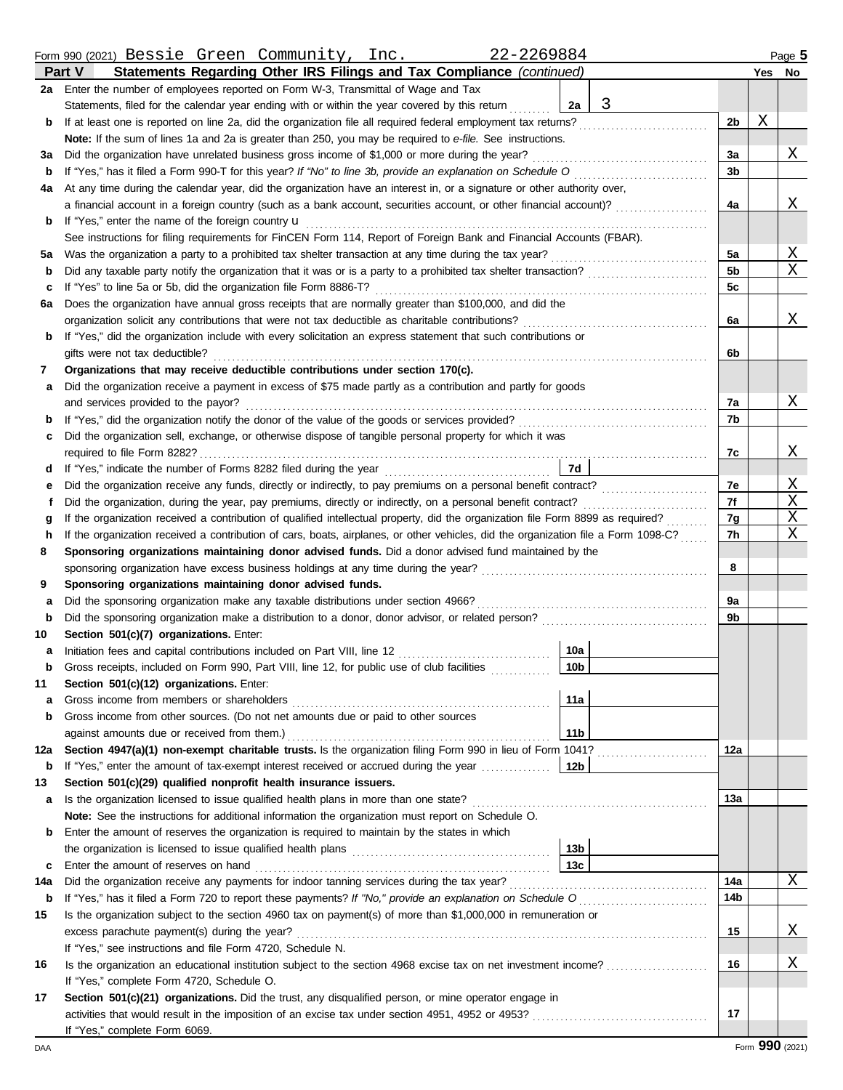|     | Form 990 (2021) Bessie Green Community, Inc.<br>22-2269884                                                                         |                 |   |                |        | Page 5 |
|-----|------------------------------------------------------------------------------------------------------------------------------------|-----------------|---|----------------|--------|--------|
|     | Statements Regarding Other IRS Filings and Tax Compliance (continued)<br><b>Part V</b>                                             |                 |   |                | Yes No |        |
| 2a  | Enter the number of employees reported on Form W-3, Transmittal of Wage and Tax                                                    |                 |   |                |        |        |
|     | Statements, filed for the calendar year ending with or within the year covered by this return                                      | 2a              | 3 |                |        |        |
| b   | If at least one is reported on line 2a, did the organization file all required federal employment tax returns?                     |                 |   | 2 <sub>b</sub> | Χ      |        |
|     | Note: If the sum of lines 1a and 2a is greater than 250, you may be required to e-file. See instructions.                          |                 |   |                |        |        |
| за  | Did the organization have unrelated business gross income of \$1,000 or more during the year?                                      |                 |   | 3a             |        | Χ      |
| b   | If "Yes," has it filed a Form 990-T for this year? If "No" to line 3b, provide an explanation on Schedule O                        |                 |   | 3b             |        |        |
| 4a  | At any time during the calendar year, did the organization have an interest in, or a signature or other authority over,            |                 |   |                |        |        |
|     | a financial account in a foreign country (such as a bank account, securities account, or other financial account)?                 |                 |   | 4a             |        | Χ      |
| b   | If "Yes," enter the name of the foreign country <b>u</b>                                                                           |                 |   |                |        |        |
|     | See instructions for filing requirements for FinCEN Form 114, Report of Foreign Bank and Financial Accounts (FBAR).                |                 |   |                |        |        |
| 5а  | Was the organization a party to a prohibited tax shelter transaction at any time during the tax year?                              |                 |   | 5a             |        | Χ      |
| b   |                                                                                                                                    |                 |   | 5b             |        | Χ      |
| с   | If "Yes" to line 5a or 5b, did the organization file Form 8886-T?                                                                  |                 |   | 5c             |        |        |
| 6а  | Does the organization have annual gross receipts that are normally greater than \$100,000, and did the                             |                 |   |                |        |        |
|     | organization solicit any contributions that were not tax deductible as charitable contributions?                                   |                 |   | 6a             |        | Χ      |
| b   | If "Yes," did the organization include with every solicitation an express statement that such contributions or                     |                 |   |                |        |        |
|     | gifts were not tax deductible?                                                                                                     |                 |   | 6b             |        |        |
| 7   | Organizations that may receive deductible contributions under section 170(c).                                                      |                 |   |                |        |        |
| а   | Did the organization receive a payment in excess of \$75 made partly as a contribution and partly for goods                        |                 |   |                |        |        |
|     | and services provided to the payor?                                                                                                |                 |   | 7a             |        | Χ      |
| b   |                                                                                                                                    |                 |   | 7b             |        |        |
| c   | Did the organization sell, exchange, or otherwise dispose of tangible personal property for which it was                           |                 |   |                |        |        |
|     | required to file Form 8282?                                                                                                        |                 |   | 7c             |        | Χ      |
| d   |                                                                                                                                    | 7d              |   |                |        |        |
| е   |                                                                                                                                    |                 |   | 7e             |        | Χ      |
| f   | Did the organization, during the year, pay premiums, directly or indirectly, on a personal benefit contract?                       |                 |   | 7f             |        | Χ      |
| g   | If the organization received a contribution of qualified intellectual property, did the organization file Form 8899 as required?   |                 |   | 7g             |        | Χ      |
| h   | If the organization received a contribution of cars, boats, airplanes, or other vehicles, did the organization file a Form 1098-C? |                 |   | 7h             |        | Χ      |
| 8   | Sponsoring organizations maintaining donor advised funds. Did a donor advised fund maintained by the                               |                 |   |                |        |        |
|     | sponsoring organization have excess business holdings at any time during the year?                                                 |                 |   | 8              |        |        |
| 9   | Sponsoring organizations maintaining donor advised funds.                                                                          |                 |   |                |        |        |
| а   | Did the sponsoring organization make any taxable distributions under section 4966?                                                 |                 |   | 9a             |        |        |
| b   |                                                                                                                                    |                 |   | 9b             |        |        |
| 10  | Section 501(c)(7) organizations. Enter:                                                                                            |                 |   |                |        |        |
| a   | Initiation fees and capital contributions included on Part VIII, line 12 [11] [11] [12] [11] [12] [11] [12] [1                     | 10a             |   |                |        |        |
|     | Gross receipts, included on Form 990, Part VIII, line 12, for public use of club facilities                                        | 10 <sub>b</sub> |   |                |        |        |
| 11  | Section 501(c)(12) organizations. Enter:                                                                                           |                 |   |                |        |        |
| а   | Gross income from members or shareholders                                                                                          | 11a             |   |                |        |        |
| b   | Gross income from other sources. (Do not net amounts due or paid to other sources                                                  |                 |   |                |        |        |
|     | against amounts due or received from them.)                                                                                        | 11 <sub>b</sub> |   |                |        |        |
| 12a | Section 4947(a)(1) non-exempt charitable trusts. Is the organization filing Form 990 in lieu of Form 1041?                         |                 |   | 12a            |        |        |
| b   | If "Yes," enter the amount of tax-exempt interest received or accrued during the year                                              | 12b             |   |                |        |        |
| 13  | Section 501(c)(29) qualified nonprofit health insurance issuers.                                                                   |                 |   |                |        |        |
| a   | Is the organization licensed to issue qualified health plans in more than one state?                                               |                 |   | 13а            |        |        |
|     | Note: See the instructions for additional information the organization must report on Schedule O.                                  |                 |   |                |        |        |
| b   | Enter the amount of reserves the organization is required to maintain by the states in which                                       |                 |   |                |        |        |
|     |                                                                                                                                    | 13 <sub>b</sub> |   |                |        |        |
| c   | Enter the amount of reserves on hand                                                                                               | 13 <sub>c</sub> |   |                |        |        |
| 14a | Did the organization receive any payments for indoor tanning services during the tax year?                                         |                 |   | 14a            |        | Χ      |
| b   |                                                                                                                                    |                 |   | 14b            |        |        |
| 15  | Is the organization subject to the section 4960 tax on payment(s) of more than \$1,000,000 in remuneration or                      |                 |   |                |        |        |
|     | excess parachute payment(s) during the year?                                                                                       |                 |   | 15             |        | Χ      |
|     | If "Yes," see instructions and file Form 4720, Schedule N.                                                                         |                 |   |                |        |        |
| 16  | Is the organization an educational institution subject to the section 4968 excise tax on net investment income?                    |                 |   | 16             |        | Χ      |
|     | If "Yes," complete Form 4720, Schedule O.                                                                                          |                 |   |                |        |        |
| 17  | Section 501(c)(21) organizations. Did the trust, any disqualified person, or mine operator engage in                               |                 |   |                |        |        |
|     |                                                                                                                                    |                 |   | 17             |        |        |
|     | If "Yes," complete Form 6069.                                                                                                      |                 |   |                |        |        |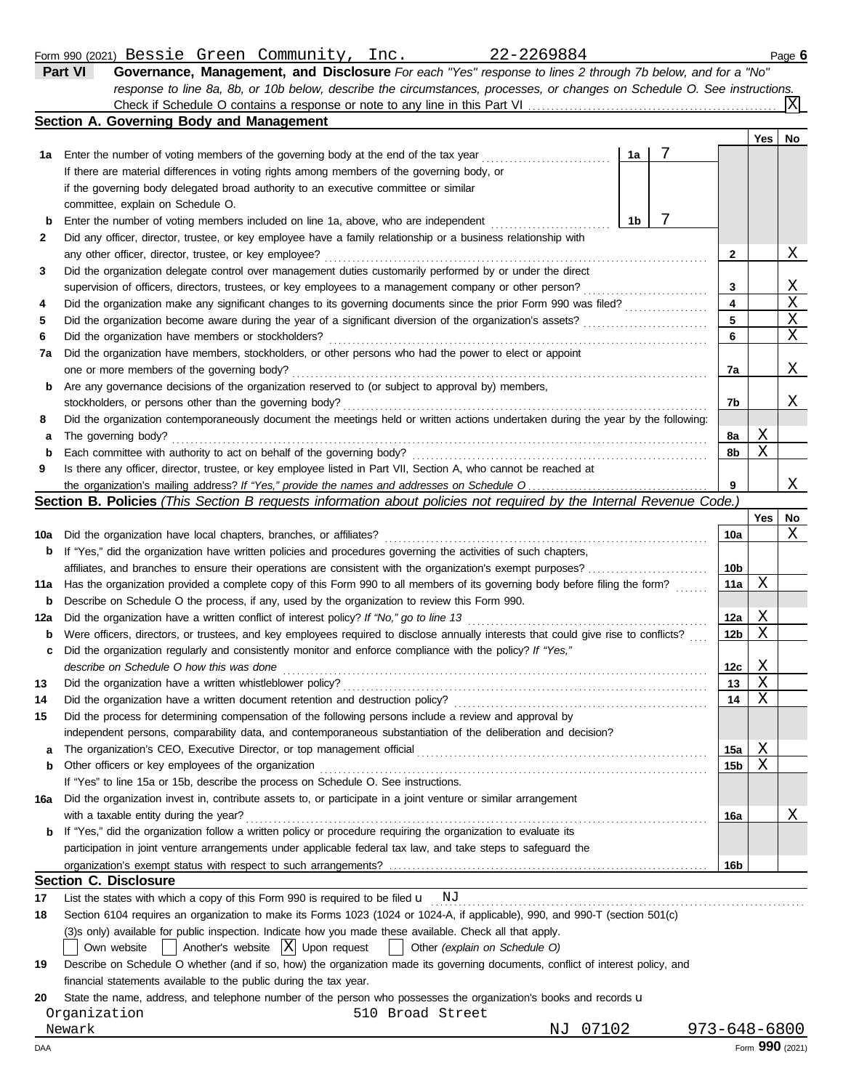#### Bessie Green Community, Inc. 22-2269884

|              | 22-2269884<br>Form 990 (2021) Bessie Green Community, Inc.                                                                |    |   |     | Page 6 |
|--------------|---------------------------------------------------------------------------------------------------------------------------|----|---|-----|--------|
|              | Governance, Management, and Disclosure For each "Yes" response to lines 2 through 7b below, and for a "No"<br>Part VI     |    |   |     |        |
|              | response to line 8a, 8b, or 10b below, describe the circumstances, processes, or changes on Schedule O. See instructions. |    |   |     |        |
|              |                                                                                                                           |    |   |     |        |
|              | Section A. Governing Body and Management                                                                                  |    |   |     |        |
|              |                                                                                                                           |    |   | Yes | No     |
| 1a           | Enter the number of voting members of the governing body at the end of the tax year                                       | 1a |   |     |        |
|              | If there are material differences in voting rights among members of the governing body, or                                |    |   |     |        |
|              | if the governing body delegated broad authority to an executive committee or similar                                      |    |   |     |        |
|              | committee, explain on Schedule O.                                                                                         |    |   |     |        |
| b            | Enter the number of voting members included on line 1a, above, who are independent                                        | 1b |   |     |        |
| $\mathbf{2}$ | Did any officer, director, trustee, or key employee have a family relationship or a business relationship with            |    |   |     |        |
|              | any other officer, director, trustee, or key employee?                                                                    |    | 2 |     | X      |
| 3            | Did the organization delegate control over management duties customarily performed by or under the direct                 |    |   |     |        |
|              | supervision of officers, directors, trustees, or key employees to a management company or other person?                   |    | 3 |     | X.     |

| 6    | Did the organization have members or stockholders?                                                                                | 6  |
|------|-----------------------------------------------------------------------------------------------------------------------------------|----|
| 7a - | Did the organization have members, stockholders, or other persons who had the power to elect or appoint                           |    |
|      | one or more members of the governing body?                                                                                        | 7a |
|      | <b>b</b> Are any governance decisions of the organization reserved to (or subject to approval by) members,                        |    |
|      |                                                                                                                                   | 7b |
| 8    | Did the organization contemporaneously document the meetings held or written actions undertaken during the year by the following: |    |
|      | <b>a</b> The governing body?                                                                                                      | 8а |
|      | <b>b</b> Each committee with authority to act on behalf of the governing body?                                                    | 8b |
| 9    | Is there any officer, director, trustee, or key employee listed in Part VII, Section A, who cannot be reached at                  |    |

Did the organization make any significant changes to its governing documents since the prior Form 990 was filed? Did the organization become aware during the year of a significant diversion of the organization's assets? . . . . . . . . . . . . . . . . . . . . . . . . . . .

the organization's mailing address? If "Yes," provide the names and addresses on Schedule O.

#### **Section B. Policies** *(This Section B requests information about policies not required by the Internal Revenue Code.)*

|     |                                                                                                                                     |                 | <b>Yes</b> | No |
|-----|-------------------------------------------------------------------------------------------------------------------------------------|-----------------|------------|----|
| 10a | Did the organization have local chapters, branches, or affiliates?                                                                  | 10a             |            | Χ  |
| b   | If "Yes," did the organization have written policies and procedures governing the activities of such chapters,                      |                 |            |    |
|     | affiliates, and branches to ensure their operations are consistent with the organization's exempt purposes?                         | 10 <sub>b</sub> |            |    |
| 11a | Has the organization provided a complete copy of this Form 990 to all members of its governing body before filing the form?         | 11a             | X          |    |
| b   | Describe on Schedule O the process, if any, used by the organization to review this Form 990.                                       |                 |            |    |
| 12a | Did the organization have a written conflict of interest policy? If "No," go to line 13                                             | 12a             | Χ          |    |
| b   | Were officers, directors, or trustees, and key employees required to disclose annually interests that could give rise to conflicts? | 12 <sub>b</sub> | Χ          |    |
| c   | Did the organization regularly and consistently monitor and enforce compliance with the policy? If "Yes,"                           |                 |            |    |
|     | describe on Schedule O how this was done                                                                                            | 12c             | Χ          |    |
| 13  |                                                                                                                                     | 13              | X          |    |
| 14  | Did the organization have a written document retention and destruction policy?                                                      | 14              | Χ          |    |
| 15  | Did the process for determining compensation of the following persons include a review and approval by                              |                 |            |    |
|     | independent persons, comparability data, and contemporaneous substantiation of the deliberation and decision?                       |                 |            |    |
| a   | The organization's CEO, Executive Director, or top management official                                                              | 15a             | Χ          |    |
| b   | Other officers or key employees of the organization                                                                                 | 15 <sub>b</sub> | X          |    |
|     | If "Yes" to line 15a or 15b, describe the process on Schedule O. See instructions.                                                  |                 |            |    |
| 16a | Did the organization invest in, contribute assets to, or participate in a joint venture or similar arrangement                      |                 |            |    |
|     | with a taxable entity during the year?                                                                                              | <b>16a</b>      |            | х  |
| b   | If "Yes," did the organization follow a written policy or procedure requiring the organization to evaluate its                      |                 |            |    |
|     | participation in joint venture arrangements under applicable federal tax law, and take steps to safeguard the                       |                 |            |    |
|     |                                                                                                                                     | 16 <sub>b</sub> |            |    |
|     | <b>Section C. Disclosure</b>                                                                                                        |                 |            |    |
| 17  | List the states with which a copy of this Form 990 is required to be filed $\mathbf{u}$ NJ                                          |                 |            |    |
| 10. | Soction 6104 requires an erganization to make its Ferms 1023 (1024 or 1024 A if applicable) 000 and 000 T (soction 501(s)           |                 |            |    |

**18** Section 6104 requires an organization to make its Forms 1023 (1024 or 1024-A, if applicable), 990, and 990-T (section 501(c)

(3)s only) available for public inspection. Indicate how you made these available. Check all that apply.

Own website **Another's website X** Upon request **Other** *(explain on Schedule O)* 

| 19 Describe on Schedule O whether (and if so, how) the organization made its governing documents, conflict of interest policy, and |
|------------------------------------------------------------------------------------------------------------------------------------|
| financial statements available to the public during the tax year.                                                                  |

**20** State the name, address, and telephone number of the person who possesses the organization's books and records u

Organization 510 Broad Street

Nowark Newark 31 November 2010 107102 973-648-6800

**4 5** X X X

X

X

X

X X

**9**

**4 5**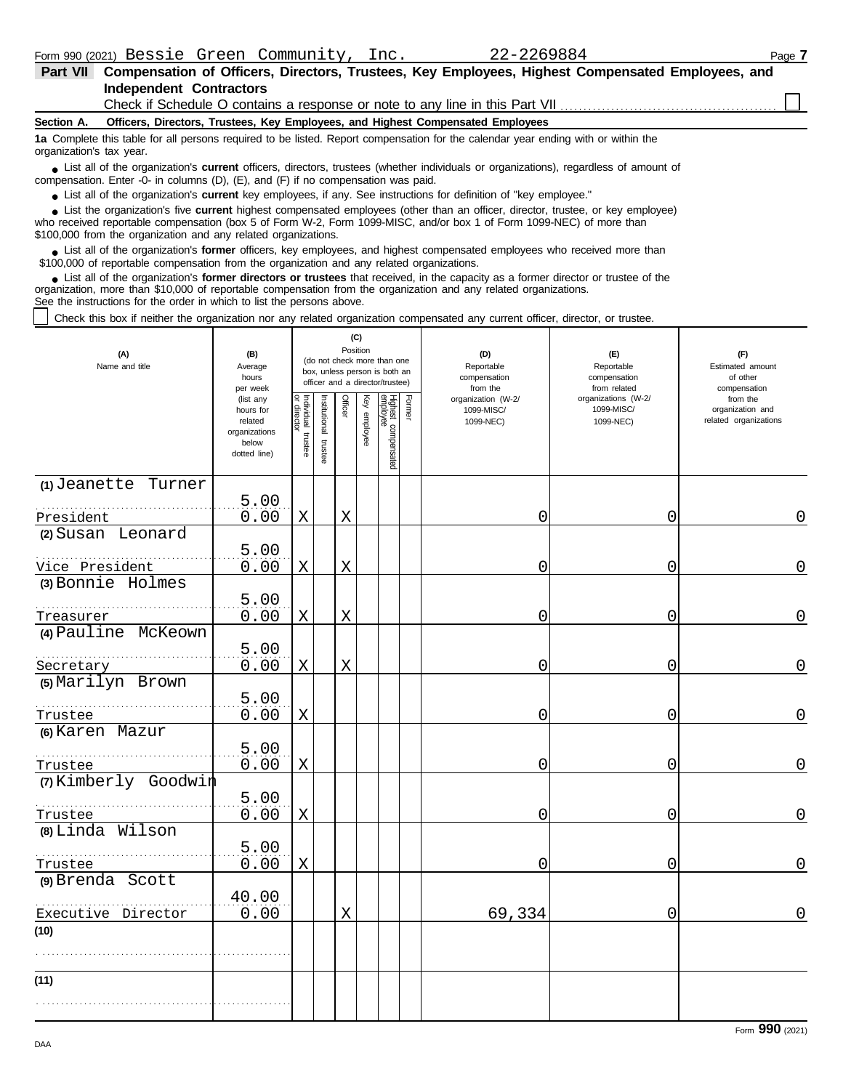| Part VII                 | Compensation of Officers, Directors, Trustees, Key Employees, Highest Compensated Employees, and                                                                                                                                                                                                                         |  |  |  |  |  |  |  |  |  |
|--------------------------|--------------------------------------------------------------------------------------------------------------------------------------------------------------------------------------------------------------------------------------------------------------------------------------------------------------------------|--|--|--|--|--|--|--|--|--|
|                          | <b>Independent Contractors</b>                                                                                                                                                                                                                                                                                           |  |  |  |  |  |  |  |  |  |
|                          |                                                                                                                                                                                                                                                                                                                          |  |  |  |  |  |  |  |  |  |
| Section A.               | Officers, Directors, Trustees, Key Employees, and Highest Compensated Employees                                                                                                                                                                                                                                          |  |  |  |  |  |  |  |  |  |
| organization's tax year. | 1a Complete this table for all persons required to be listed. Report compensation for the calendar vear ending with or within the                                                                                                                                                                                        |  |  |  |  |  |  |  |  |  |
|                          | • List all of the organization's <b>current</b> officers, directors, trustees (whether individuals or organizations), regardless of amount of<br>compensation. Enter -0- in columns $(D)$ , $(E)$ , and $(F)$ if no compensation was paid.                                                                               |  |  |  |  |  |  |  |  |  |
|                          | • List all of the organization's current key employees, if any. See instructions for definition of "key employee."                                                                                                                                                                                                       |  |  |  |  |  |  |  |  |  |
|                          | List the organization's five current highest compensated employees (other than an officer, director, trustee, or key employee)<br>who received reportable compensation (box 5 of Form W-2, Form 1099-MISC, and/or box 1 of Form 1099-NEC) of more than<br>\$100,000 from the organization and any related organizations. |  |  |  |  |  |  |  |  |  |
|                          | • List all of the organization's former officers, key employees, and highest compensated employees who received more than<br>\$100,000 of reportable compensation from the organization and any related organizations.                                                                                                   |  |  |  |  |  |  |  |  |  |

List all of the organization's **former directors or trustees** that received, in the capacity as a former director or trustee of the organization, more than \$10,000 of reportable compensation from the organization and any related organizations. See the instructions for the order in which to list the persons above. **•**

Check this box if neither the organization nor any related organization compensated any current officer, director, or trustee.

| (A)<br>Name and title            | (B)<br>Average<br>hours<br>per week                                         |                                      |                          | (C)<br>Position |              | (do not check more than one<br>box, unless person is both an<br>officer and a director/trustee) |        | (D)<br>Reportable<br>compensation<br>from the | (E)<br>Reportable<br>compensation<br>from related | (F)<br>Estimated amount<br>of other<br>compensation   |
|----------------------------------|-----------------------------------------------------------------------------|--------------------------------------|--------------------------|-----------------|--------------|-------------------------------------------------------------------------------------------------|--------|-----------------------------------------------|---------------------------------------------------|-------------------------------------------------------|
|                                  | (list any<br>hours for<br>related<br>organizations<br>below<br>dotted line) | Individual<br>or director<br>trustee | Institutional<br>trustee | Officer         | Key employee | Highest compensated<br>employee                                                                 | Former | organization (W-2/<br>1099-MISC/<br>1099-NEC) | organizations (W-2/<br>1099-MISC/<br>1099-NEC)    | from the<br>organization and<br>related organizations |
| (1) Jeanette Turner<br>President | 5.00<br>0.00                                                                | X                                    |                          | $\mathbf X$     |              |                                                                                                 |        | 0                                             | 0                                                 | 0                                                     |
| (2) Susan Leonard                |                                                                             |                                      |                          |                 |              |                                                                                                 |        |                                               |                                                   |                                                       |
| Vice President                   | 5.00<br>0.00                                                                | X                                    |                          | X               |              |                                                                                                 |        | 0                                             | 0                                                 | 0                                                     |
| (3) Bonnie Holmes<br>Treasurer   | 5.00<br>0.00                                                                | Χ                                    |                          | X               |              |                                                                                                 |        | 0                                             | 0                                                 | 0                                                     |
| (4) Pauline McKeown              | 5.00                                                                        |                                      |                          |                 |              |                                                                                                 |        |                                               |                                                   |                                                       |
| Secretary<br>(5) Marilyn Brown   | 0.00                                                                        | X                                    |                          | Χ               |              |                                                                                                 |        | 0                                             | 0                                                 | $\Omega$                                              |
| Trustee                          | 5.00<br>0.00                                                                | X                                    |                          |                 |              |                                                                                                 |        | 0                                             | 0                                                 | 0                                                     |
| (6) Karen Mazur                  | 5.00<br>0.00                                                                |                                      |                          |                 |              |                                                                                                 |        |                                               |                                                   | 0                                                     |
| Trustee<br>(7) Kimberly Goodwin  |                                                                             | $\mathbf X$                          |                          |                 |              |                                                                                                 |        | 0                                             | 0                                                 |                                                       |
| Trustee                          | 5.00<br>0.00                                                                | X                                    |                          |                 |              |                                                                                                 |        | 0                                             | 0                                                 | 0                                                     |
| (8) Linda Wilson<br>Trustee      | 5.00<br>0.00                                                                | X                                    |                          |                 |              |                                                                                                 |        | 0                                             | 0                                                 | 0                                                     |
| (9) Brenda Scott                 | 40.00                                                                       |                                      |                          |                 |              |                                                                                                 |        |                                               |                                                   |                                                       |
| Executive Director               | 0.00                                                                        |                                      |                          | X               |              |                                                                                                 |        | 69,334                                        | 0                                                 | 0                                                     |
| (10)                             |                                                                             |                                      |                          |                 |              |                                                                                                 |        |                                               |                                                   |                                                       |
| (11)                             |                                                                             |                                      |                          |                 |              |                                                                                                 |        |                                               |                                                   |                                                       |
|                                  |                                                                             |                                      |                          |                 |              |                                                                                                 |        |                                               |                                                   |                                                       |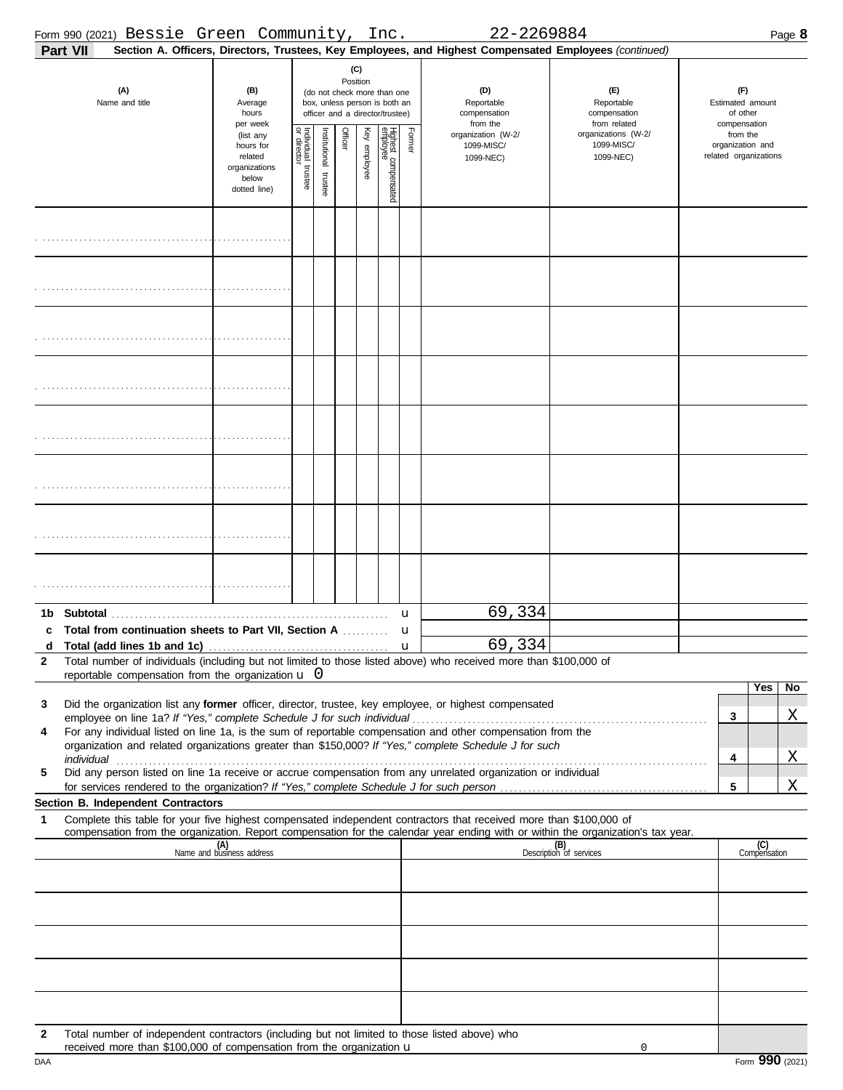|                   |          | Form 990 (2021) Bessie Green Community, Inc.                                                                                                                                    |                                                               |                           |                       |                                                                                                                               |              |                                 |        | 22-2269884                                                                                                                                                                                                                                                                                                                                      |                                                                                                                                                                    |                                                                                     | Page 8              |
|-------------------|----------|---------------------------------------------------------------------------------------------------------------------------------------------------------------------------------|---------------------------------------------------------------|---------------------------|-----------------------|-------------------------------------------------------------------------------------------------------------------------------|--------------|---------------------------------|--------|-------------------------------------------------------------------------------------------------------------------------------------------------------------------------------------------------------------------------------------------------------------------------------------------------------------------------------------------------|--------------------------------------------------------------------------------------------------------------------------------------------------------------------|-------------------------------------------------------------------------------------|---------------------|
|                   | Part VII |                                                                                                                                                                                 |                                                               |                           |                       |                                                                                                                               |              |                                 |        | Section A. Officers, Directors, Trustees, Key Employees, and Highest Compensated Employees (continued)                                                                                                                                                                                                                                          |                                                                                                                                                                    |                                                                                     |                     |
|                   |          | (A)<br>Name and title                                                                                                                                                           | (B)<br>Average<br>hours<br>per week<br>(list any<br>hours for | Individual<br>or director |                       | Position<br>(do not check more than one<br>box, unless person is both an<br>officer and a director/trustee)<br><b>Officer</b> | (C)          |                                 | Former | (D)<br>Reportable<br>compensation<br>from the<br>organization (W-2/<br>1099-MISC/                                                                                                                                                                                                                                                               | (F)<br>Reportable<br>compensation<br>from related<br>organizations (W-2/<br>1099-MISC/                                                                             | (F)<br>Estimated amount<br>of other<br>compensation<br>from the<br>organization and |                     |
|                   |          |                                                                                                                                                                                 | related<br>organizations<br>below<br>dotted line)             | trustee                   | Institutional trustee |                                                                                                                               | Key employee | Highest compensated<br>employee |        | 1099-NEC)                                                                                                                                                                                                                                                                                                                                       | 1099-NEC)                                                                                                                                                          | related organizations                                                               |                     |
|                   |          |                                                                                                                                                                                 |                                                               |                           |                       |                                                                                                                               |              |                                 |        |                                                                                                                                                                                                                                                                                                                                                 |                                                                                                                                                                    |                                                                                     |                     |
|                   |          |                                                                                                                                                                                 |                                                               |                           |                       |                                                                                                                               |              |                                 |        |                                                                                                                                                                                                                                                                                                                                                 |                                                                                                                                                                    |                                                                                     |                     |
|                   |          |                                                                                                                                                                                 |                                                               |                           |                       |                                                                                                                               |              |                                 |        |                                                                                                                                                                                                                                                                                                                                                 |                                                                                                                                                                    |                                                                                     |                     |
|                   |          |                                                                                                                                                                                 |                                                               |                           |                       |                                                                                                                               |              |                                 |        |                                                                                                                                                                                                                                                                                                                                                 |                                                                                                                                                                    |                                                                                     |                     |
|                   |          |                                                                                                                                                                                 |                                                               |                           |                       |                                                                                                                               |              |                                 |        |                                                                                                                                                                                                                                                                                                                                                 |                                                                                                                                                                    |                                                                                     |                     |
|                   |          |                                                                                                                                                                                 |                                                               |                           |                       |                                                                                                                               |              |                                 |        |                                                                                                                                                                                                                                                                                                                                                 |                                                                                                                                                                    |                                                                                     |                     |
|                   |          |                                                                                                                                                                                 |                                                               |                           |                       |                                                                                                                               |              |                                 |        |                                                                                                                                                                                                                                                                                                                                                 |                                                                                                                                                                    |                                                                                     |                     |
|                   |          |                                                                                                                                                                                 |                                                               |                           |                       |                                                                                                                               |              |                                 |        |                                                                                                                                                                                                                                                                                                                                                 |                                                                                                                                                                    |                                                                                     |                     |
| 1b<br>c           |          | Total from continuation sheets to Part VII, Section A                                                                                                                           |                                                               |                           |                       |                                                                                                                               |              |                                 | u<br>u | 69,334                                                                                                                                                                                                                                                                                                                                          |                                                                                                                                                                    |                                                                                     |                     |
| d<br>$\mathbf{2}$ |          | Total (add lines 1b and 1c)<br>reportable compensation from the organization $\mathbf{u}$ 0                                                                                     |                                                               |                           |                       |                                                                                                                               |              |                                 | u      | 69,334<br>Total number of individuals (including but not limited to those listed above) who received more than \$100,000 of                                                                                                                                                                                                                     |                                                                                                                                                                    |                                                                                     |                     |
| 3                 |          |                                                                                                                                                                                 |                                                               |                           |                       |                                                                                                                               |              |                                 |        | Did the organization list any former officer, director, trustee, key employee, or highest compensated                                                                                                                                                                                                                                           |                                                                                                                                                                    |                                                                                     | Yes<br>No           |
| 4                 |          | employee on line 1a? If "Yes," complete Schedule J for such individual                                                                                                          |                                                               |                           |                       |                                                                                                                               |              |                                 |        | For any individual listed on line 1a, is the sum of reportable compensation and other compensation from the<br>organization and related organizations greater than \$150,000? If "Yes," complete Schedule J for such                                                                                                                            |                                                                                                                                                                    | 3                                                                                   | Χ                   |
| 5                 |          |                                                                                                                                                                                 |                                                               |                           |                       |                                                                                                                               |              |                                 |        | individual with a construction of the construction of the construction of the construction of the construction of the construction of the construction of the construction of the construction of the construction of the cons<br>Did any person listed on line 1a receive or accrue compensation from any unrelated organization or individual |                                                                                                                                                                    | 4                                                                                   | Χ                   |
|                   |          |                                                                                                                                                                                 |                                                               |                           |                       |                                                                                                                               |              |                                 |        |                                                                                                                                                                                                                                                                                                                                                 |                                                                                                                                                                    | 5                                                                                   | Χ                   |
| 1                 |          | Section B. Independent Contractors                                                                                                                                              |                                                               |                           |                       |                                                                                                                               |              |                                 |        | Complete this table for your five highest compensated independent contractors that received more than \$100,000 of                                                                                                                                                                                                                              |                                                                                                                                                                    |                                                                                     |                     |
|                   |          |                                                                                                                                                                                 | (A)<br>Name and business address                              |                           |                       |                                                                                                                               |              |                                 |        |                                                                                                                                                                                                                                                                                                                                                 | compensation from the organization. Report compensation for the calendar year ending with or within the organization's tax year.<br>(B)<br>Description of services |                                                                                     | (C)<br>Compensation |
|                   |          |                                                                                                                                                                                 |                                                               |                           |                       |                                                                                                                               |              |                                 |        |                                                                                                                                                                                                                                                                                                                                                 |                                                                                                                                                                    |                                                                                     |                     |
|                   |          |                                                                                                                                                                                 |                                                               |                           |                       |                                                                                                                               |              |                                 |        |                                                                                                                                                                                                                                                                                                                                                 |                                                                                                                                                                    |                                                                                     |                     |
|                   |          |                                                                                                                                                                                 |                                                               |                           |                       |                                                                                                                               |              |                                 |        |                                                                                                                                                                                                                                                                                                                                                 |                                                                                                                                                                    |                                                                                     |                     |
|                   |          |                                                                                                                                                                                 |                                                               |                           |                       |                                                                                                                               |              |                                 |        |                                                                                                                                                                                                                                                                                                                                                 |                                                                                                                                                                    |                                                                                     |                     |
| $\mathbf{2}$      |          | Total number of independent contractors (including but not limited to those listed above) who<br>received more than \$100,000 of compensation from the organization $\mathbf u$ |                                                               |                           |                       |                                                                                                                               |              |                                 |        |                                                                                                                                                                                                                                                                                                                                                 | 0                                                                                                                                                                  |                                                                                     |                     |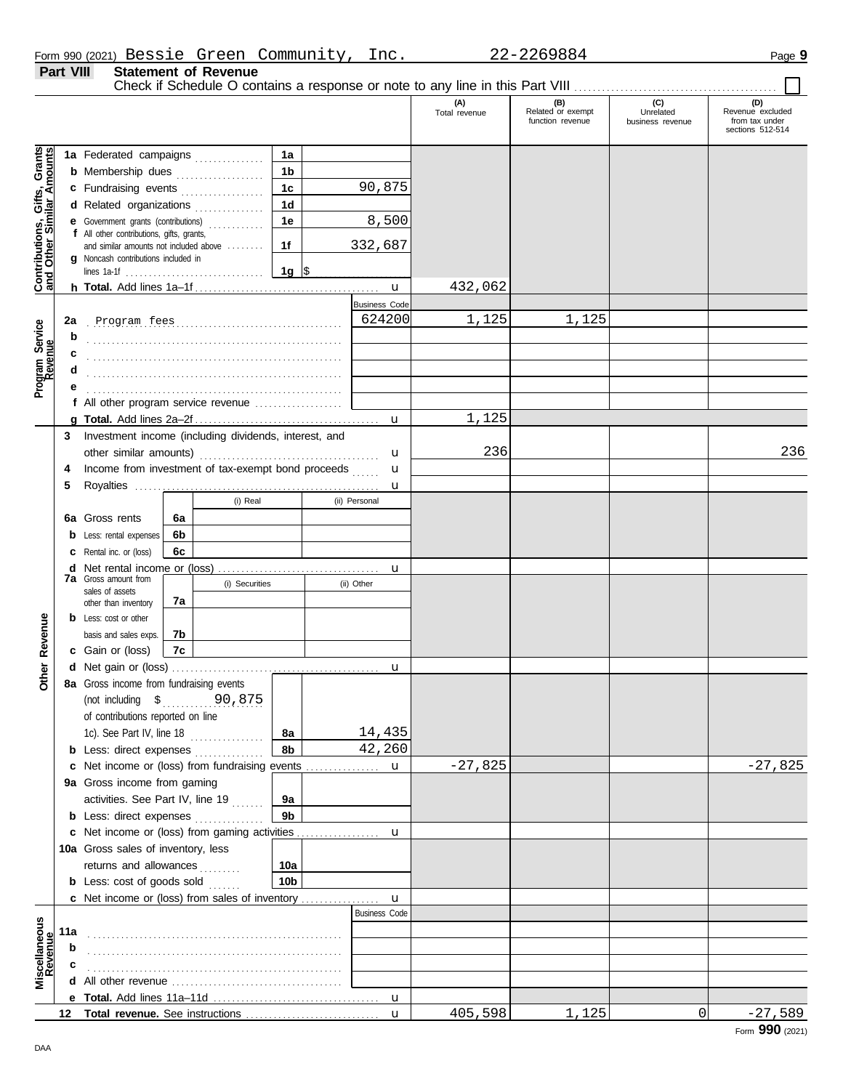Check if Schedule O contains a response or note to any line in this Part VIII . . . . . . . . . . . . . . . . . . . . . . . . . . . . . . . . . . . . . . . . . . . .

 $\Box$ 

|                                                                  |     |                                                                                     |    |          |                 |                      | (A)<br>Total revenue | (B)<br>Related or exempt<br>function revenue | (C)<br>Unrelated<br>business revenue | (D)<br>Revenue excluded<br>from tax under |
|------------------------------------------------------------------|-----|-------------------------------------------------------------------------------------|----|----------|-----------------|----------------------|----------------------|----------------------------------------------|--------------------------------------|-------------------------------------------|
|                                                                  |     |                                                                                     |    |          |                 |                      |                      |                                              |                                      | sections 512-514                          |
| <b>Contributions, Gifts, Grants</b><br>and Other Similar Amounts |     | 1a Federated campaigns                                                              |    |          | 1a              |                      |                      |                                              |                                      |                                           |
|                                                                  |     | <b>b</b> Membership dues                                                            |    | .        | 1 <sub>b</sub>  |                      |                      |                                              |                                      |                                           |
|                                                                  |     | c Fundraising events                                                                |    |          | 1 <sub>c</sub>  | 90,875               |                      |                                              |                                      |                                           |
|                                                                  |     | d Related organizations                                                             |    |          | 1 <sub>d</sub>  |                      |                      |                                              |                                      |                                           |
|                                                                  |     | e Government grants (contributions)                                                 |    |          | 1e              | 8,500                |                      |                                              |                                      |                                           |
|                                                                  |     | f All other contributions, gifts, grants,<br>and similar amounts not included above |    |          | 1f              | 332,687              |                      |                                              |                                      |                                           |
|                                                                  |     | <b>g</b> Noncash contributions included in                                          |    |          |                 |                      |                      |                                              |                                      |                                           |
|                                                                  |     | lines 1a-1f $\ldots \ldots \ldots \ldots \ldots \ldots \ldots \ldots$               |    |          | 1g  \$          |                      |                      |                                              |                                      |                                           |
|                                                                  |     |                                                                                     |    |          |                 |                      | 432,062              |                                              |                                      |                                           |
|                                                                  |     |                                                                                     |    |          |                 | <b>Business Code</b> |                      |                                              |                                      |                                           |
|                                                                  | 2a  |                                                                                     |    |          |                 | 624200               | 1,125                | 1,125                                        |                                      |                                           |
| Program Service<br>Revenue                                       | b   |                                                                                     |    |          |                 |                      |                      |                                              |                                      |                                           |
|                                                                  | c   |                                                                                     |    |          |                 |                      |                      |                                              |                                      |                                           |
|                                                                  |     |                                                                                     |    |          |                 |                      |                      |                                              |                                      |                                           |
|                                                                  |     |                                                                                     |    |          |                 |                      |                      |                                              |                                      |                                           |
|                                                                  |     | f All other program service revenue                                                 |    |          |                 |                      |                      |                                              |                                      |                                           |
|                                                                  |     |                                                                                     |    |          |                 |                      | 1,125                |                                              |                                      |                                           |
|                                                                  | 3   | Investment income (including dividends, interest, and                               |    |          |                 |                      |                      |                                              |                                      |                                           |
|                                                                  |     | other similar amounts)                                                              |    |          |                 | u                    | 236                  |                                              |                                      | 236                                       |
|                                                                  | 4   | Income from investment of tax-exempt bond proceeds                                  |    |          |                 | u                    |                      |                                              |                                      |                                           |
|                                                                  | 5   |                                                                                     |    |          |                 | u                    |                      |                                              |                                      |                                           |
|                                                                  |     |                                                                                     |    | (i) Real |                 | (ii) Personal        |                      |                                              |                                      |                                           |
|                                                                  | 6а  | Gross rents                                                                         | 6а |          |                 |                      |                      |                                              |                                      |                                           |
|                                                                  | b   | Less: rental expenses                                                               | 6b |          |                 |                      |                      |                                              |                                      |                                           |
|                                                                  |     | Rental inc. or (loss)                                                               | 6с |          |                 |                      |                      |                                              |                                      |                                           |
|                                                                  | d   | <b>7a</b> Gross amount from<br>(i) Securities                                       |    |          |                 | u                    |                      |                                              |                                      |                                           |
|                                                                  |     | sales of assets                                                                     |    |          |                 | (ii) Other           |                      |                                              |                                      |                                           |
|                                                                  |     | other than inventory                                                                | 7a |          |                 |                      |                      |                                              |                                      |                                           |
|                                                                  |     | <b>b</b> Less: cost or other                                                        |    |          |                 |                      |                      |                                              |                                      |                                           |
|                                                                  |     | basis and sales exps.                                                               | 7b |          |                 |                      |                      |                                              |                                      |                                           |
| Revenue                                                          |     | c Gain or (loss)                                                                    | 7c |          |                 |                      |                      |                                              |                                      |                                           |
| Other                                                            |     |                                                                                     |    |          |                 | u                    |                      |                                              |                                      |                                           |
|                                                                  |     | 8a Gross income from fundraising events                                             |    |          |                 |                      |                      |                                              |                                      |                                           |
|                                                                  |     | (not including $$$ .                                                                |    | 90,875   |                 |                      |                      |                                              |                                      |                                           |
|                                                                  |     | of contributions reported on line                                                   |    |          |                 |                      |                      |                                              |                                      |                                           |
|                                                                  |     | 1c). See Part IV, line 18                                                           |    |          | 8а              | 14,435               |                      |                                              |                                      |                                           |
|                                                                  |     | <b>b</b> Less: direct expenses                                                      |    |          | 8b              | 42,260               |                      |                                              |                                      |                                           |
|                                                                  |     | c Net income or (loss) from fundraising events                                      |    |          |                 | $\mathbf{u}$         | $-27,825$            |                                              |                                      | $-27,825$                                 |
|                                                                  |     | 9a Gross income from gaming                                                         |    |          |                 |                      |                      |                                              |                                      |                                           |
|                                                                  |     | activities. See Part IV, line 19                                                    |    |          | 9а              |                      |                      |                                              |                                      |                                           |
|                                                                  |     | <b>b</b> Less: direct expenses                                                      |    |          | 9 <sub>b</sub>  |                      |                      |                                              |                                      |                                           |
|                                                                  |     |                                                                                     |    |          |                 |                      |                      |                                              |                                      |                                           |
|                                                                  |     | 10a Gross sales of inventory, less                                                  |    |          |                 |                      |                      |                                              |                                      |                                           |
|                                                                  |     | returns and allowances                                                              |    |          | 10a             |                      |                      |                                              |                                      |                                           |
|                                                                  |     | <b>b</b> Less: cost of goods sold                                                   |    |          | 10 <sub>b</sub> |                      |                      |                                              |                                      |                                           |
|                                                                  |     | <b>c</b> Net income or (loss) from sales of inventory                               |    |          |                 | $\mathbf{u}$         |                      |                                              |                                      |                                           |
|                                                                  |     |                                                                                     |    |          |                 | <b>Business Code</b> |                      |                                              |                                      |                                           |
|                                                                  | 11a |                                                                                     |    |          |                 |                      |                      |                                              |                                      |                                           |
|                                                                  | b   |                                                                                     |    |          |                 |                      |                      |                                              |                                      |                                           |
| Miscellaneous<br>Revenue                                         |     |                                                                                     |    |          |                 |                      |                      |                                              |                                      |                                           |
|                                                                  |     |                                                                                     |    |          |                 |                      |                      |                                              |                                      |                                           |
|                                                                  |     |                                                                                     |    |          |                 |                      |                      |                                              |                                      |                                           |
|                                                                  |     |                                                                                     |    |          |                 | $\mathbf{u}$         | 405,598              | 1,125                                        | 0                                    | $-27,589$                                 |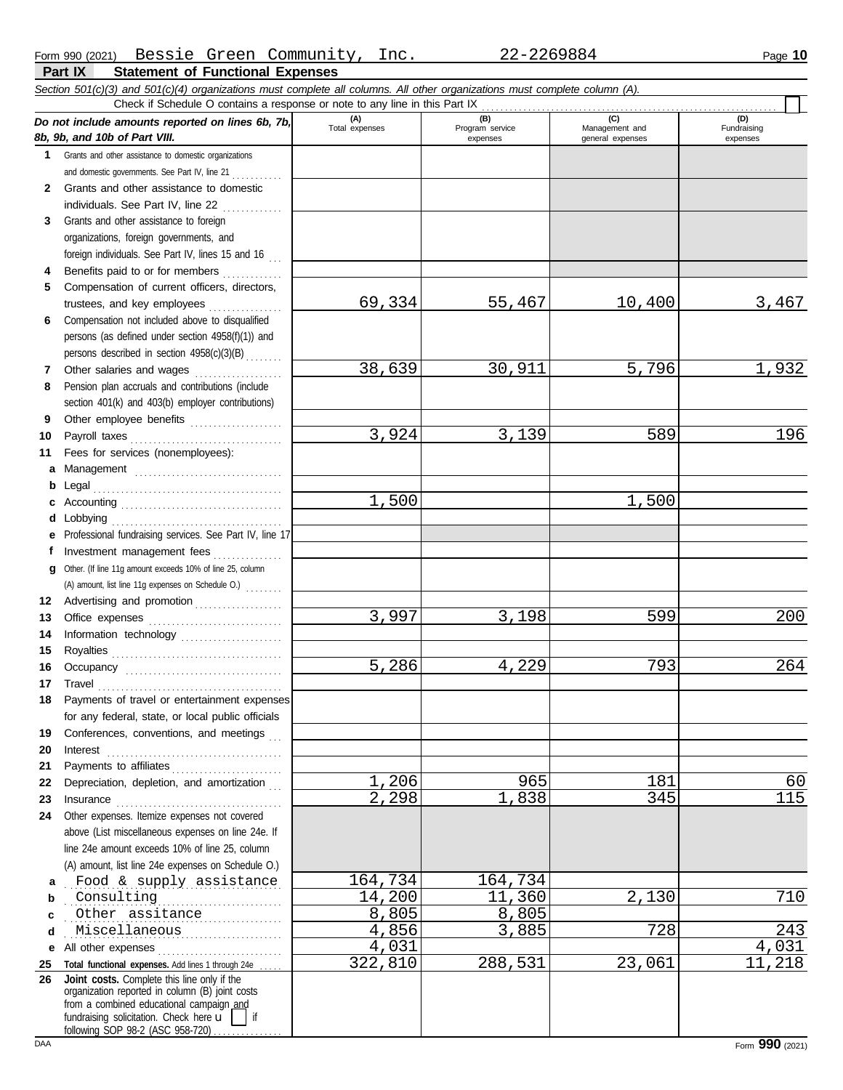**Part IX Statement of Functional Expenses**

|              | Section 501(c)(3) and 501(c)(4) organizations must complete all columns. All other organizations must complete column (A).<br>Check if Schedule O contains a response or note to any line in this Part IX                                                 |                       |                        |                                    |                         |
|--------------|-----------------------------------------------------------------------------------------------------------------------------------------------------------------------------------------------------------------------------------------------------------|-----------------------|------------------------|------------------------------------|-------------------------|
|              | Do not include amounts reported on lines 6b, 7b,                                                                                                                                                                                                          | (A)<br>Total expenses | (B)<br>Program service | (C)                                | (D)                     |
|              | 8b, 9b, and 10b of Part VIII.                                                                                                                                                                                                                             |                       | expenses               | Management and<br>general expenses | Fundraising<br>expenses |
| 1            | Grants and other assistance to domestic organizations                                                                                                                                                                                                     |                       |                        |                                    |                         |
|              | and domestic governments. See Part IV, line 21                                                                                                                                                                                                            |                       |                        |                                    |                         |
| $\mathbf{2}$ | Grants and other assistance to domestic                                                                                                                                                                                                                   |                       |                        |                                    |                         |
|              | individuals. See Part IV, line 22                                                                                                                                                                                                                         |                       |                        |                                    |                         |
| 3            | Grants and other assistance to foreign                                                                                                                                                                                                                    |                       |                        |                                    |                         |
|              | organizations, foreign governments, and                                                                                                                                                                                                                   |                       |                        |                                    |                         |
|              | foreign individuals. See Part IV, lines 15 and 16                                                                                                                                                                                                         |                       |                        |                                    |                         |
|              | Benefits paid to or for members                                                                                                                                                                                                                           |                       |                        |                                    |                         |
| 5            | Compensation of current officers, directors,                                                                                                                                                                                                              |                       |                        |                                    |                         |
|              |                                                                                                                                                                                                                                                           | 69,334                | 55,467                 | 10,400                             | 3,467                   |
| 6            | Compensation not included above to disqualified                                                                                                                                                                                                           |                       |                        |                                    |                         |
|              | persons (as defined under section 4958(f)(1)) and<br>persons described in section 4958(c)(3)(B)                                                                                                                                                           |                       |                        |                                    |                         |
| 7            | Other salaries and wages                                                                                                                                                                                                                                  | 38,639                | 30,911                 | 5,796                              | 1,932                   |
| 8            | Pension plan accruals and contributions (include                                                                                                                                                                                                          |                       |                        |                                    |                         |
|              | section 401(k) and 403(b) employer contributions)                                                                                                                                                                                                         |                       |                        |                                    |                         |
| 9            | Other employee benefits                                                                                                                                                                                                                                   |                       |                        |                                    |                         |
| 10           | Payroll taxes                                                                                                                                                                                                                                             | 3,924                 | 3,139                  | 589                                | 196                     |
| 11           | Fees for services (nonemployees):                                                                                                                                                                                                                         |                       |                        |                                    |                         |
| а            | Management                                                                                                                                                                                                                                                |                       |                        |                                    |                         |
| b            |                                                                                                                                                                                                                                                           |                       |                        |                                    |                         |
| c            |                                                                                                                                                                                                                                                           | 1,500                 |                        | 1,500                              |                         |
| d            | Lobbying                                                                                                                                                                                                                                                  |                       |                        |                                    |                         |
| е            | Professional fundraising services. See Part IV, line 17                                                                                                                                                                                                   |                       |                        |                                    |                         |
| f            | Investment management fees                                                                                                                                                                                                                                |                       |                        |                                    |                         |
| g            | Other. (If line 11g amount exceeds 10% of line 25, column                                                                                                                                                                                                 |                       |                        |                                    |                         |
|              | (A) amount, list line 11g expenses on Schedule O.)                                                                                                                                                                                                        |                       |                        |                                    |                         |
| 12<br>13     | Advertising and promotion                                                                                                                                                                                                                                 | 3,997                 | 3,198                  | 599                                | 200                     |
| 14           | Information technology                                                                                                                                                                                                                                    |                       |                        |                                    |                         |
| 15           |                                                                                                                                                                                                                                                           |                       |                        |                                    |                         |
| 16           |                                                                                                                                                                                                                                                           | 5,286                 | 4,229                  | 793                                | 264                     |
| 17           |                                                                                                                                                                                                                                                           |                       |                        |                                    |                         |
| 18           | Payments of travel or entertainment expenses                                                                                                                                                                                                              |                       |                        |                                    |                         |
|              | for any federal, state, or local public officials                                                                                                                                                                                                         |                       |                        |                                    |                         |
| 19           | Conferences, conventions, and meetings                                                                                                                                                                                                                    |                       |                        |                                    |                         |
| 20           | $\textbf{Interest} \hspace{0.05in} \ldots \hspace{0.05in} \ldots \hspace{0.05in} \ldots \hspace{0.05in} \ldots \hspace{0.05in} \ldots \hspace{0.05in} \ldots \hspace{0.05in} \ldots \hspace{0.05in} \ldots \hspace{0.05in} \ldots \hspace{0.05in} \ldots$ |                       |                        |                                    |                         |
| 21           | Payments to affiliates                                                                                                                                                                                                                                    |                       |                        |                                    |                         |
| 22           | Depreciation, depletion, and amortization                                                                                                                                                                                                                 | 1,206                 | 965                    | 181                                | 60                      |
| 23           |                                                                                                                                                                                                                                                           | 2,298                 | 1,838                  | 345                                | 115                     |
| 24           | Other expenses. Itemize expenses not covered<br>above (List miscellaneous expenses on line 24e. If                                                                                                                                                        |                       |                        |                                    |                         |
|              | line 24e amount exceeds 10% of line 25, column                                                                                                                                                                                                            |                       |                        |                                    |                         |
|              | (A) amount, list line 24e expenses on Schedule O.)                                                                                                                                                                                                        |                       |                        |                                    |                         |
| a            | Food & supply assistance                                                                                                                                                                                                                                  | 164,734               | 164,734                |                                    |                         |
| b            | Consulting                                                                                                                                                                                                                                                | 14,200                | 11,360                 | 2,130                              | 710                     |
| c            | Other assitance                                                                                                                                                                                                                                           | 8,805                 | 8,805                  |                                    |                         |
| d            | Miscellaneous<br>.                                                                                                                                                                                                                                        | 4,856                 | 3,885                  | 728                                | 243                     |
| е            | All other expenses                                                                                                                                                                                                                                        | 4,031                 |                        |                                    | 4,031                   |
| 25           | Total functional expenses. Add lines 1 through 24e                                                                                                                                                                                                        | 322,810               | 288,531                | 23,061                             | 11,218                  |
| 26           | Joint costs. Complete this line only if the<br>organization reported in column (B) joint costs                                                                                                                                                            |                       |                        |                                    |                         |
|              | from a combined educational campaign and                                                                                                                                                                                                                  |                       |                        |                                    |                         |
|              | fundraising solicitation. Check here u<br>$\overline{\phantom{a}}$ if                                                                                                                                                                                     |                       |                        |                                    |                         |
|              | following SOP 98-2 (ASC 958-720)                                                                                                                                                                                                                          |                       |                        |                                    |                         |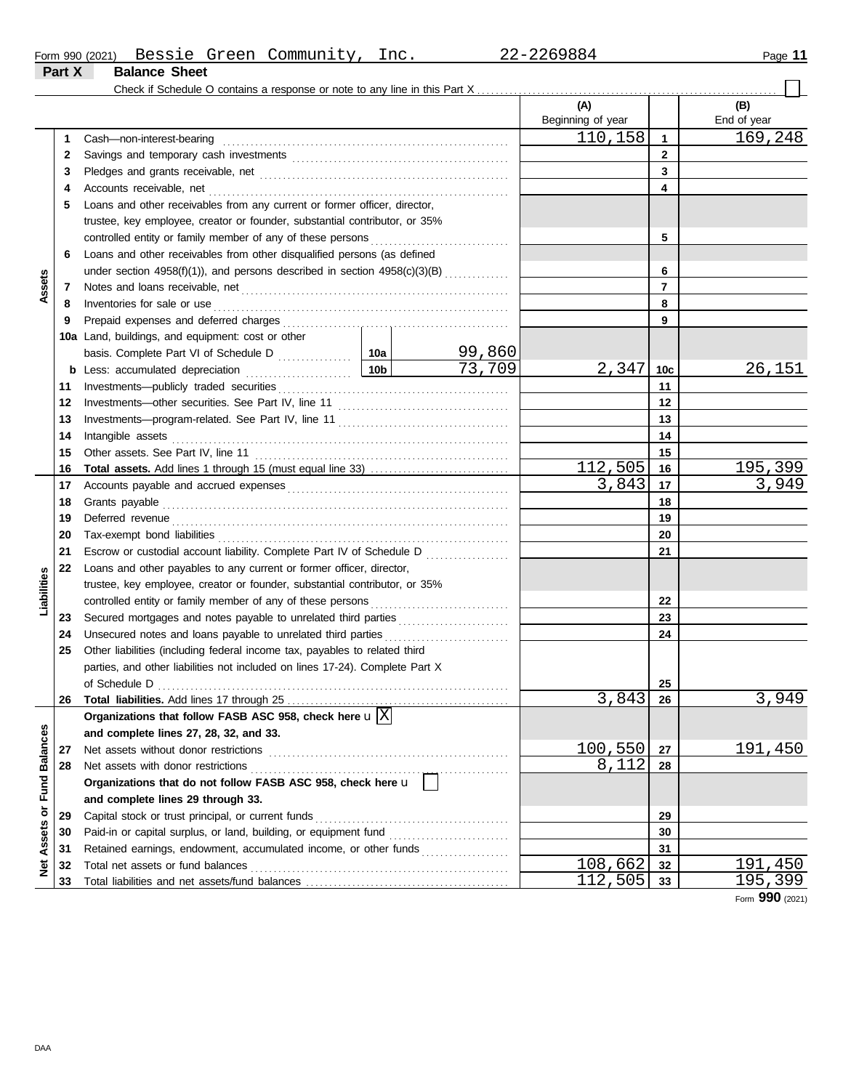**Part X Balance Sheet**

|                 |     | Check if Schedule O contains a response or note to any line in this Part X                                                                                                                                                     |                 |        |                          |              |                    |
|-----------------|-----|--------------------------------------------------------------------------------------------------------------------------------------------------------------------------------------------------------------------------------|-----------------|--------|--------------------------|--------------|--------------------|
|                 |     |                                                                                                                                                                                                                                |                 |        | (A)<br>Beginning of year |              | (B)<br>End of year |
|                 | 1   | Cash-non-interest-bearing                                                                                                                                                                                                      |                 |        | 110,158                  | 1            | 169, 248           |
|                 | 2   |                                                                                                                                                                                                                                |                 |        |                          | $\mathbf{2}$ |                    |
|                 | 3   |                                                                                                                                                                                                                                |                 |        |                          | 3            |                    |
|                 | 4   | Accounts receivable, net                                                                                                                                                                                                       |                 |        |                          | 4            |                    |
|                 | 5   | Loans and other receivables from any current or former officer, director,                                                                                                                                                      |                 |        |                          |              |                    |
|                 |     | trustee, key employee, creator or founder, substantial contributor, or 35%                                                                                                                                                     |                 |        |                          |              |                    |
|                 |     | controlled entity or family member of any of these persons                                                                                                                                                                     |                 |        |                          | 5            |                    |
|                 | 6   | Loans and other receivables from other disqualified persons (as defined                                                                                                                                                        |                 |        |                          |              |                    |
|                 |     | under section 4958(f)(1)), and persons described in section 4958(c)(3)(B)                                                                                                                                                      |                 |        |                          | 6            |                    |
| Assets          | 7   |                                                                                                                                                                                                                                |                 |        |                          | 7            |                    |
|                 | 8   | Inventories for sale or use                                                                                                                                                                                                    |                 |        |                          | 8            |                    |
|                 | 9   |                                                                                                                                                                                                                                |                 |        |                          | 9            |                    |
|                 | 10a | Land, buildings, and equipment: cost or other                                                                                                                                                                                  |                 |        |                          |              |                    |
|                 |     |                                                                                                                                                                                                                                |                 | 99,860 |                          |              |                    |
|                 |     | <b>b</b> Less: accumulated depreciation                                                                                                                                                                                        | 10 <sub>b</sub> | 73,709 | 2,347                    | 10c          | <u>26,151</u>      |
|                 | 11  |                                                                                                                                                                                                                                |                 |        |                          | 11           |                    |
|                 | 12  |                                                                                                                                                                                                                                |                 |        |                          | 12           |                    |
|                 | 13  |                                                                                                                                                                                                                                |                 |        |                          | 13           |                    |
|                 | 14  | Intangible assets                                                                                                                                                                                                              |                 |        |                          | 14           |                    |
|                 | 15  | Other assets. See Part IV, line 11                                                                                                                                                                                             |                 |        |                          | 15           |                    |
|                 | 16  |                                                                                                                                                                                                                                |                 |        | 112,505                  | 16           | 195,399            |
|                 | 17  |                                                                                                                                                                                                                                |                 |        | 3,843                    | 17           | 3,949              |
|                 | 18  | Grants payable                                                                                                                                                                                                                 |                 |        |                          | 18           |                    |
|                 | 19  | Deferred revenue contains and all the container and all the container and all the container and all the containing of the container and all the containing of the containing of the containing of the containing of the contai |                 |        |                          | 19           |                    |
|                 | 20  | Tax-exempt bond liabilities                                                                                                                                                                                                    |                 |        |                          | 20           |                    |
|                 | 21  | Escrow or custodial account liability. Complete Part IV of Schedule D                                                                                                                                                          |                 |        |                          | 21           |                    |
|                 | 22  | Loans and other payables to any current or former officer, director,                                                                                                                                                           |                 |        |                          |              |                    |
| Liabilities     |     | trustee, key employee, creator or founder, substantial contributor, or 35%                                                                                                                                                     |                 |        |                          |              |                    |
|                 |     | controlled entity or family member of any of these persons                                                                                                                                                                     |                 |        |                          | 22           |                    |
|                 | 23  | Secured mortgages and notes payable to unrelated third parties                                                                                                                                                                 |                 |        |                          | 23           |                    |
|                 | 24  | Unsecured notes and loans payable to unrelated third parties                                                                                                                                                                   |                 |        |                          | 24           |                    |
|                 | 25  | Other liabilities (including federal income tax, payables to related third                                                                                                                                                     |                 |        |                          |              |                    |
|                 |     | parties, and other liabilities not included on lines 17-24). Complete Part X                                                                                                                                                   |                 |        |                          |              |                    |
|                 |     |                                                                                                                                                                                                                                |                 |        |                          | 25           |                    |
|                 |     | 26 Total liabilities. Add lines 17 through 25                                                                                                                                                                                  |                 |        | 3,843                    | 26           | 3,949              |
|                 |     | Organizations that follow FASB ASC 958, check here $\mathbf{u} \mathrm{X} $                                                                                                                                                    |                 |        |                          |              |                    |
|                 |     | and complete lines 27, 28, 32, and 33.                                                                                                                                                                                         |                 |        |                          |              |                    |
| <b>Balances</b> | 27  | Net assets without donor restrictions                                                                                                                                                                                          |                 |        | 100,550                  | 27           | <u> 191,450 </u>   |
|                 | 28  | Net assets with donor restrictions                                                                                                                                                                                             |                 |        | 8,112                    | 28           |                    |
| Fund            |     | Organizations that do not follow FASB ASC 958, check here u                                                                                                                                                                    |                 |        |                          |              |                    |
|                 |     | and complete lines 29 through 33.                                                                                                                                                                                              |                 |        |                          |              |                    |
|                 | 29  | Capital stock or trust principal, or current funds                                                                                                                                                                             |                 |        |                          | 29           |                    |
| Assets or       | 30  |                                                                                                                                                                                                                                |                 |        |                          | 30           |                    |
|                 | 31  | Retained earnings, endowment, accumulated income, or other funds                                                                                                                                                               |                 |        |                          | 31           |                    |
| Net             | 32  | Total net assets or fund balances                                                                                                                                                                                              |                 |        | 108,662                  | 32           | 191,450            |
|                 | 33  |                                                                                                                                                                                                                                |                 |        | 112,505                  | 33           | 195,399            |

Form **990** (2021)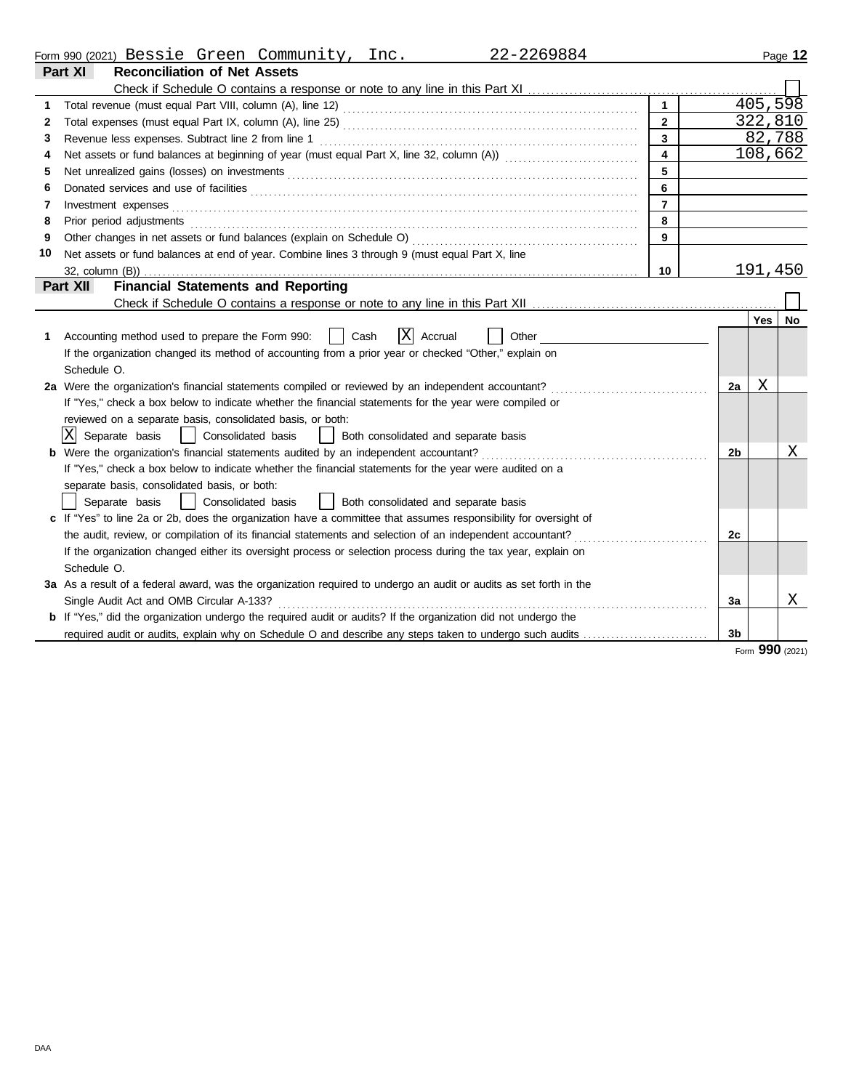|  | Form 990 (2021) | Bessie | Green | Community | $n \alpha$<br>. JIIU | 2269884<br>ی کے ا | Page |
|--|-----------------|--------|-------|-----------|----------------------|-------------------|------|
|--|-----------------|--------|-------|-----------|----------------------|-------------------|------|

|    | Part XI<br><b>Reconciliation of Net Assets</b>                                                                        |                         |                |                 |     |
|----|-----------------------------------------------------------------------------------------------------------------------|-------------------------|----------------|-----------------|-----|
|    |                                                                                                                       |                         |                |                 |     |
| 1  |                                                                                                                       |                         |                | 405, 598        |     |
| 2  |                                                                                                                       | $\overline{2}$          |                | 322,810         |     |
| 3  |                                                                                                                       | $\overline{3}$          |                | 82,788          |     |
| 4  |                                                                                                                       | $\overline{\mathbf{4}}$ |                | 108,662         |     |
| 5  |                                                                                                                       | 5                       |                |                 |     |
| 6  |                                                                                                                       | 6                       |                |                 |     |
| 7  | Investment expenses                                                                                                   | $\overline{7}$          |                |                 |     |
| 8  | Prior period adjustments                                                                                              | 8                       |                |                 |     |
| 9  | Other changes in net assets or fund balances (explain on Schedule O)                                                  | 9                       |                |                 |     |
| 10 | Net assets or fund balances at end of year. Combine lines 3 through 9 (must equal Part X, line                        |                         |                |                 |     |
|    | 32, column (B))                                                                                                       | 10                      |                | 191,450         |     |
|    | <b>Financial Statements and Reporting</b><br>Part XII                                                                 |                         |                |                 |     |
|    |                                                                                                                       |                         |                |                 |     |
|    |                                                                                                                       |                         |                | Yes             | No. |
| 1  | ΙXΙ<br>Cash<br>Accrual<br>Other<br>Accounting method used to prepare the Form 990:                                    |                         |                |                 |     |
|    | If the organization changed its method of accounting from a prior year or checked "Other," explain on                 |                         |                |                 |     |
|    | Schedule O.                                                                                                           |                         |                |                 |     |
|    | 2a Were the organization's financial statements compiled or reviewed by an independent accountant?                    |                         | 2a             | Χ               |     |
|    | If "Yes," check a box below to indicate whether the financial statements for the year were compiled or                |                         |                |                 |     |
|    | reviewed on a separate basis, consolidated basis, or both:                                                            |                         |                |                 |     |
|    | IXI<br>Separate basis<br>  Consolidated basis<br>Both consolidated and separate basis                                 |                         |                |                 |     |
|    | <b>b</b> Were the organization's financial statements audited by an independent accountant?                           |                         | 2 <sub>b</sub> |                 | Χ   |
|    | If "Yes," check a box below to indicate whether the financial statements for the year were audited on a               |                         |                |                 |     |
|    | separate basis, consolidated basis, or both:                                                                          |                         |                |                 |     |
|    | Separate basis<br>Consolidated basis<br>Both consolidated and separate basis                                          |                         |                |                 |     |
|    | c If "Yes" to line 2a or 2b, does the organization have a committee that assumes responsibility for oversight of      |                         |                |                 |     |
|    |                                                                                                                       |                         | 2c             |                 |     |
|    | If the organization changed either its oversight process or selection process during the tax year, explain on         |                         |                |                 |     |
|    | Schedule O.                                                                                                           |                         |                |                 |     |
|    | 3a As a result of a federal award, was the organization required to undergo an audit or audits as set forth in the    |                         |                |                 |     |
|    | Single Audit Act and OMB Circular A-133?                                                                              |                         | 3a             |                 | Χ   |
|    | <b>b</b> If "Yes," did the organization undergo the required audit or audits? If the organization did not undergo the |                         |                |                 |     |
|    | required audit or audits, explain why on Schedule O and describe any steps taken to undergo such audits               |                         | 3 <sub>b</sub> |                 |     |
|    |                                                                                                                       |                         |                | Form 990 (2021) |     |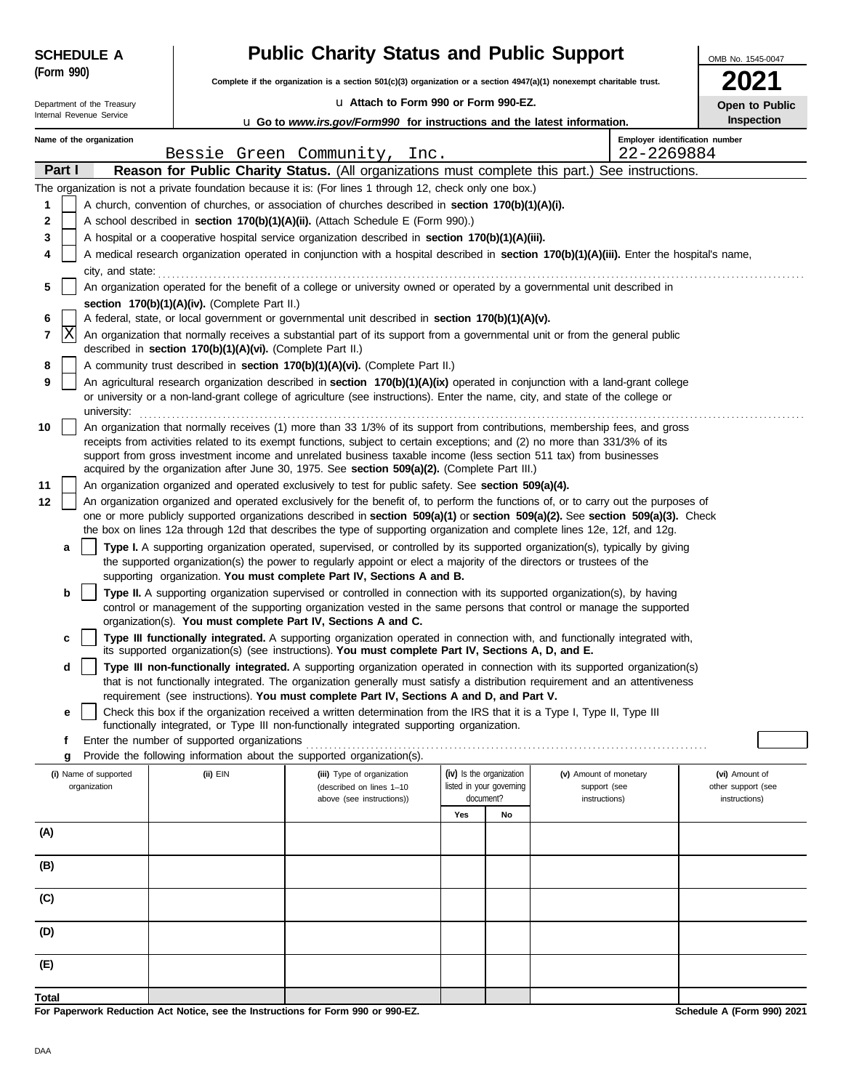| <b>SCHEDULE A</b>          |                                                                                                                                                                                                                                                  | <b>Public Charity Status and Public Support</b>                                                                                                                                                                                                             |                                       |    |                               | OMB No. 1545-0047                   |  |  |  |  |
|----------------------------|--------------------------------------------------------------------------------------------------------------------------------------------------------------------------------------------------------------------------------------------------|-------------------------------------------------------------------------------------------------------------------------------------------------------------------------------------------------------------------------------------------------------------|---------------------------------------|----|-------------------------------|-------------------------------------|--|--|--|--|
| (Form 990)                 |                                                                                                                                                                                                                                                  | Complete if the organization is a section 501(c)(3) organization or a section 4947(a)(1) nonexempt charitable trust.                                                                                                                                        |                                       |    |                               |                                     |  |  |  |  |
| Department of the Treasury |                                                                                                                                                                                                                                                  | La Attach to Form 990 or Form 990-EZ.                                                                                                                                                                                                                       |                                       |    |                               | Open to Public                      |  |  |  |  |
| Internal Revenue Service   |                                                                                                                                                                                                                                                  | <b>u</b> Go to www.irs.gov/Form990 for instructions and the latest information.                                                                                                                                                                             |                                       |    |                               | Inspection                          |  |  |  |  |
| Name of the organization   |                                                                                                                                                                                                                                                  |                                                                                                                                                                                                                                                             |                                       |    |                               | Employer identification number      |  |  |  |  |
| Part I                     |                                                                                                                                                                                                                                                  | Bessie Green Community, Inc.<br>Reason for Public Charity Status. (All organizations must complete this part.) See instructions.                                                                                                                            |                                       |    | 22-2269884                    |                                     |  |  |  |  |
|                            |                                                                                                                                                                                                                                                  | The organization is not a private foundation because it is: (For lines 1 through 12, check only one box.)                                                                                                                                                   |                                       |    |                               |                                     |  |  |  |  |
| 1                          |                                                                                                                                                                                                                                                  | A church, convention of churches, or association of churches described in section 170(b)(1)(A)(i).                                                                                                                                                          |                                       |    |                               |                                     |  |  |  |  |
| 2                          |                                                                                                                                                                                                                                                  | A school described in section 170(b)(1)(A)(ii). (Attach Schedule E (Form 990).)                                                                                                                                                                             |                                       |    |                               |                                     |  |  |  |  |
| 3                          |                                                                                                                                                                                                                                                  | A hospital or a cooperative hospital service organization described in section 170(b)(1)(A)(iii).                                                                                                                                                           |                                       |    |                               |                                     |  |  |  |  |
| 4                          |                                                                                                                                                                                                                                                  | A medical research organization operated in conjunction with a hospital described in section 170(b)(1)(A)(iii). Enter the hospital's name,                                                                                                                  |                                       |    |                               |                                     |  |  |  |  |
| city, and state:<br>5      |                                                                                                                                                                                                                                                  | An organization operated for the benefit of a college or university owned or operated by a governmental unit described in                                                                                                                                   |                                       |    |                               |                                     |  |  |  |  |
|                            | section 170(b)(1)(A)(iv). (Complete Part II.)                                                                                                                                                                                                    |                                                                                                                                                                                                                                                             |                                       |    |                               |                                     |  |  |  |  |
| 6                          |                                                                                                                                                                                                                                                  | A federal, state, or local government or governmental unit described in section 170(b)(1)(A)(v).                                                                                                                                                            |                                       |    |                               |                                     |  |  |  |  |
| X<br>7                     | An organization that normally receives a substantial part of its support from a governmental unit or from the general public<br>described in section 170(b)(1)(A)(vi). (Complete Part II.)                                                       |                                                                                                                                                                                                                                                             |                                       |    |                               |                                     |  |  |  |  |
| 8                          | A community trust described in section 170(b)(1)(A)(vi). (Complete Part II.)                                                                                                                                                                     |                                                                                                                                                                                                                                                             |                                       |    |                               |                                     |  |  |  |  |
| 9                          | An agricultural research organization described in section 170(b)(1)(A)(ix) operated in conjunction with a land-grant college                                                                                                                    |                                                                                                                                                                                                                                                             |                                       |    |                               |                                     |  |  |  |  |
|                            | or university or a non-land-grant college of agriculture (see instructions). Enter the name, city, and state of the college or                                                                                                                   |                                                                                                                                                                                                                                                             |                                       |    |                               |                                     |  |  |  |  |
| 10                         | university:<br>An organization that normally receives (1) more than 33 1/3% of its support from contributions, membership fees, and gross                                                                                                        |                                                                                                                                                                                                                                                             |                                       |    |                               |                                     |  |  |  |  |
|                            | receipts from activities related to its exempt functions, subject to certain exceptions; and (2) no more than 331/3% of its<br>support from gross investment income and unrelated business taxable income (less section 511 tax) from businesses |                                                                                                                                                                                                                                                             |                                       |    |                               |                                     |  |  |  |  |
|                            |                                                                                                                                                                                                                                                  | acquired by the organization after June 30, 1975. See section 509(a)(2). (Complete Part III.)                                                                                                                                                               |                                       |    |                               |                                     |  |  |  |  |
| 11                         |                                                                                                                                                                                                                                                  | An organization organized and operated exclusively to test for public safety. See section 509(a)(4).                                                                                                                                                        |                                       |    |                               |                                     |  |  |  |  |
| 12                         |                                                                                                                                                                                                                                                  | An organization organized and operated exclusively for the benefit of, to perform the functions of, or to carry out the purposes of                                                                                                                         |                                       |    |                               |                                     |  |  |  |  |
|                            |                                                                                                                                                                                                                                                  | one or more publicly supported organizations described in section 509(a)(1) or section 509(a)(2). See section 509(a)(3). Check<br>the box on lines 12a through 12d that describes the type of supporting organization and complete lines 12e, 12f, and 12g. |                                       |    |                               |                                     |  |  |  |  |
| a                          |                                                                                                                                                                                                                                                  | Type I. A supporting organization operated, supervised, or controlled by its supported organization(s), typically by giving                                                                                                                                 |                                       |    |                               |                                     |  |  |  |  |
|                            |                                                                                                                                                                                                                                                  | the supported organization(s) the power to regularly appoint or elect a majority of the directors or trustees of the<br>supporting organization. You must complete Part IV, Sections A and B.                                                               |                                       |    |                               |                                     |  |  |  |  |
| b                          |                                                                                                                                                                                                                                                  | Type II. A supporting organization supervised or controlled in connection with its supported organization(s), by having                                                                                                                                     |                                       |    |                               |                                     |  |  |  |  |
|                            |                                                                                                                                                                                                                                                  | control or management of the supporting organization vested in the same persons that control or manage the supported                                                                                                                                        |                                       |    |                               |                                     |  |  |  |  |
| c                          |                                                                                                                                                                                                                                                  | organization(s). You must complete Part IV, Sections A and C.<br>Type III functionally integrated. A supporting organization operated in connection with, and functionally integrated with,                                                                 |                                       |    |                               |                                     |  |  |  |  |
|                            |                                                                                                                                                                                                                                                  | its supported organization(s) (see instructions). You must complete Part IV, Sections A, D, and E.                                                                                                                                                          |                                       |    |                               |                                     |  |  |  |  |
| d                          |                                                                                                                                                                                                                                                  | Type III non-functionally integrated. A supporting organization operated in connection with its supported organization(s)                                                                                                                                   |                                       |    |                               |                                     |  |  |  |  |
|                            |                                                                                                                                                                                                                                                  | that is not functionally integrated. The organization generally must satisfy a distribution requirement and an attentiveness<br>requirement (see instructions). You must complete Part IV, Sections A and D, and Part V.                                    |                                       |    |                               |                                     |  |  |  |  |
| е                          |                                                                                                                                                                                                                                                  | Check this box if the organization received a written determination from the IRS that it is a Type I, Type II, Type III                                                                                                                                     |                                       |    |                               |                                     |  |  |  |  |
| f                          | Enter the number of supported organizations                                                                                                                                                                                                      | functionally integrated, or Type III non-functionally integrated supporting organization.                                                                                                                                                                   |                                       |    |                               |                                     |  |  |  |  |
| g                          |                                                                                                                                                                                                                                                  | Provide the following information about the supported organization(s).                                                                                                                                                                                      |                                       |    |                               |                                     |  |  |  |  |
| (i) Name of supported      | (ii) EIN                                                                                                                                                                                                                                         | (iii) Type of organization                                                                                                                                                                                                                                  | (iv) Is the organization              |    | (v) Amount of monetary        | (vi) Amount of                      |  |  |  |  |
| organization               |                                                                                                                                                                                                                                                  | (described on lines 1-10<br>above (see instructions))                                                                                                                                                                                                       | listed in your governing<br>document? |    | support (see<br>instructions) | other support (see<br>instructions) |  |  |  |  |
|                            |                                                                                                                                                                                                                                                  |                                                                                                                                                                                                                                                             | Yes                                   | No |                               |                                     |  |  |  |  |
| (A)                        |                                                                                                                                                                                                                                                  |                                                                                                                                                                                                                                                             |                                       |    |                               |                                     |  |  |  |  |
| (B)                        |                                                                                                                                                                                                                                                  |                                                                                                                                                                                                                                                             |                                       |    |                               |                                     |  |  |  |  |
|                            |                                                                                                                                                                                                                                                  |                                                                                                                                                                                                                                                             |                                       |    |                               |                                     |  |  |  |  |
| (C)                        |                                                                                                                                                                                                                                                  |                                                                                                                                                                                                                                                             |                                       |    |                               |                                     |  |  |  |  |
|                            |                                                                                                                                                                                                                                                  |                                                                                                                                                                                                                                                             |                                       |    |                               |                                     |  |  |  |  |
| (D)                        |                                                                                                                                                                                                                                                  |                                                                                                                                                                                                                                                             |                                       |    |                               |                                     |  |  |  |  |
| (E)                        |                                                                                                                                                                                                                                                  |                                                                                                                                                                                                                                                             |                                       |    |                               |                                     |  |  |  |  |
|                            |                                                                                                                                                                                                                                                  |                                                                                                                                                                                                                                                             |                                       |    |                               |                                     |  |  |  |  |
| Total                      |                                                                                                                                                                                                                                                  |                                                                                                                                                                                                                                                             |                                       |    |                               | 0.00100                             |  |  |  |  |

**For Paperwork Reduction Act Notice, see the Instructions for Form 990 or 990-EZ.**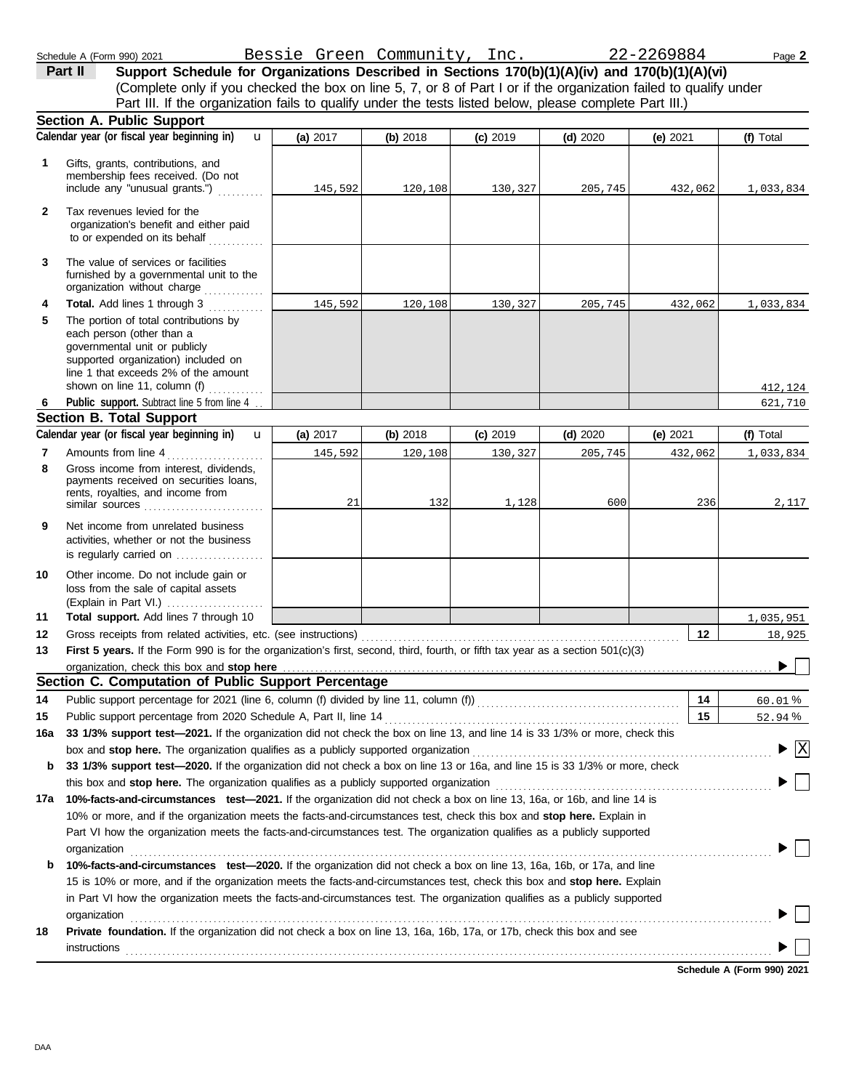**Section A. Public Support** Schedule A (Form 990) 2021 Page **2 (a)** 2017 **(b)** 2018 **(c)** 2019 **(d)** 2020 **(e)** 2021 (Complete only if you checked the box on line 5, 7, or 8 of Part I or if the organization failed to qualify under **Part II Support Schedule for Organizations Described in Sections 170(b)(1)(A)(iv) and 170(b)(1)(A)(vi)** Part III. If the organization fails to qualify under the tests listed below, please complete Part III.) u Bessie Green Community, Inc. 22-2269884

|              | Calendar year (or fiscal year beginning in)<br>$\mathbf u$                                                                                                                                                                                                       | (a) 2017 | (b) 2018 | $(c)$ 2019 | $(d)$ 2020 | (e) $2021$ | (f) Total                              |
|--------------|------------------------------------------------------------------------------------------------------------------------------------------------------------------------------------------------------------------------------------------------------------------|----------|----------|------------|------------|------------|----------------------------------------|
| 1.           | Gifts, grants, contributions, and<br>membership fees received. (Do not<br>include any "unusual grants.")                                                                                                                                                         | 145,592  | 120,108  | 130,327    | 205,745    | 432,062    | 1,033,834                              |
| $\mathbf{2}$ | Tax revenues levied for the<br>organization's benefit and either paid<br>to or expended on its behalf<br><u>.</u>                                                                                                                                                |          |          |            |            |            |                                        |
| 3            | The value of services or facilities<br>furnished by a governmental unit to the<br>organization without charge                                                                                                                                                    |          |          |            |            |            |                                        |
| 4            | Total. Add lines 1 through 3                                                                                                                                                                                                                                     | 145,592  | 120,108  | 130,327    | 205,745    | 432,062    | 1,033,834                              |
| 5            | The portion of total contributions by<br>each person (other than a<br>governmental unit or publicly<br>supported organization) included on<br>line 1 that exceeds 2% of the amount<br>shown on line 11, column (f) $\ldots$                                      |          |          |            |            |            | 412,124                                |
| 6            | Public support. Subtract line 5 from line 4                                                                                                                                                                                                                      |          |          |            |            |            | 621,710                                |
|              | Section B. Total Support                                                                                                                                                                                                                                         |          |          |            |            |            |                                        |
|              | Calendar year (or fiscal year beginning in)<br>$\mathbf{u}$                                                                                                                                                                                                      | (a) 2017 | (b) 2018 | $(c)$ 2019 | $(d)$ 2020 | (e) 2021   | (f) Total                              |
| 7            | Amounts from line 4<br>.                                                                                                                                                                                                                                         | 145,592  | 120,108  | 130,327    | 205,745    | 432,062    | 1,033,834                              |
| 8            | Gross income from interest, dividends,<br>payments received on securities loans,<br>rents, royalties, and income from<br>similar sources                                                                                                                         | 21       | 132      | 1,128      | 600        | 236        | 2,117                                  |
| 9            | Net income from unrelated business<br>activities, whether or not the business<br>is regularly carried on                                                                                                                                                         |          |          |            |            |            |                                        |
| 10           | Other income. Do not include gain or<br>loss from the sale of capital assets<br>(Explain in Part VI.)                                                                                                                                                            |          |          |            |            |            |                                        |
| 11           | Total support. Add lines 7 through 10                                                                                                                                                                                                                            |          |          |            |            |            | 1,035,951                              |
| 12           | Gross receipts from related activities, etc. (see instructions)                                                                                                                                                                                                  |          |          |            |            | 12         | 18,925                                 |
| 13           | First 5 years. If the Form 990 is for the organization's first, second, third, fourth, or fifth tax year as a section 501(c)(3)                                                                                                                                  |          |          |            |            |            |                                        |
|              | organization, check this box and stop here                                                                                                                                                                                                                       |          |          |            |            |            |                                        |
|              | Section C. Computation of Public Support Percentage                                                                                                                                                                                                              |          |          |            |            |            |                                        |
| 14           |                                                                                                                                                                                                                                                                  |          |          |            |            | 14         | 60.01%                                 |
| 15           | Public support percentage from 2020 Schedule A, Part II, line 14                                                                                                                                                                                                 |          |          |            |            | 15         | 52.94 %                                |
| 16a          | 33 1/3% support test-2021. If the organization did not check the box on line 13, and line 14 is 33 1/3% or more, check this                                                                                                                                      |          |          |            |            |            |                                        |
|              | box and stop here. The organization qualifies as a publicly supported organization                                                                                                                                                                               |          |          |            |            |            | $\blacktriangleright \boxed{\text{X}}$ |
| b            | 33 1/3% support test-2020. If the organization did not check a box on line 13 or 16a, and line 15 is 33 1/3% or more, check                                                                                                                                      |          |          |            |            |            |                                        |
|              | this box and stop here. The organization qualifies as a publicly supported organization                                                                                                                                                                          |          |          |            |            |            |                                        |
| 17a          | 10%-facts-and-circumstances test-2021. If the organization did not check a box on line 13, 16a, or 16b, and line 14 is                                                                                                                                           |          |          |            |            |            |                                        |
|              | 10% or more, and if the organization meets the facts-and-circumstances test, check this box and stop here. Explain in<br>Part VI how the organization meets the facts-and-circumstances test. The organization qualifies as a publicly supported<br>organization |          |          |            |            |            |                                        |
| b            | 10%-facts-and-circumstances test-2020. If the organization did not check a box on line 13, 16a, 16b, or 17a, and line                                                                                                                                            |          |          |            |            |            |                                        |
|              | 15 is 10% or more, and if the organization meets the facts-and-circumstances test, check this box and stop here. Explain                                                                                                                                         |          |          |            |            |            |                                        |
|              | in Part VI how the organization meets the facts-and-circumstances test. The organization qualifies as a publicly supported                                                                                                                                       |          |          |            |            |            |                                        |
|              | organization                                                                                                                                                                                                                                                     |          |          |            |            |            |                                        |
| 18           | Private foundation. If the organization did not check a box on line 13, 16a, 16b, 17a, or 17b, check this box and see<br>instructions                                                                                                                            |          |          |            |            |            |                                        |
|              |                                                                                                                                                                                                                                                                  |          |          |            |            |            |                                        |
|              |                                                                                                                                                                                                                                                                  |          |          |            |            |            | Schedule A (Form 990) 2021             |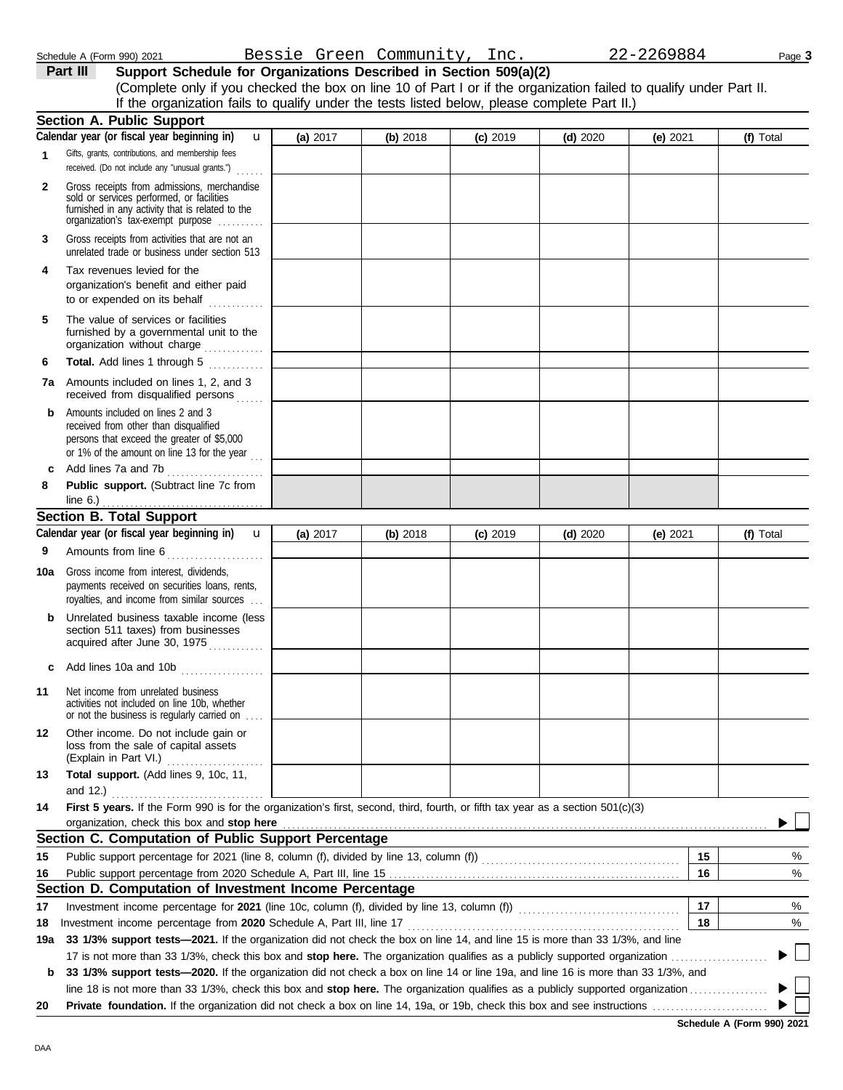DAA

|              | Schedule A (Form 990) 2021                                                                                                                                                                                                                                                                                                                |          | Bessie Green Community, Inc. |            |            | 22-2269884 | Page 3    |
|--------------|-------------------------------------------------------------------------------------------------------------------------------------------------------------------------------------------------------------------------------------------------------------------------------------------------------------------------------------------|----------|------------------------------|------------|------------|------------|-----------|
|              | Support Schedule for Organizations Described in Section 509(a)(2)<br>Part III<br>(Complete only if you checked the box on line 10 of Part I or if the organization failed to qualify under Part II.<br>If the organization fails to qualify under the tests listed below, please complete Part II.)                                       |          |                              |            |            |            |           |
|              | <b>Section A. Public Support</b>                                                                                                                                                                                                                                                                                                          |          |                              |            |            |            |           |
|              | Calendar year (or fiscal year beginning in)<br>$\mathbf{u}$                                                                                                                                                                                                                                                                               | (a) 2017 | (b) 2018                     | $(c)$ 2019 | $(d)$ 2020 | (e) 2021   | (f) Total |
| 1            | Gifts, grants, contributions, and membership fees<br>received. (Do not include any "unusual grants.")<br>a sa sa                                                                                                                                                                                                                          |          |                              |            |            |            |           |
| $\mathbf{2}$ | Gross receipts from admissions, merchandise<br>sold or services performed, or facilities<br>furnished in any activity that is related to the<br>organization's tax-exempt purpose                                                                                                                                                         |          |                              |            |            |            |           |
| 3            | Gross receipts from activities that are not an<br>unrelated trade or business under section 513                                                                                                                                                                                                                                           |          |                              |            |            |            |           |
| 4            | Tax revenues levied for the<br>organization's benefit and either paid<br>to or expended on its behalf<br>an an Dùbhaich an Dùbhaich an Dùbhaich an Dùbhaich an Dùbhaich an Dùbhaich an Dùbhaich an Dùbhaich an Dùbhaich<br>Bailte an Dùbhaich an Dùbhaich an Dùbhaich an Dùbhaich an Dùbhaich an Dùbhaich an Dùbhaich an Dùbhaich an Dùbh |          |                              |            |            |            |           |
| 5            | The value of services or facilities<br>furnished by a governmental unit to the<br>organization without charge                                                                                                                                                                                                                             |          |                              |            |            |            |           |
| 6            | Total. Add lines 1 through 5                                                                                                                                                                                                                                                                                                              |          |                              |            |            |            |           |
| 7а           | Amounts included on lines 1, 2, and 3<br>received from disqualified persons                                                                                                                                                                                                                                                               |          |                              |            |            |            |           |
| b            | Amounts included on lines 2 and 3<br>received from other than disqualified<br>persons that exceed the greater of \$5,000<br>or 1% of the amount on line 13 for the year $\ldots$                                                                                                                                                          |          |                              |            |            |            |           |
| c            | Add lines 7a and 7b                                                                                                                                                                                                                                                                                                                       |          |                              |            |            |            |           |
| 8            | Public support. (Subtract line 7c from                                                                                                                                                                                                                                                                                                    |          |                              |            |            |            |           |
|              | line 6.) $\ldots$ $\ldots$ $\ldots$ $\ldots$ $\ldots$ $\ldots$<br><b>Section B. Total Support</b>                                                                                                                                                                                                                                         |          |                              |            |            |            |           |
|              | Calendar year (or fiscal year beginning in)<br>$\mathbf{u}$                                                                                                                                                                                                                                                                               | (a) 2017 | (b) 2018                     | $(c)$ 2019 | $(d)$ 2020 | (e) 2021   | (f) Total |
| 9            | Amounts from line 6                                                                                                                                                                                                                                                                                                                       |          |                              |            |            |            |           |
| 10a          | Gross income from interest, dividends,<br>payments received on securities loans, rents,<br>royalties, and income from similar sources                                                                                                                                                                                                     |          |                              |            |            |            |           |
| b            | Unrelated business taxable income (less<br>section 511 taxes) from businesses<br>acquired after June 20, 1075                                                                                                                                                                                                                             |          |                              |            |            |            |           |

|             | section 511 taxes) from businesses<br>acquired after June 30, 1975                                                                                                                                                                                                                                                                                                     |  |  |    |   |
|-------------|------------------------------------------------------------------------------------------------------------------------------------------------------------------------------------------------------------------------------------------------------------------------------------------------------------------------------------------------------------------------|--|--|----|---|
| C           |                                                                                                                                                                                                                                                                                                                                                                        |  |  |    |   |
| 11          | Net income from unrelated business<br>activities not included on line 10b, whether<br>or not the business is regularly carried on                                                                                                                                                                                                                                      |  |  |    |   |
| 12          | Other income. Do not include gain or<br>loss from the sale of capital assets<br>(Explain in Part VI.)                                                                                                                                                                                                                                                                  |  |  |    |   |
| 13          | Total support. (Add lines 9, 10c, 11,<br>and 12.) <u></u> l                                                                                                                                                                                                                                                                                                            |  |  |    |   |
| 14          | First 5 years. If the Form 990 is for the organization's first, second, third, fourth, or fifth tax year as a section 501(c)(3)<br>organization, check this box and stop here <i>manufactured contained and stop</i> here and stop here are all the contained and stop here are all the contained and stop here are all the contained and stop here are all the contai |  |  |    |   |
|             | Section C. Computation of Public Support Percentage                                                                                                                                                                                                                                                                                                                    |  |  |    |   |
| 15          |                                                                                                                                                                                                                                                                                                                                                                        |  |  | 15 | % |
| 16          |                                                                                                                                                                                                                                                                                                                                                                        |  |  | 16 | % |
|             | Section D. Computation of Investment Income Percentage                                                                                                                                                                                                                                                                                                                 |  |  |    |   |
| 17          | Investment income percentage for 2021 (line 10c, column (f), divided by line 13, column (f)) [[[[[[[[[[[[[[[[                                                                                                                                                                                                                                                          |  |  | 17 | % |
| 18          | Investment income percentage from 2020 Schedule A, Part III, line 17                                                                                                                                                                                                                                                                                                   |  |  | 18 | % |
| 19a l       | 33 1/3% support tests—2021. If the organization did not check the box on line 14, and line 15 is more than 33 1/3%, and line                                                                                                                                                                                                                                           |  |  |    |   |
|             |                                                                                                                                                                                                                                                                                                                                                                        |  |  |    |   |
| $\mathbf b$ | 33 1/3% support tests—2020. If the organization did not check a box on line 14 or line 19a, and line 16 is more than 33 1/3%, and                                                                                                                                                                                                                                      |  |  |    |   |
|             |                                                                                                                                                                                                                                                                                                                                                                        |  |  |    |   |
| 20          |                                                                                                                                                                                                                                                                                                                                                                        |  |  |    |   |

**Schedule A (Form 990) 2021**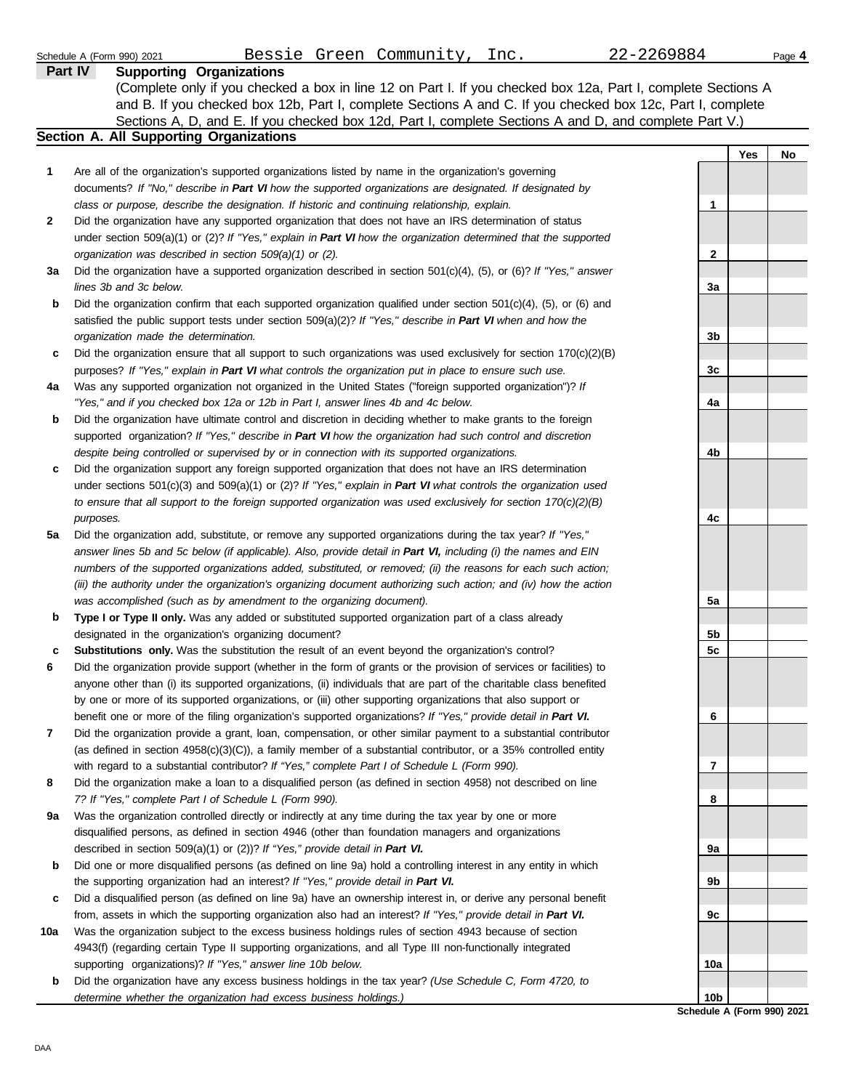|     | 22-2269884<br>Bessie Green Community, Inc.<br>Schedule A (Form 990) 2021                                                                                                                             |                             |     | Page 4 |
|-----|------------------------------------------------------------------------------------------------------------------------------------------------------------------------------------------------------|-----------------------------|-----|--------|
|     | <b>Supporting Organizations</b><br><b>Part IV</b>                                                                                                                                                    |                             |     |        |
|     | (Complete only if you checked a box in line 12 on Part I. If you checked box 12a, Part I, complete Sections A                                                                                        |                             |     |        |
|     | and B. If you checked box 12b, Part I, complete Sections A and C. If you checked box 12c, Part I, complete                                                                                           |                             |     |        |
|     | Sections A, D, and E. If you checked box 12d, Part I, complete Sections A and D, and complete Part V.)                                                                                               |                             |     |        |
|     | Section A. All Supporting Organizations                                                                                                                                                              |                             |     |        |
|     |                                                                                                                                                                                                      |                             | Yes | No.    |
| 1   | Are all of the organization's supported organizations listed by name in the organization's governing                                                                                                 |                             |     |        |
|     | documents? If "No," describe in Part VI how the supported organizations are designated. If designated by                                                                                             |                             |     |        |
|     | class or purpose, describe the designation. If historic and continuing relationship, explain.                                                                                                        | $\mathbf{1}$                |     |        |
| 2   | Did the organization have any supported organization that does not have an IRS determination of status                                                                                               |                             |     |        |
|     | under section 509(a)(1) or (2)? If "Yes," explain in Part VI how the organization determined that the supported                                                                                      |                             |     |        |
|     | organization was described in section 509(a)(1) or (2).                                                                                                                                              | 2                           |     |        |
| За  | Did the organization have a supported organization described in section $501(c)(4)$ , (5), or (6)? If "Yes," answer                                                                                  |                             |     |        |
|     | lines 3b and 3c below.                                                                                                                                                                               | 3a                          |     |        |
| b   | Did the organization confirm that each supported organization qualified under section $501(c)(4)$ , $(5)$ , or $(6)$ and                                                                             |                             |     |        |
|     | satisfied the public support tests under section 509(a)(2)? If "Yes," describe in Part VI when and how the<br>organization made the determination.                                                   | 3 <sub>b</sub>              |     |        |
| c   | Did the organization ensure that all support to such organizations was used exclusively for section $170(c)(2)(B)$                                                                                   |                             |     |        |
|     | purposes? If "Yes," explain in Part VI what controls the organization put in place to ensure such use.                                                                                               | 3c                          |     |        |
| 4a  | Was any supported organization not organized in the United States ("foreign supported organization")? If                                                                                             |                             |     |        |
|     | "Yes," and if you checked box 12a or 12b in Part I, answer lines 4b and 4c below.                                                                                                                    | 4a                          |     |        |
| b   | Did the organization have ultimate control and discretion in deciding whether to make grants to the foreign                                                                                          |                             |     |        |
|     | supported organization? If "Yes," describe in Part VI how the organization had such control and discretion                                                                                           |                             |     |        |
|     | despite being controlled or supervised by or in connection with its supported organizations.                                                                                                         | 4b                          |     |        |
| c   | Did the organization support any foreign supported organization that does not have an IRS determination                                                                                              |                             |     |        |
|     | under sections $501(c)(3)$ and $509(a)(1)$ or (2)? If "Yes," explain in Part VI what controls the organization used                                                                                  |                             |     |        |
|     | to ensure that all support to the foreign supported organization was used exclusively for section $170(c)(2)(B)$                                                                                     |                             |     |        |
|     | purposes.                                                                                                                                                                                            | 4с                          |     |        |
| 5a  | Did the organization add, substitute, or remove any supported organizations during the tax year? If "Yes,"                                                                                           |                             |     |        |
|     | answer lines 5b and 5c below (if applicable). Also, provide detail in Part VI, including (i) the names and EIN                                                                                       |                             |     |        |
|     | numbers of the supported organizations added, substituted, or removed; (ii) the reasons for each such action;                                                                                        |                             |     |        |
|     | (iii) the authority under the organization's organizing document authorizing such action; and (iv) how the action                                                                                    |                             |     |        |
|     | was accomplished (such as by amendment to the organizing document).                                                                                                                                  | 5а                          |     |        |
| b   | Type I or Type II only. Was any added or substituted supported organization part of a class already                                                                                                  |                             |     |        |
|     | designated in the organization's organizing document?                                                                                                                                                | 5 <sub>b</sub>              |     |        |
|     | Substitutions only. Was the substitution the result of an event beyond the organization's control?                                                                                                   | 5c                          |     |        |
|     | Did the organization provide support (whether in the form of grants or the provision of services or facilities) to                                                                                   |                             |     |        |
|     | anyone other than (i) its supported organizations, (ii) individuals that are part of the charitable class benefited                                                                                  |                             |     |        |
|     | by one or more of its supported organizations, or (iii) other supporting organizations that also support or                                                                                          |                             |     |        |
|     | benefit one or more of the filing organization's supported organizations? If "Yes," provide detail in Part VI.                                                                                       | 6                           |     |        |
| 7   | Did the organization provide a grant, loan, compensation, or other similar payment to a substantial contributor                                                                                      |                             |     |        |
|     | (as defined in section $4958(c)(3)(C)$ ), a family member of a substantial contributor, or a 35% controlled entity                                                                                   |                             |     |        |
|     | with regard to a substantial contributor? If "Yes," complete Part I of Schedule L (Form 990).                                                                                                        | 7                           |     |        |
| 8   | Did the organization make a loan to a disqualified person (as defined in section 4958) not described on line                                                                                         |                             |     |        |
|     | 7? If "Yes," complete Part I of Schedule L (Form 990).                                                                                                                                               | 8                           |     |        |
| 9a  | Was the organization controlled directly or indirectly at any time during the tax year by one or more                                                                                                |                             |     |        |
|     | disqualified persons, as defined in section 4946 (other than foundation managers and organizations                                                                                                   |                             |     |        |
|     | described in section 509(a)(1) or (2))? If "Yes," provide detail in Part VI.                                                                                                                         | 9а                          |     |        |
| b   | Did one or more disqualified persons (as defined on line 9a) hold a controlling interest in any entity in which<br>the supporting organization had an interest? If "Yes," provide detail in Part VI. | 9b                          |     |        |
| c   | Did a disqualified person (as defined on line 9a) have an ownership interest in, or derive any personal benefit                                                                                      |                             |     |        |
|     | from, assets in which the supporting organization also had an interest? If "Yes," provide detail in Part VI.                                                                                         | 9c                          |     |        |
| 10a | Was the organization subject to the excess business holdings rules of section 4943 because of section                                                                                                |                             |     |        |
|     | 4943(f) (regarding certain Type II supporting organizations, and all Type III non-functionally integrated                                                                                            |                             |     |        |
|     | supporting organizations)? If "Yes," answer line 10b below.                                                                                                                                          | 10a                         |     |        |
| b   | Did the organization have any excess business holdings in the tax year? (Use Schedule C, Form 4720, to                                                                                               |                             |     |        |
|     | determine whether the organization had excess business holdings.)                                                                                                                                    | 10b                         |     |        |
|     |                                                                                                                                                                                                      | Peheelule A (Ferm 000) 2020 |     |        |

**Schedule A (Form 990) 2021**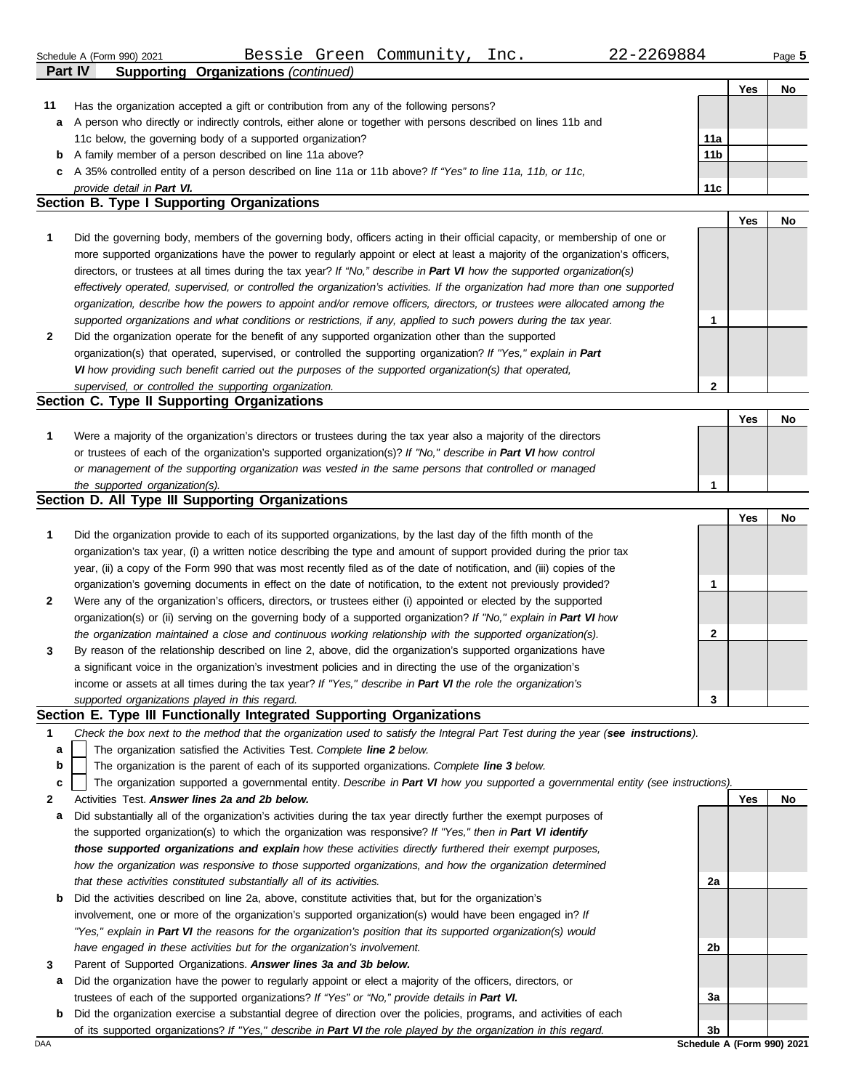|              | Bessie Green Community,<br>22-2269884<br>Inc.<br>Schedule A (Form 990) 2021                                                                                                                                                   |                 |     | Page 5 |
|--------------|-------------------------------------------------------------------------------------------------------------------------------------------------------------------------------------------------------------------------------|-----------------|-----|--------|
|              | <b>Supporting Organizations (continued)</b><br>Part IV                                                                                                                                                                        |                 |     |        |
|              |                                                                                                                                                                                                                               |                 | Yes | No     |
| 11           | Has the organization accepted a gift or contribution from any of the following persons?                                                                                                                                       |                 |     |        |
| а            | A person who directly or indirectly controls, either alone or together with persons described on lines 11b and                                                                                                                |                 |     |        |
|              | 11c below, the governing body of a supported organization?                                                                                                                                                                    | 11a             |     |        |
|              | <b>b</b> A family member of a person described on line 11a above?                                                                                                                                                             | 11 <sub>b</sub> |     |        |
| c            | A 35% controlled entity of a person described on line 11a or 11b above? If "Yes" to line 11a, 11b, or 11c,                                                                                                                    |                 |     |        |
|              | provide detail in Part VI.                                                                                                                                                                                                    | 11c             |     |        |
|              | Section B. Type I Supporting Organizations                                                                                                                                                                                    |                 |     |        |
|              |                                                                                                                                                                                                                               |                 | Yes | No     |
| 1            | Did the governing body, members of the governing body, officers acting in their official capacity, or membership of one or                                                                                                    |                 |     |        |
|              | more supported organizations have the power to regularly appoint or elect at least a majority of the organization's officers,                                                                                                 |                 |     |        |
|              | directors, or trustees at all times during the tax year? If "No," describe in Part VI how the supported organization(s)                                                                                                       |                 |     |        |
|              | effectively operated, supervised, or controlled the organization's activities. If the organization had more than one supported                                                                                                |                 |     |        |
|              | organization, describe how the powers to appoint and/or remove officers, directors, or trustees were allocated among the                                                                                                      |                 |     |        |
|              | supported organizations and what conditions or restrictions, if any, applied to such powers during the tax year.                                                                                                              | 1               |     |        |
| $\mathbf{2}$ | Did the organization operate for the benefit of any supported organization other than the supported                                                                                                                           |                 |     |        |
|              | organization(s) that operated, supervised, or controlled the supporting organization? If "Yes," explain in Part                                                                                                               |                 |     |        |
|              | VI how providing such benefit carried out the purposes of the supported organization(s) that operated,                                                                                                                        |                 |     |        |
|              | supervised, or controlled the supporting organization.                                                                                                                                                                        | $\mathbf 2$     |     |        |
|              | Section C. Type II Supporting Organizations                                                                                                                                                                                   |                 |     |        |
|              |                                                                                                                                                                                                                               |                 | Yes | No     |
| 1            | Were a majority of the organization's directors or trustees during the tax year also a majority of the directors                                                                                                              |                 |     |        |
|              | or trustees of each of the organization's supported organization(s)? If "No," describe in Part VI how control                                                                                                                 |                 |     |        |
|              | or management of the supporting organization was vested in the same persons that controlled or managed                                                                                                                        |                 |     |        |
|              | the supported organization(s).                                                                                                                                                                                                | 1               |     |        |
|              | Section D. All Type III Supporting Organizations                                                                                                                                                                              |                 |     |        |
|              |                                                                                                                                                                                                                               |                 | Yes | No     |
| 1            | Did the organization provide to each of its supported organizations, by the last day of the fifth month of the                                                                                                                |                 |     |        |
|              | organization's tax year, (i) a written notice describing the type and amount of support provided during the prior tax                                                                                                         |                 |     |        |
|              | year, (ii) a copy of the Form 990 that was most recently filed as of the date of notification, and (iii) copies of the                                                                                                        |                 |     |        |
|              | organization's governing documents in effect on the date of notification, to the extent not previously provided?                                                                                                              | 1               |     |        |
| 2            | Were any of the organization's officers, directors, or trustees either (i) appointed or elected by the supported                                                                                                              |                 |     |        |
|              | organization(s) or (ii) serving on the governing body of a supported organization? If "No," explain in Part VI how                                                                                                            | $\mathbf{2}$    |     |        |
|              | the organization maintained a close and continuous working relationship with the supported organization(s).                                                                                                                   |                 |     |        |
| 3            | By reason of the relationship described on line 2, above, did the organization's supported organizations have<br>a significant voice in the organization's investment policies and in directing the use of the organization's |                 |     |        |
|              |                                                                                                                                                                                                                               |                 |     |        |
|              | income or assets at all times during the tax year? If "Yes," describe in Part VI the role the organization's                                                                                                                  | 3               |     |        |
|              | supported organizations played in this regard.<br>Section E. Type III Functionally Integrated Supporting Organizations                                                                                                        |                 |     |        |
| 1            | Check the box next to the method that the organization used to satisfy the Integral Part Test during the year (see instructions).                                                                                             |                 |     |        |
|              |                                                                                                                                                                                                                               |                 |     |        |
| a            | The organization satisfied the Activities Test. Complete line 2 below.                                                                                                                                                        |                 |     |        |

The organization is the parent of each of its supported organizations. *Complete line 3 below.* **b**

The organization supported a governmental entity. *Describe in Part VI how you supported a governmental entity (see instructions).* **c**

**2** Activities Test. *Answer lines 2a and 2b below.*

- **a** Did substantially all of the organization's activities during the tax year directly further the exempt purposes of the supported organization(s) to which the organization was responsive? *If "Yes," then in Part VI identify those supported organizations and explain how these activities directly furthered their exempt purposes, how the organization was responsive to those supported organizations, and how the organization determined that these activities constituted substantially all of its activities.*
- **b** Did the activities described on line 2a, above, constitute activities that, but for the organization's involvement, one or more of the organization's supported organization(s) would have been engaged in? *If "Yes," explain in Part VI the reasons for the organization's position that its supported organization(s) would have engaged in these activities but for the organization's involvement.*
- **3** Parent of Supported Organizations. *Answer lines 3a and 3b below.*
- **a** Did the organization have the power to regularly appoint or elect a majority of the officers, directors, or trustees of each of the supported organizations? *If "Yes" or "No," provide details in Part VI.*
- **b** Did the organization exercise a substantial degree of direction over the policies, programs, and activities of each of its supported organizations? *If "Yes," describe in Part VI the role played by the organization in this regard.*

**2a**

**2b**

**3a**

**3b**

**Yes No**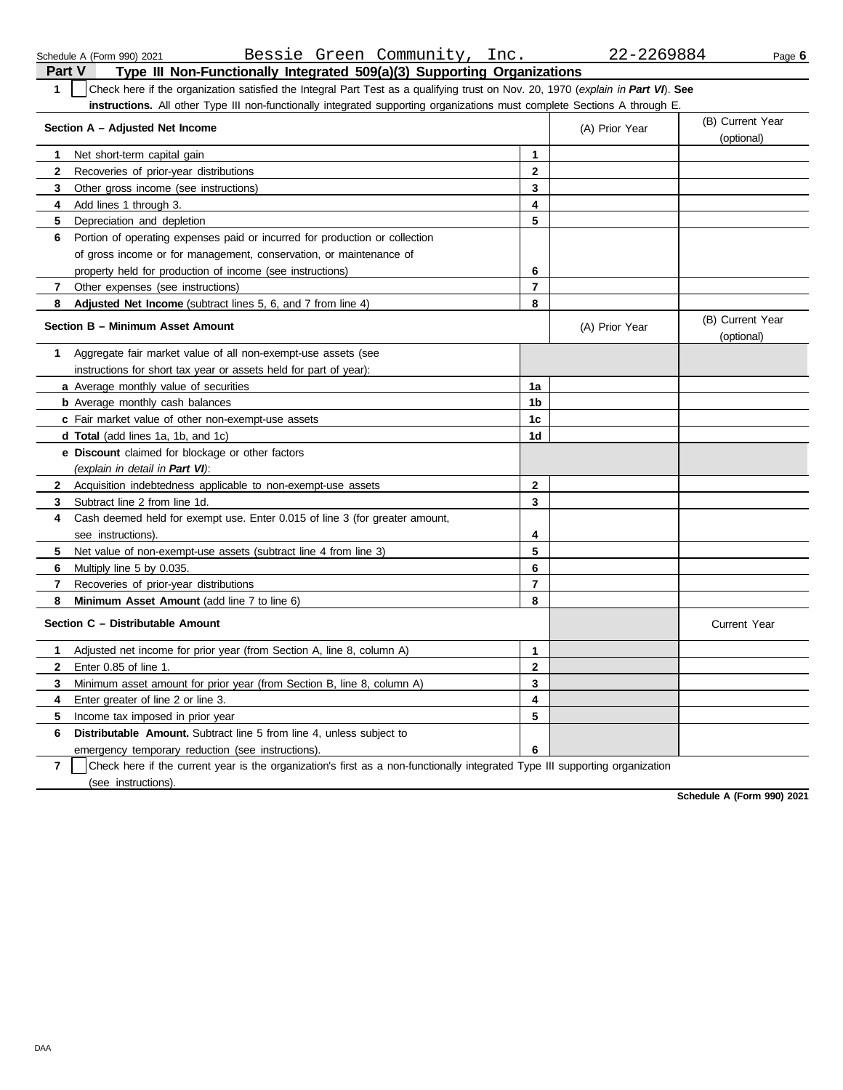|                | Bessie Green Community,<br>Inc.<br>Schedule A (Form 990) 2021                                                                    |                | 22-2269884     | Page 6                         |
|----------------|----------------------------------------------------------------------------------------------------------------------------------|----------------|----------------|--------------------------------|
| <b>Part V</b>  | Type III Non-Functionally Integrated 509(a)(3) Supporting Organizations                                                          |                |                |                                |
| $\mathbf{1}$   | Check here if the organization satisfied the Integral Part Test as a qualifying trust on Nov. 20, 1970 (explain in Part VI). See |                |                |                                |
|                | instructions. All other Type III non-functionally integrated supporting organizations must complete Sections A through E.        |                |                |                                |
|                | Section A – Adjusted Net Income                                                                                                  |                | (A) Prior Year | (B) Current Year<br>(optional) |
| 1              | Net short-term capital gain                                                                                                      | 1              |                |                                |
| 2              | Recoveries of prior-year distributions                                                                                           | $\mathbf{2}$   |                |                                |
| 3              | Other gross income (see instructions)                                                                                            | 3              |                |                                |
| 4              | Add lines 1 through 3.                                                                                                           | 4              |                |                                |
| 5              | Depreciation and depletion                                                                                                       | 5              |                |                                |
| 6              | Portion of operating expenses paid or incurred for production or collection                                                      |                |                |                                |
|                | of gross income or for management, conservation, or maintenance of                                                               |                |                |                                |
|                | property held for production of income (see instructions)                                                                        | 6              |                |                                |
| 7              | Other expenses (see instructions)                                                                                                | $\overline{7}$ |                |                                |
| 8              | Adjusted Net Income (subtract lines 5, 6, and 7 from line 4)                                                                     | 8              |                |                                |
|                | Section B - Minimum Asset Amount                                                                                                 |                | (A) Prior Year | (B) Current Year<br>(optional) |
| 1              | Aggregate fair market value of all non-exempt-use assets (see                                                                    |                |                |                                |
|                | instructions for short tax year or assets held for part of year):                                                                |                |                |                                |
|                | a Average monthly value of securities                                                                                            | 1a             |                |                                |
|                | <b>b</b> Average monthly cash balances                                                                                           | 1b             |                |                                |
|                | c Fair market value of other non-exempt-use assets                                                                               | 1c             |                |                                |
|                | d Total (add lines 1a, 1b, and 1c)                                                                                               | 1d             |                |                                |
|                | e Discount claimed for blockage or other factors                                                                                 |                |                |                                |
|                | (explain in detail in Part VI):                                                                                                  |                |                |                                |
| 2              | Acquisition indebtedness applicable to non-exempt-use assets                                                                     | $\mathbf{2}$   |                |                                |
| 3              | Subtract line 2 from line 1d.                                                                                                    | 3              |                |                                |
| 4              | Cash deemed held for exempt use. Enter 0.015 of line 3 (for greater amount,                                                      |                |                |                                |
|                | see instructions).                                                                                                               | 4              |                |                                |
| 5              | Net value of non-exempt-use assets (subtract line 4 from line 3)                                                                 | 5              |                |                                |
| 6              | Multiply line 5 by 0.035.                                                                                                        | 6              |                |                                |
| 7              | Recoveries of prior-year distributions                                                                                           | $\overline{7}$ |                |                                |
| 8              | Minimum Asset Amount (add line 7 to line 6)                                                                                      | 8              |                |                                |
|                | Section C - Distributable Amount                                                                                                 |                |                | <b>Current Year</b>            |
| 1.             | Adjusted net income for prior year (from Section A, line 8, column A)                                                            | 1              |                |                                |
|                | Enter 0.85 of line 1.                                                                                                            | 2              |                |                                |
| 3              | Minimum asset amount for prior year (from Section B, line 8, column A)                                                           | 3              |                |                                |
| 4              | Enter greater of line 2 or line 3.                                                                                               | 4              |                |                                |
| 5              | Income tax imposed in prior year                                                                                                 | 5              |                |                                |
| 6              | Distributable Amount. Subtract line 5 from line 4, unless subject to                                                             |                |                |                                |
|                | emergency temporary reduction (see instructions).                                                                                | 6              |                |                                |
| $\overline{7}$ | Check here if the current year is the organization's first as a non-functionally integrated Type III supporting organization     |                |                |                                |

(see instructions).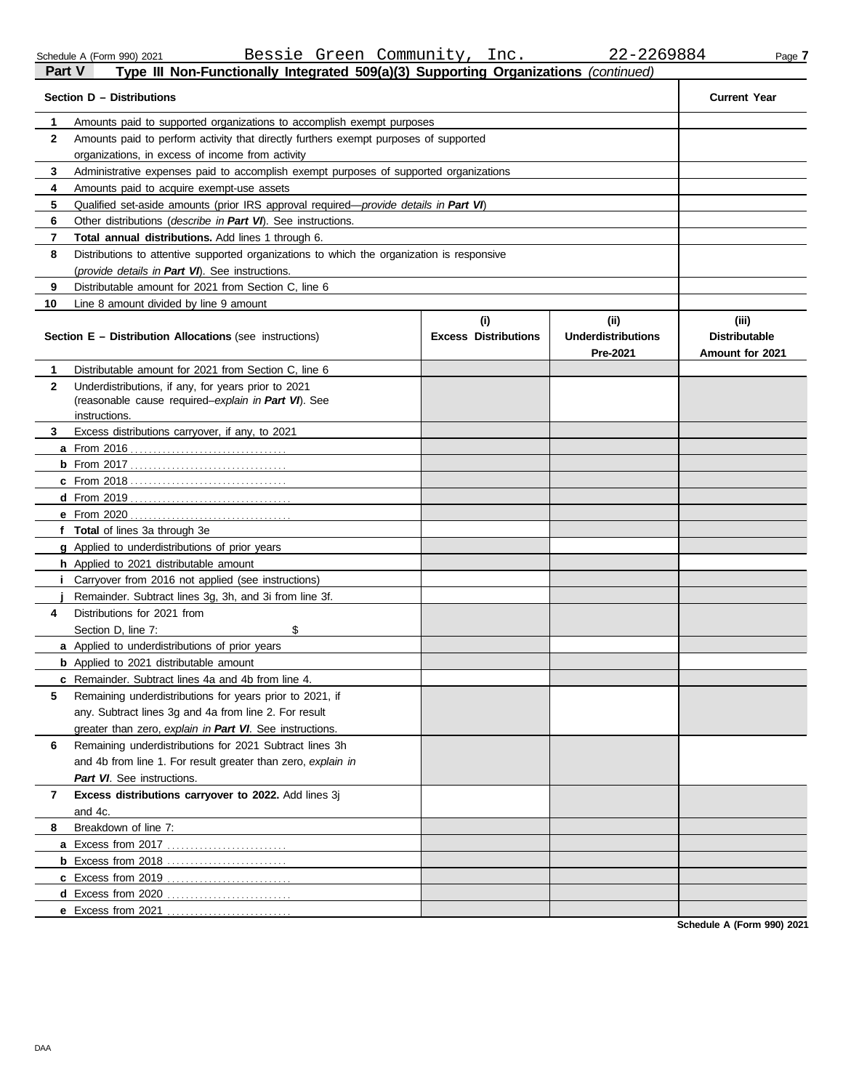| Part V | Type III Non-Functionally Integrated 509(a)(3) Supporting Organizations (continued)        |                                    |                                   |                               |
|--------|--------------------------------------------------------------------------------------------|------------------------------------|-----------------------------------|-------------------------------|
|        | Section D – Distributions                                                                  |                                    |                                   | <b>Current Year</b>           |
| 1      | Amounts paid to supported organizations to accomplish exempt purposes                      |                                    |                                   |                               |
| 2      | Amounts paid to perform activity that directly furthers exempt purposes of supported       |                                    |                                   |                               |
|        | organizations, in excess of income from activity                                           |                                    |                                   |                               |
| 3      | Administrative expenses paid to accomplish exempt purposes of supported organizations      |                                    |                                   |                               |
| 4      | Amounts paid to acquire exempt-use assets                                                  |                                    |                                   |                               |
| 5      | Qualified set-aside amounts (prior IRS approval required—provide details in Part VI)       |                                    |                                   |                               |
| 6      | Other distributions (describe in Part VI). See instructions.                               |                                    |                                   |                               |
| 7      | Total annual distributions. Add lines 1 through 6.                                         |                                    |                                   |                               |
| 8      | Distributions to attentive supported organizations to which the organization is responsive |                                    |                                   |                               |
|        | (provide details in Part VI). See instructions.                                            |                                    |                                   |                               |
| 9      | Distributable amount for 2021 from Section C, line 6                                       |                                    |                                   |                               |
| 10     | Line 8 amount divided by line 9 amount                                                     |                                    |                                   |                               |
|        | <b>Section E - Distribution Allocations (see instructions)</b>                             | (i)<br><b>Excess Distributions</b> | (ii)<br><b>Underdistributions</b> | (iii)<br><b>Distributable</b> |
|        |                                                                                            |                                    | Pre-2021                          | Amount for 2021               |
| 1      | Distributable amount for 2021 from Section C, line 6                                       |                                    |                                   |                               |
| 2      | Underdistributions, if any, for years prior to 2021                                        |                                    |                                   |                               |
|        | (reasonable cause required-explain in Part VI). See<br>instructions.                       |                                    |                                   |                               |
| 3      | Excess distributions carryover, if any, to 2021                                            |                                    |                                   |                               |
|        | <b>a</b> From 2016                                                                         |                                    |                                   |                               |
|        |                                                                                            |                                    |                                   |                               |
|        |                                                                                            |                                    |                                   |                               |
|        |                                                                                            |                                    |                                   |                               |
|        |                                                                                            |                                    |                                   |                               |
|        | f Total of lines 3a through 3e                                                             |                                    |                                   |                               |
|        | <b>g</b> Applied to underdistributions of prior years                                      |                                    |                                   |                               |
|        | <b>h</b> Applied to 2021 distributable amount                                              |                                    |                                   |                               |
|        | <i>i</i> Carryover from 2016 not applied (see instructions)                                |                                    |                                   |                               |
|        | Remainder. Subtract lines 3g, 3h, and 3i from line 3f.                                     |                                    |                                   |                               |
|        | Distributions for 2021 from                                                                |                                    |                                   |                               |
| 4      |                                                                                            |                                    |                                   |                               |
|        | \$<br>Section D, line 7:                                                                   |                                    |                                   |                               |
|        | <b>a</b> Applied to underdistributions of prior years                                      |                                    |                                   |                               |
|        | <b>b</b> Applied to 2021 distributable amount                                              |                                    |                                   |                               |
|        | c Remainder. Subtract lines 4a and 4b from line 4.                                         |                                    |                                   |                               |
| 5      | Remaining underdistributions for years prior to 2021, if                                   |                                    |                                   |                               |
|        | any. Subtract lines 3q and 4a from line 2. For result                                      |                                    |                                   |                               |
|        | greater than zero, explain in Part VI. See instructions.                                   |                                    |                                   |                               |
| 6      | Remaining underdistributions for 2021 Subtract lines 3h                                    |                                    |                                   |                               |
|        | and 4b from line 1. For result greater than zero, explain in                               |                                    |                                   |                               |
|        | Part VI. See instructions.                                                                 |                                    |                                   |                               |
| 7      | Excess distributions carryover to 2022. Add lines 3j                                       |                                    |                                   |                               |
|        | and 4c.                                                                                    |                                    |                                   |                               |
| 8      | Breakdown of line 7:                                                                       |                                    |                                   |                               |
|        |                                                                                            |                                    |                                   |                               |
|        |                                                                                            |                                    |                                   |                               |
|        |                                                                                            |                                    |                                   |                               |
|        |                                                                                            |                                    |                                   |                               |
|        | e Excess from 2021                                                                         |                                    |                                   |                               |

**Schedule A (Form 990) 2021**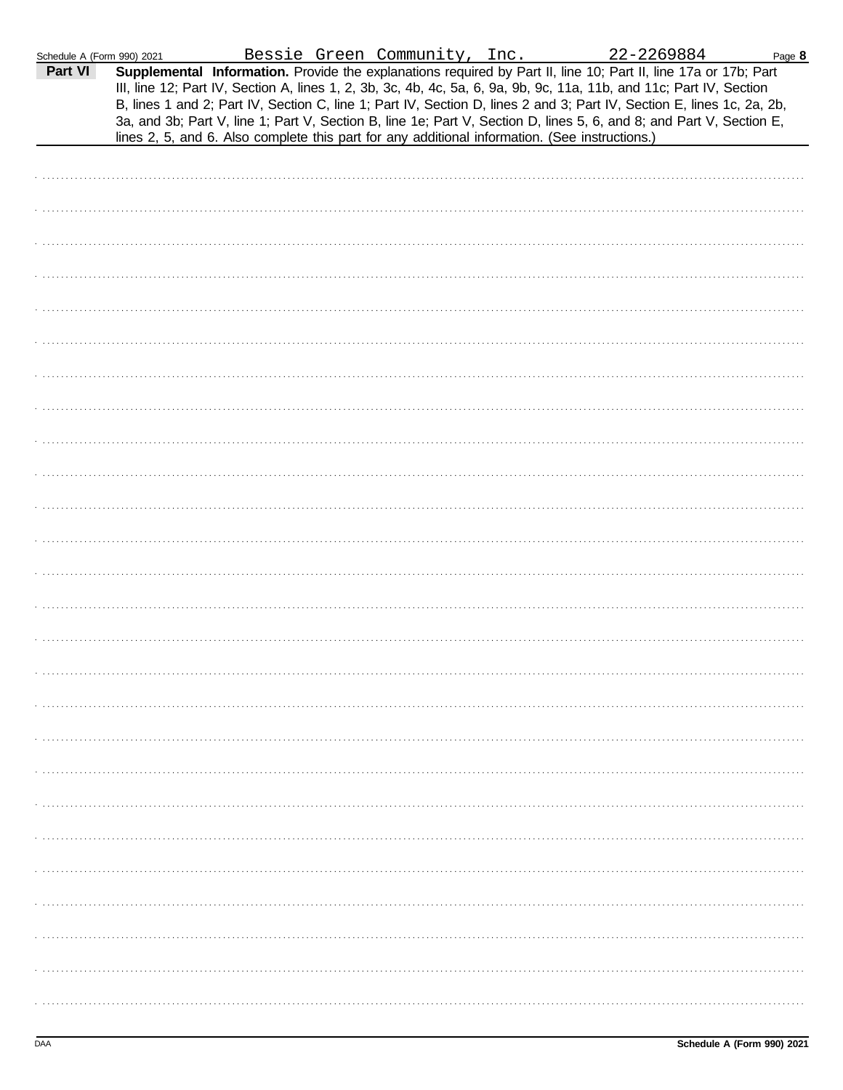| Schedule A (Form 990) 2021 |                                                                                                |  |  |                                                                                                                                                                                                                                                                                                                                                                                                                                                                                                         | Page 8 |
|----------------------------|------------------------------------------------------------------------------------------------|--|--|---------------------------------------------------------------------------------------------------------------------------------------------------------------------------------------------------------------------------------------------------------------------------------------------------------------------------------------------------------------------------------------------------------------------------------------------------------------------------------------------------------|--------|
| Part VI                    | lines 2, 5, and 6. Also complete this part for any additional information. (See instructions.) |  |  | 990) 2021 Bessie Green Community, Inc. 22-2269884 Particle 17b in Bessie Green Community, Inc. 22-2269884 Particle 22-2269884<br>III, line 12; Part IV, Section A, lines 1, 2, 3b, 3c, 4b, 4c, 5a, 6, 9a, 9b, 9c, 11a, 11b, and 11c; Part IV, Section<br>B, lines 1 and 2; Part IV, Section C, line 1; Part IV, Section D, lines 2 and 3; Part IV, Section E, lines 1c, 2a, 2b,<br>3a, and 3b; Part V, line 1; Part V, Section B, line 1e; Part V, Section D, lines 5, 6, and 8; and Part V, Section E, |        |
|                            |                                                                                                |  |  |                                                                                                                                                                                                                                                                                                                                                                                                                                                                                                         |        |
|                            |                                                                                                |  |  |                                                                                                                                                                                                                                                                                                                                                                                                                                                                                                         |        |
|                            |                                                                                                |  |  |                                                                                                                                                                                                                                                                                                                                                                                                                                                                                                         |        |
|                            |                                                                                                |  |  |                                                                                                                                                                                                                                                                                                                                                                                                                                                                                                         |        |
|                            |                                                                                                |  |  |                                                                                                                                                                                                                                                                                                                                                                                                                                                                                                         |        |
|                            |                                                                                                |  |  |                                                                                                                                                                                                                                                                                                                                                                                                                                                                                                         |        |
|                            |                                                                                                |  |  |                                                                                                                                                                                                                                                                                                                                                                                                                                                                                                         |        |
|                            |                                                                                                |  |  |                                                                                                                                                                                                                                                                                                                                                                                                                                                                                                         |        |
|                            |                                                                                                |  |  |                                                                                                                                                                                                                                                                                                                                                                                                                                                                                                         |        |
|                            |                                                                                                |  |  |                                                                                                                                                                                                                                                                                                                                                                                                                                                                                                         |        |
|                            |                                                                                                |  |  |                                                                                                                                                                                                                                                                                                                                                                                                                                                                                                         |        |
|                            |                                                                                                |  |  |                                                                                                                                                                                                                                                                                                                                                                                                                                                                                                         |        |
|                            |                                                                                                |  |  |                                                                                                                                                                                                                                                                                                                                                                                                                                                                                                         |        |
|                            |                                                                                                |  |  |                                                                                                                                                                                                                                                                                                                                                                                                                                                                                                         |        |
|                            |                                                                                                |  |  |                                                                                                                                                                                                                                                                                                                                                                                                                                                                                                         |        |
|                            |                                                                                                |  |  |                                                                                                                                                                                                                                                                                                                                                                                                                                                                                                         |        |
|                            |                                                                                                |  |  |                                                                                                                                                                                                                                                                                                                                                                                                                                                                                                         |        |
|                            |                                                                                                |  |  |                                                                                                                                                                                                                                                                                                                                                                                                                                                                                                         |        |
|                            |                                                                                                |  |  |                                                                                                                                                                                                                                                                                                                                                                                                                                                                                                         |        |
|                            |                                                                                                |  |  |                                                                                                                                                                                                                                                                                                                                                                                                                                                                                                         |        |
|                            |                                                                                                |  |  |                                                                                                                                                                                                                                                                                                                                                                                                                                                                                                         |        |
|                            |                                                                                                |  |  |                                                                                                                                                                                                                                                                                                                                                                                                                                                                                                         |        |
|                            |                                                                                                |  |  |                                                                                                                                                                                                                                                                                                                                                                                                                                                                                                         |        |
|                            |                                                                                                |  |  |                                                                                                                                                                                                                                                                                                                                                                                                                                                                                                         |        |
|                            |                                                                                                |  |  |                                                                                                                                                                                                                                                                                                                                                                                                                                                                                                         |        |
|                            |                                                                                                |  |  |                                                                                                                                                                                                                                                                                                                                                                                                                                                                                                         |        |
|                            |                                                                                                |  |  |                                                                                                                                                                                                                                                                                                                                                                                                                                                                                                         |        |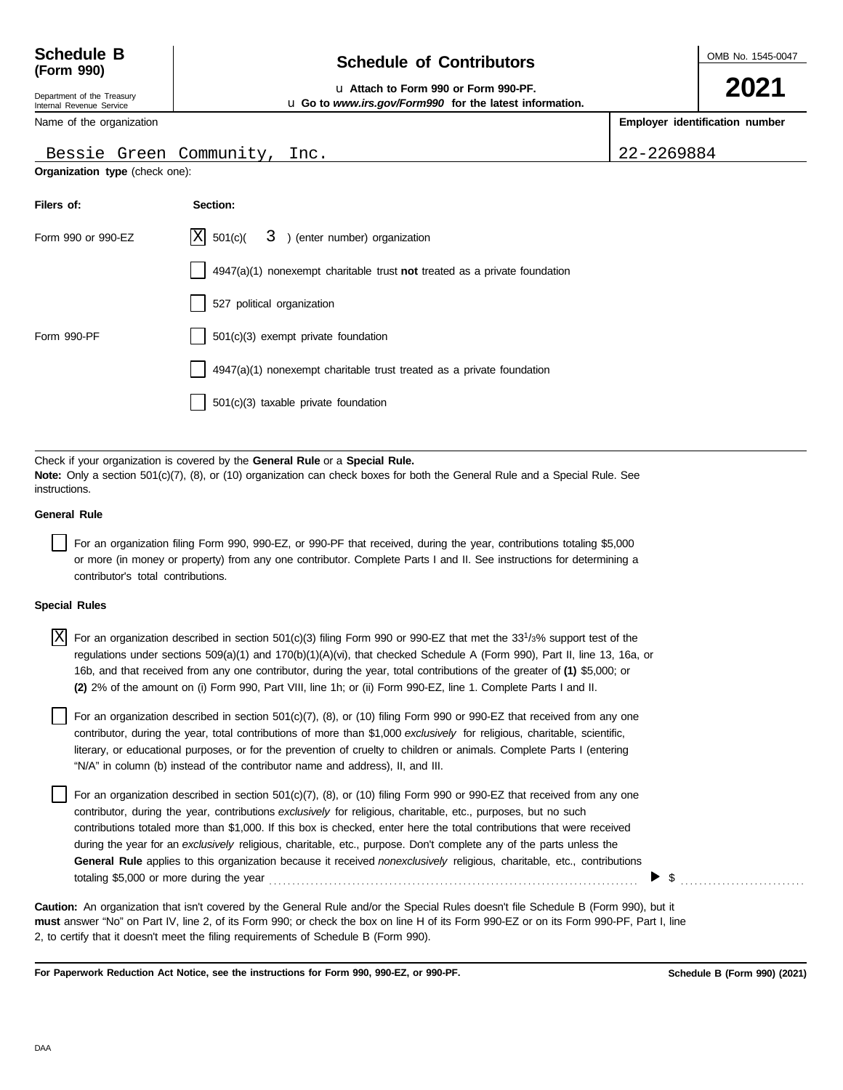| Schedule B |  |
|------------|--|
| (Form 990) |  |

Department of the Treasury Internal Revenue Service

## **Schedule of Contributors**

OMB No. 1545-0047

**2021**

#### u **Attach to Form 990 or Form 990-PF.** u **Go to** *www.irs.gov/Form990* **for the latest information.**

**Employer identification number**

|  | Name of the organization |  |
|--|--------------------------|--|
|  |                          |  |

### Bessie Green Community, Inc. 22-2269884

| Organization type (check one): |  |  |  |
|--------------------------------|--|--|--|
|--------------------------------|--|--|--|

**Filers of: Section:**

|                      | Form 990 or 990-EZ                 | X<br>3 ) (enter number) organization<br>501(c)                                                                                                                                                                                                                                                                                                                                                                                                                                                                                                                                                                            |
|----------------------|------------------------------------|---------------------------------------------------------------------------------------------------------------------------------------------------------------------------------------------------------------------------------------------------------------------------------------------------------------------------------------------------------------------------------------------------------------------------------------------------------------------------------------------------------------------------------------------------------------------------------------------------------------------------|
|                      |                                    | $4947(a)(1)$ nonexempt charitable trust <b>not</b> treated as a private foundation                                                                                                                                                                                                                                                                                                                                                                                                                                                                                                                                        |
|                      |                                    | 527 political organization                                                                                                                                                                                                                                                                                                                                                                                                                                                                                                                                                                                                |
| Form 990-PF          |                                    | 501(c)(3) exempt private foundation                                                                                                                                                                                                                                                                                                                                                                                                                                                                                                                                                                                       |
|                      |                                    | 4947(a)(1) nonexempt charitable trust treated as a private foundation                                                                                                                                                                                                                                                                                                                                                                                                                                                                                                                                                     |
|                      |                                    | 501(c)(3) taxable private foundation                                                                                                                                                                                                                                                                                                                                                                                                                                                                                                                                                                                      |
|                      |                                    |                                                                                                                                                                                                                                                                                                                                                                                                                                                                                                                                                                                                                           |
| instructions.        |                                    | Check if your organization is covered by the <b>General Rule</b> or a <b>Special Rule.</b><br><b>Note:</b> Only a section 501(c)(7), (8), or (10) organization can check boxes for both the General Rule and a Special Rule. See                                                                                                                                                                                                                                                                                                                                                                                          |
| <b>General Rule</b>  |                                    |                                                                                                                                                                                                                                                                                                                                                                                                                                                                                                                                                                                                                           |
|                      | contributor's total contributions. | For an organization filing Form 990, 990-EZ, or 990-PF that received, during the year, contributions totaling \$5,000<br>or more (in money or property) from any one contributor. Complete Parts I and II. See instructions for determining a                                                                                                                                                                                                                                                                                                                                                                             |
| <b>Special Rules</b> |                                    |                                                                                                                                                                                                                                                                                                                                                                                                                                                                                                                                                                                                                           |
| ΙX                   |                                    | For an organization described in section 501(c)(3) filing Form 990 or 990-EZ that met the $331/3%$ support test of the<br>regulations under sections 509(a)(1) and 170(b)(1)(A)(vi), that checked Schedule A (Form 990), Part II, line 13, 16a, or<br>16b, and that received from any one contributor, during the year, total contributions of the greater of (1) \$5,000; or<br>(2) 2% of the amount on (i) Form 990, Part VIII, line 1h; or (ii) Form 990-EZ, line 1. Complete Parts I and II.                                                                                                                          |
|                      |                                    | For an organization described in section 501(c)(7), (8), or (10) filing Form 990 or 990-EZ that received from any one<br>contributor, during the year, total contributions of more than \$1,000 exclusively for religious, charitable, scientific,<br>literary, or educational purposes, or for the prevention of cruelty to children or animals. Complete Parts I (entering<br>"N/A" in column (b) instead of the contributor name and address), II, and III.                                                                                                                                                            |
|                      |                                    | For an organization described in section 501(c)(7), (8), or (10) filing Form 990 or 990-EZ that received from any one<br>contributor, during the year, contributions exclusively for religious, charitable, etc., purposes, but no such<br>contributions totaled more than \$1,000. If this box is checked, enter here the total contributions that were received<br>during the year for an exclusively religious, charitable, etc., purpose. Don't complete any of the parts unless the<br>General Rule applies to this organization because it received nonexclusively religious, charitable, etc., contributions<br>\$ |

**must** answer "No" on Part IV, line 2, of its Form 990; or check the box on line H of its Form 990-EZ or on its Form 990-PF, Part I, line 2, to certify that it doesn't meet the filing requirements of Schedule B (Form 990). **Caution:** An organization that isn't covered by the General Rule and/or the Special Rules doesn't file Schedule B (Form 990), but it

**For Paperwork Reduction Act Notice, see the instructions for Form 990, 990-EZ, or 990-PF.**

**Schedule B (Form 990) (2021)**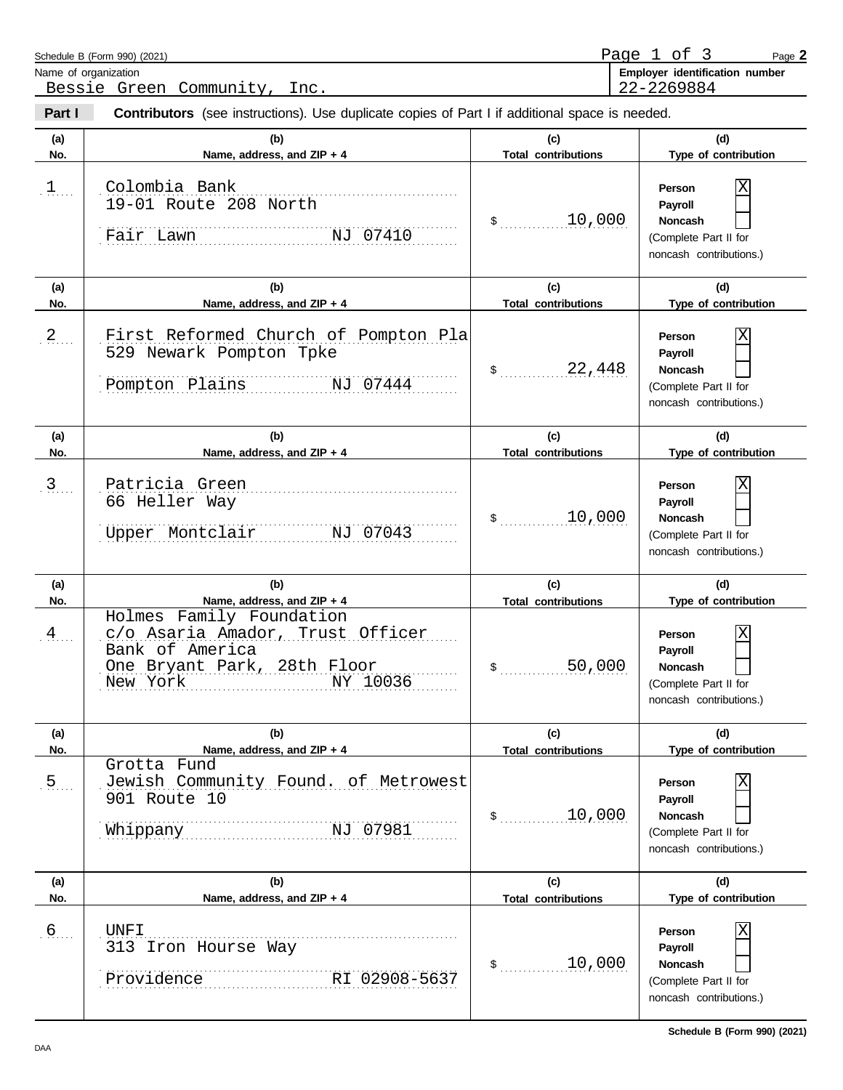|                      | Schedule B (Form 990) (2021)<br>Name of organization                                                                                                                 |                                      | Page 1 of 3<br>Page 2<br>Employer identification number                                                       |
|----------------------|----------------------------------------------------------------------------------------------------------------------------------------------------------------------|--------------------------------------|---------------------------------------------------------------------------------------------------------------|
| Part I               | Bessie Green Community, Inc.<br><b>Contributors</b> (see instructions). Use duplicate copies of Part I if additional space is needed.                                |                                      | 22-2269884                                                                                                    |
| (a)<br>No.           | (b)<br>Name, address, and ZIP + 4                                                                                                                                    | (c)<br><b>Total contributions</b>    | (d)<br>Type of contribution                                                                                   |
| $\mathfrak{1}$       | Colombia Bank<br>19-01 Route 208 North<br>NJ 07410<br>Fair Lawn                                                                                                      | 10,000<br>$\frac{1}{2}$              | Person<br>Payroll<br><b>Noncash</b><br>(Complete Part II for<br>noncash contributions.)                       |
| (a)<br>No.           | (b)<br>Name, address, and ZIP + 4                                                                                                                                    | (c)<br><b>Total contributions</b>    | (d)<br>Type of contribution                                                                                   |
| $2$                  | First Reformed Church of Pompton Pla<br>529 Newark Pompton Tpke<br>Pompton Plains NJ 07444                                                                           | 22,448<br>$\frac{1}{2}$              | Person<br>Payroll<br><b>Noncash</b><br>(Complete Part II for<br>noncash contributions.)                       |
| (a)<br>No.           | (b)<br>Name, address, and ZIP + 4                                                                                                                                    | (c)<br><b>Total contributions</b>    | (d)<br>Type of contribution                                                                                   |
| $\overline{3}$       | Patricia Green<br>66 Heller Way<br>Upper Montclair<br>NJ 07043                                                                                                       | 10,000<br>\$                         | Person<br>Payroll<br>Noncash<br>(Complete Part II for<br>noncash contributions.)                              |
| (a)                  | (b)                                                                                                                                                                  | (c)                                  | (d)                                                                                                           |
| No.<br>$\frac{4}{3}$ | Name, address, and ZIP + 4<br>Holmes Family Foundation<br>c/o Asaria Amador, Trust Officer<br>Bank of America<br>One Bryant Park, 28th Floor<br>NY 10036<br>New York | <b>Total contributions</b><br>50,000 | Type of contribution<br>Χ<br>Person<br>Payroll<br>Noncash<br>(Complete Part II for<br>noncash contributions.) |
| (a)<br>No.           | (b)<br>Name, address, and ZIP + 4                                                                                                                                    | (c)<br><b>Total contributions</b>    | (d)<br>Type of contribution                                                                                   |
| 5.                   | Grotta Fund<br>Jewish Community Found. of Metrowest<br>901 Route 10<br>NJ 07981<br>Whippany                                                                          | 10,000<br>\$                         | Person<br>Χ<br>Payroll<br>Noncash<br>(Complete Part II for<br>noncash contributions.)                         |
| (a)<br>No.           | (b)<br>Name, address, and ZIP + 4                                                                                                                                    | (c)<br><b>Total contributions</b>    | (d)<br>Type of contribution                                                                                   |
| $6$                  | <b>UNFI</b><br>313 Iron Hourse Way<br>RI 02908-5637<br>Providence                                                                                                    | 10,000<br>$\mathfrak s$              | Person<br>Χ<br>Payroll<br>Noncash<br>(Complete Part II for<br>noncash contributions.)                         |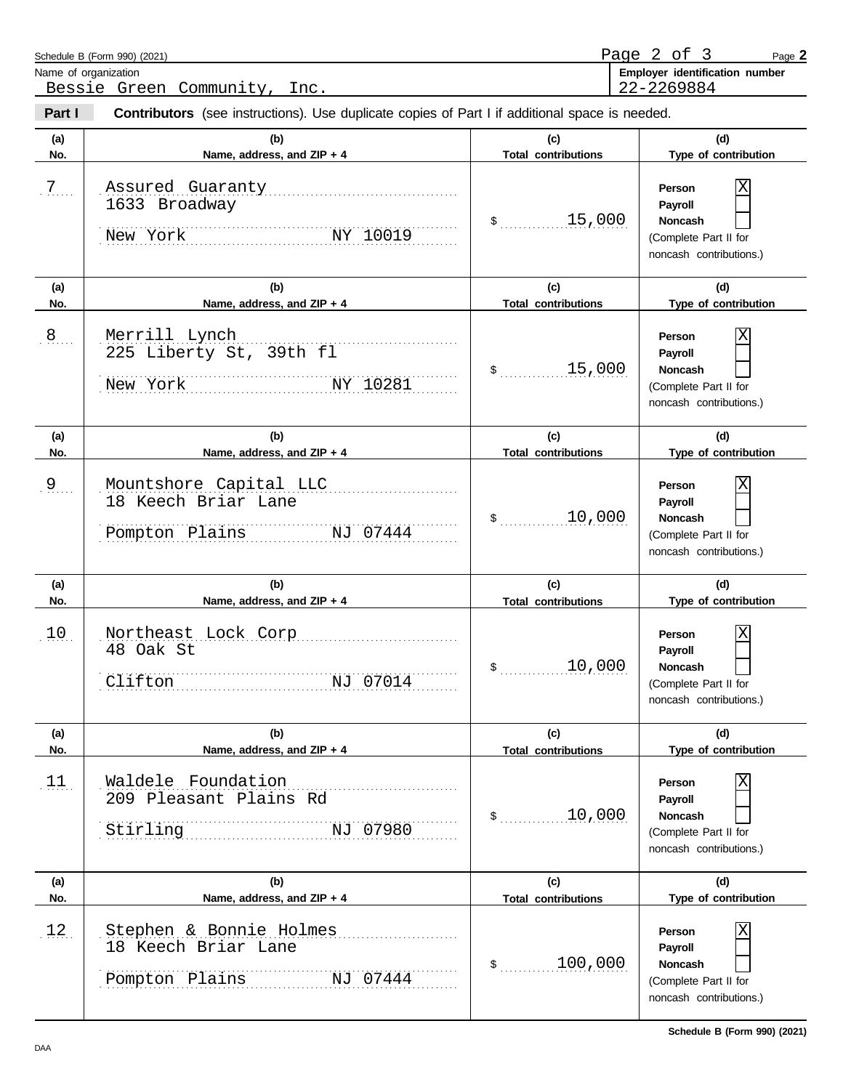|                | Schedule B (Form 990) (2021)<br>Name of organization<br>Bessie Green Community, Inc.           |                                   | Page 2 of 3<br>Page 2<br>Employer identification number<br>22-2269884                        |
|----------------|------------------------------------------------------------------------------------------------|-----------------------------------|----------------------------------------------------------------------------------------------|
| Part I         | Contributors (see instructions). Use duplicate copies of Part I if additional space is needed. |                                   |                                                                                              |
| (a)<br>No.     | (b)<br>Name, address, and ZIP + 4                                                              | (c)<br><b>Total contributions</b> | (d)<br>Type of contribution                                                                  |
| $7$            | Assured Guaranty<br>1633 Broadway<br>New York NY 10019                                         | 15,000<br>$\sim$                  | Person<br>Payroll<br><b>Noncash</b><br>(Complete Part II for<br>noncash contributions.)      |
| (a)<br>No.     | (b)<br>Name, address, and ZIP + 4                                                              | (c)<br><b>Total contributions</b> | (d)<br>Type of contribution                                                                  |
| 8              | Merrill Lynch<br>225 Liberty St, 39th fl<br>NY 10281<br>New York                               | 15,000<br>$\mathfrak s$           | Person<br>Payroll<br><b>Noncash</b><br>(Complete Part II for<br>noncash contributions.)      |
| (a)<br>No.     | (b)<br>Name, address, and ZIP + 4                                                              | (c)<br><b>Total contributions</b> | (d)<br>Type of contribution                                                                  |
| 9 <sub>1</sub> | Mountshore Capital LLC<br>18 Keech Briar Lane<br>Pompton Plains NJ 07444                       | 10,000<br>\$                      | Χ<br>Person<br>Payroll<br><b>Noncash</b><br>(Complete Part II for<br>noncash contributions.) |
| (a)<br>No.     | (b)<br>Name, address, and ZIP + 4                                                              | (c)<br><b>Total contributions</b> | (d)<br>Type of contribution                                                                  |
| 10             | Northeast Lock Corp<br>48 Oak St<br>Clifton<br>NJ 07014                                        | 10,000                            | Χ<br>Person<br>Payroll<br>Noncash<br>(Complete Part II for<br>noncash contributions.)        |
| (a)<br>No.     | (b)<br>Name, address, and ZIP + 4                                                              | (c)<br><b>Total contributions</b> | (d)<br>Type of contribution                                                                  |
| 11.            | Waldele Foundation<br>209 Pleasant Plains Rd<br>Stirling<br>NJ 07980                           | 10,000<br>\$                      | Χ<br>Person<br>Payroll<br>Noncash<br>(Complete Part II for<br>noncash contributions.)        |
| (a)<br>No.     | (b)<br>Name, address, and ZIP + 4                                                              | (c)<br><b>Total contributions</b> | (d)<br>Type of contribution                                                                  |
| 12.            | Stephen & Bonnie Holmes<br>18 Keech Briar Lane<br>Pompton Plains<br>NJ 07444                   | 100,000<br>\$                     | Χ<br>Person<br>Payroll<br>Noncash<br>(Complete Part II for<br>noncash contributions.)        |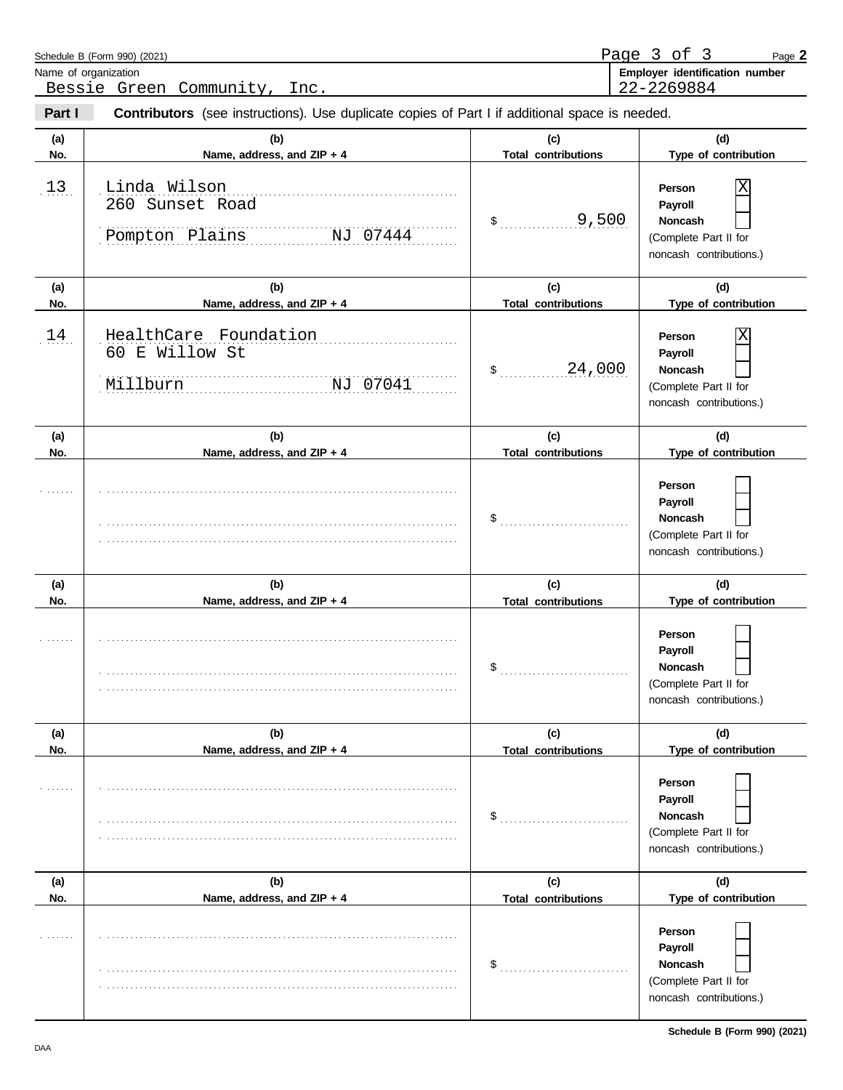|            | Schedule B (Form 990) (2021)<br>Name of organization<br>Bessie Green Community, Inc.           |                                   | Page 3 of 3<br>Page 2<br>Employer identification number<br>22-2269884                        |
|------------|------------------------------------------------------------------------------------------------|-----------------------------------|----------------------------------------------------------------------------------------------|
| Part I     | Contributors (see instructions). Use duplicate copies of Part I if additional space is needed. |                                   |                                                                                              |
| (a)<br>No. | (b)<br>Name, address, and ZIP + 4                                                              | (c)<br><b>Total contributions</b> | (d)<br>Type of contribution                                                                  |
| 13         | Linda Wilson<br>260 Sunset Road<br>Pompton Plains<br>NJ 07444                                  | 9,500<br>$\sim$                   | Χ<br>Person<br>Payroll<br><b>Noncash</b><br>(Complete Part II for<br>noncash contributions.) |
| (a)<br>No. | (b)<br>Name, address, and ZIP + 4                                                              | (c)<br><b>Total contributions</b> | (d)<br>Type of contribution                                                                  |
| 14         | HealthCare Foundation<br>60 E Willow St<br>Millburn<br>NJ 07041                                | 24,000<br>$\sim$                  | Χ<br>Person<br>Payroll<br><b>Noncash</b><br>(Complete Part II for<br>noncash contributions.) |
| (a)<br>No. | (b)<br>Name, address, and ZIP + 4                                                              | (c)<br><b>Total contributions</b> | (d)<br>Type of contribution                                                                  |
|            |                                                                                                | $\$\quad$                         | Person<br>Payroll<br>Noncash<br>(Complete Part II for<br>noncash contributions.)             |
| (a)<br>No. | (b)<br>Name, address, and ZIP + 4                                                              | (c)<br><b>Total contributions</b> | (d)<br>Type of contribution                                                                  |
|            |                                                                                                | \$                                | Person<br>Payroll<br>Noncash<br>(Complete Part II for<br>noncash contributions.)             |
| (a)<br>No. | (b)<br>Name, address, and ZIP + 4                                                              | (c)<br><b>Total contributions</b> | (d)<br>Type of contribution                                                                  |
|            |                                                                                                | \$                                | Person<br>Payroll<br>Noncash<br>(Complete Part II for<br>noncash contributions.)             |
| (a)<br>No. | (b)<br>Name, address, and ZIP + 4                                                              | (c)<br><b>Total contributions</b> | (d)<br>Type of contribution                                                                  |
|            |                                                                                                | \$                                | Person<br>Payroll<br>Noncash<br>(Complete Part II for<br>noncash contributions.)             |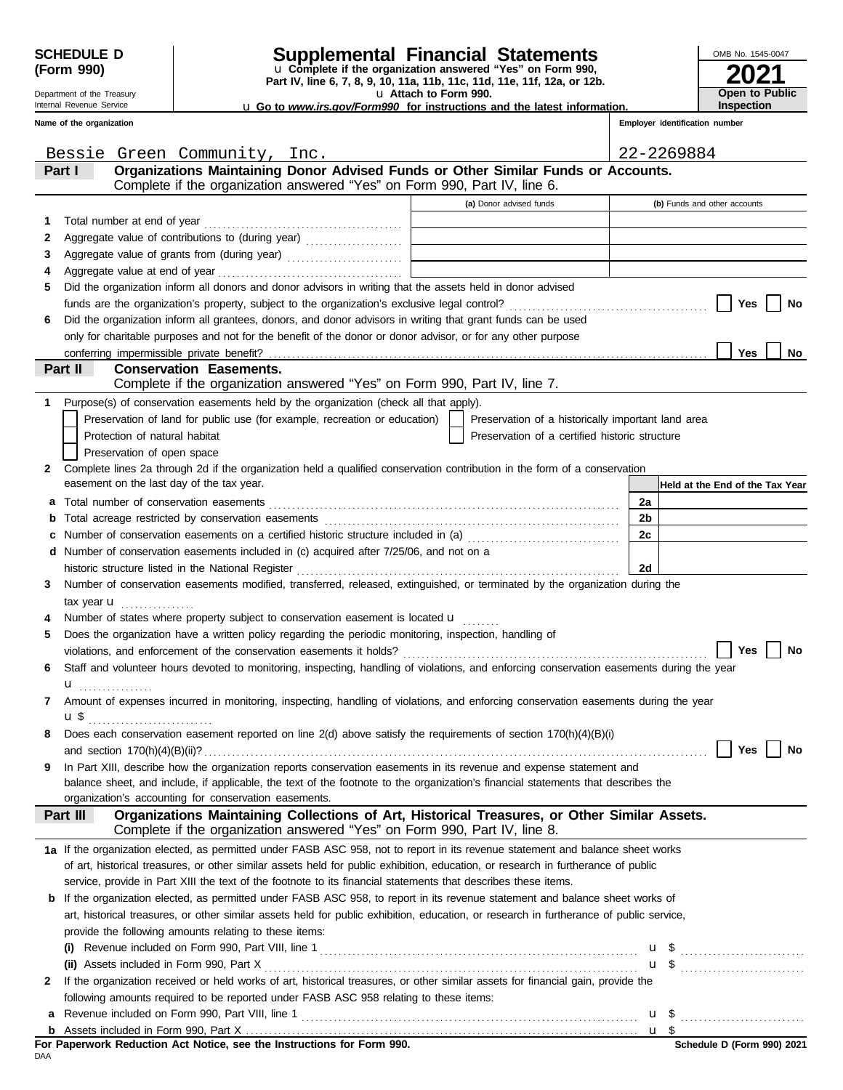Department of the Treasury Internal Revenue Service

# **SCHEDULE D Supplemental Financial Statements**

**Part IV, line 6, 7, 8, 9, 10, 11a, 11b, 11c, 11d, 11e, 11f, 12a, or 12b.** u **Complete if the organization answered "Yes" on Form 990,**

u **Attach to Form 990.** 

**2021** OMB No. 1545-0047 **Open to Public Inspection**

u **Go to** *www.irs.gov/Form990* **for instructions and the latest information.**

| Name of the organization |                                                                                                                                                                           |                                                                                                                                                                              | Employer identification number  |
|--------------------------|---------------------------------------------------------------------------------------------------------------------------------------------------------------------------|------------------------------------------------------------------------------------------------------------------------------------------------------------------------------|---------------------------------|
|                          | Bessie Green Community, Inc.                                                                                                                                              |                                                                                                                                                                              | 22-2269884                      |
| Part I                   | Organizations Maintaining Donor Advised Funds or Other Similar Funds or Accounts.<br>Complete if the organization answered "Yes" on Form 990, Part IV, line 6.            |                                                                                                                                                                              |                                 |
|                          |                                                                                                                                                                           | (a) Donor advised funds                                                                                                                                                      | (b) Funds and other accounts    |
| 1                        | Total number at end of year                                                                                                                                               | $\mathcal{L}^{\mathcal{L}}(\mathcal{L}^{\mathcal{L}})$ and $\mathcal{L}^{\mathcal{L}}(\mathcal{L}^{\mathcal{L}})$ and $\mathcal{L}^{\mathcal{L}}(\mathcal{L}^{\mathcal{L}})$ |                                 |
| 2                        | Aggregate value of contributions to (during year)                                                                                                                         |                                                                                                                                                                              |                                 |
| 3                        |                                                                                                                                                                           | the control of the control of the control of the control of the control of the control of                                                                                    |                                 |
| 4                        |                                                                                                                                                                           |                                                                                                                                                                              |                                 |
| 5                        | Did the organization inform all donors and donor advisors in writing that the assets held in donor advised                                                                |                                                                                                                                                                              |                                 |
|                          |                                                                                                                                                                           |                                                                                                                                                                              | Yes<br>No                       |
| 6                        | Did the organization inform all grantees, donors, and donor advisors in writing that grant funds can be used                                                              |                                                                                                                                                                              |                                 |
|                          | only for charitable purposes and not for the benefit of the donor or donor advisor, or for any other purpose                                                              |                                                                                                                                                                              |                                 |
|                          |                                                                                                                                                                           |                                                                                                                                                                              | Yes<br>No                       |
| Part II                  | <b>Conservation Easements.</b>                                                                                                                                            |                                                                                                                                                                              |                                 |
|                          | Complete if the organization answered "Yes" on Form 990, Part IV, line 7.                                                                                                 |                                                                                                                                                                              |                                 |
| 1.                       | Purpose(s) of conservation easements held by the organization (check all that apply).                                                                                     |                                                                                                                                                                              |                                 |
|                          | Preservation of land for public use (for example, recreation or education)                                                                                                | Preservation of a historically important land area                                                                                                                           |                                 |
|                          | Protection of natural habitat                                                                                                                                             | Preservation of a certified historic structure                                                                                                                               |                                 |
|                          | Preservation of open space                                                                                                                                                |                                                                                                                                                                              |                                 |
| 2                        | Complete lines 2a through 2d if the organization held a qualified conservation contribution in the form of a conservation                                                 |                                                                                                                                                                              |                                 |
|                          | easement on the last day of the tax year.                                                                                                                                 |                                                                                                                                                                              | Held at the End of the Tax Year |
| а                        |                                                                                                                                                                           |                                                                                                                                                                              | 2a                              |
|                          |                                                                                                                                                                           |                                                                                                                                                                              | 2b                              |
|                          | Number of conservation easements on a certified historic structure included in (a) [[[[[ [ [ ]]]                                                                          |                                                                                                                                                                              | 2c                              |
| d                        | Number of conservation easements included in (c) acquired after 7/25/06, and not on a                                                                                     |                                                                                                                                                                              |                                 |
|                          | historic structure listed in the National Register                                                                                                                        |                                                                                                                                                                              | 2d                              |
| 3                        | Number of conservation easements modified, transferred, released, extinguished, or terminated by the organization during the                                              |                                                                                                                                                                              |                                 |
|                          | tax year $\mathbf{u}$                                                                                                                                                     |                                                                                                                                                                              |                                 |
|                          | Number of states where property subject to conservation easement is located u                                                                                             |                                                                                                                                                                              |                                 |
| 5                        | Does the organization have a written policy regarding the periodic monitoring, inspection, handling of                                                                    |                                                                                                                                                                              |                                 |
|                          |                                                                                                                                                                           |                                                                                                                                                                              | Yes<br>No                       |
|                          | Staff and volunteer hours devoted to monitoring, inspecting, handling of violations, and enforcing conservation easements during the year                                 |                                                                                                                                                                              |                                 |
| u                        |                                                                                                                                                                           |                                                                                                                                                                              |                                 |
|                          | Amount of expenses incurred in monitoring, inspecting, handling of violations, and enforcing conservation easements during the year                                       |                                                                                                                                                                              |                                 |
|                          | u\$                                                                                                                                                                       |                                                                                                                                                                              |                                 |
|                          | Does each conservation easement reported on line 2(d) above satisfy the requirements of section 170(h)(4)(B)(i)                                                           |                                                                                                                                                                              |                                 |
|                          | and section $170(h)(4)(B)(ii)?$                                                                                                                                           |                                                                                                                                                                              | Yes<br>No                       |
| 9                        | In Part XIII, describe how the organization reports conservation easements in its revenue and expense statement and                                                       |                                                                                                                                                                              |                                 |
|                          | balance sheet, and include, if applicable, the text of the footnote to the organization's financial statements that describes the                                         |                                                                                                                                                                              |                                 |
|                          | organization's accounting for conservation easements.                                                                                                                     |                                                                                                                                                                              |                                 |
| Part III                 | Organizations Maintaining Collections of Art, Historical Treasures, or Other Similar Assets.<br>Complete if the organization answered "Yes" on Form 990, Part IV, line 8. |                                                                                                                                                                              |                                 |
|                          | 1a If the organization elected, as permitted under FASB ASC 958, not to report in its revenue statement and balance sheet works                                           |                                                                                                                                                                              |                                 |
|                          | of art, historical treasures, or other similar assets held for public exhibition, education, or research in furtherance of public                                         |                                                                                                                                                                              |                                 |
|                          | service, provide in Part XIII the text of the footnote to its financial statements that describes these items.                                                            |                                                                                                                                                                              |                                 |
| b                        | If the organization elected, as permitted under FASB ASC 958, to report in its revenue statement and balance sheet works of                                               |                                                                                                                                                                              |                                 |
|                          | art, historical treasures, or other similar assets held for public exhibition, education, or research in furtherance of public service,                                   |                                                                                                                                                                              |                                 |
|                          | provide the following amounts relating to these items:                                                                                                                    |                                                                                                                                                                              |                                 |
|                          |                                                                                                                                                                           |                                                                                                                                                                              | $u \$                           |
|                          | (ii) Assets included in Form 990, Part X                                                                                                                                  |                                                                                                                                                                              | $\mathbf{u}$ \$                 |
| 2                        | If the organization received or held works of art, historical treasures, or other similar assets for financial gain, provide the                                          |                                                                                                                                                                              |                                 |
|                          | following amounts required to be reported under FASB ASC 958 relating to these items:                                                                                     |                                                                                                                                                                              |                                 |
| а                        | Revenue included on Form 990, Part VIII, line 1                                                                                                                           |                                                                                                                                                                              | $u \$                           |

Assets included in Form 990, Part X . . . . . . . . . . . . . . . . . . . . . . . . . . . . . . . . . . . . . . . . . . . . . . . . . . . . . . . . . . . . . . . . . . . . . . . . . . . . . . . . . . . . . **b**

<u>u \$</u>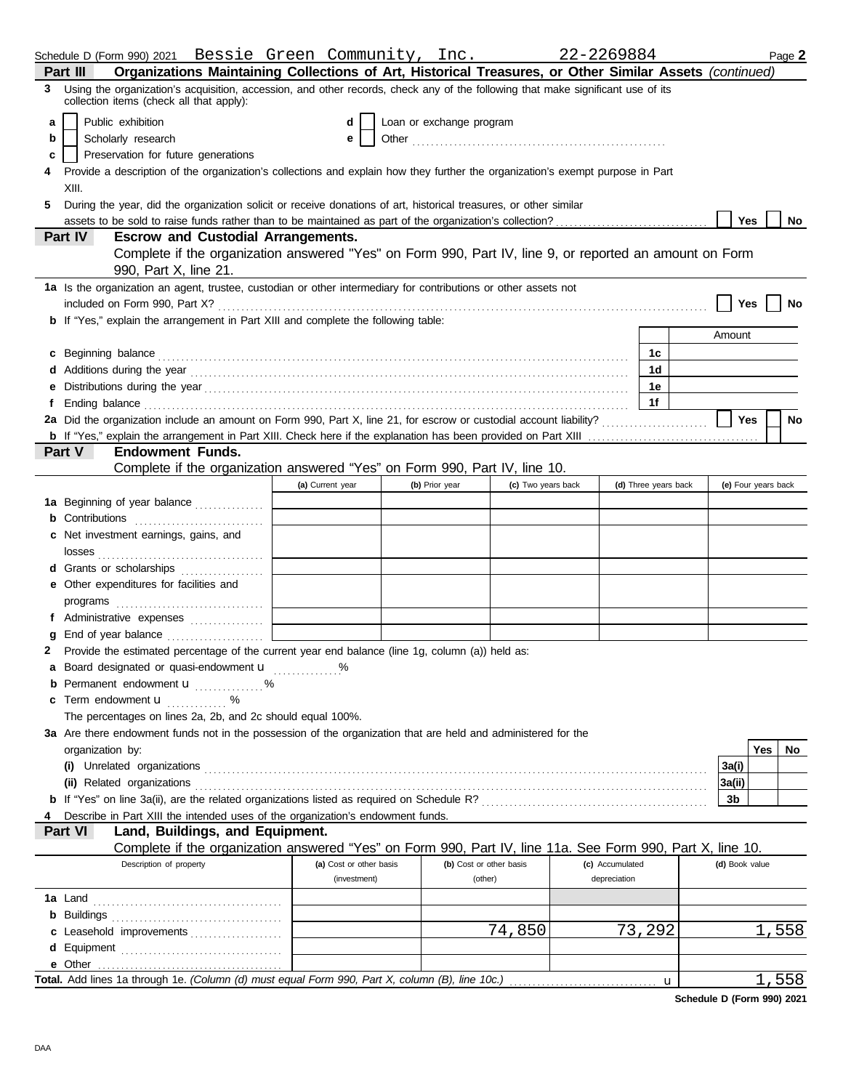|    |                                                                                                                                                                                                                                      |                  |                         |                          |                         | 22-2269884      |                      |                     |     | Page 2 |
|----|--------------------------------------------------------------------------------------------------------------------------------------------------------------------------------------------------------------------------------------|------------------|-------------------------|--------------------------|-------------------------|-----------------|----------------------|---------------------|-----|--------|
|    | Organizations Maintaining Collections of Art, Historical Treasures, or Other Similar Assets (continued)<br>Part III                                                                                                                  |                  |                         |                          |                         |                 |                      |                     |     |        |
| 3  | Using the organization's acquisition, accession, and other records, check any of the following that make significant use of its<br>collection items (check all that apply):                                                          |                  |                         |                          |                         |                 |                      |                     |     |        |
| a  | Public exhibition                                                                                                                                                                                                                    |                  | d                       | Loan or exchange program |                         |                 |                      |                     |     |        |
| b  | Scholarly research                                                                                                                                                                                                                   |                  | e                       |                          |                         |                 |                      |                     |     |        |
| c  | Preservation for future generations                                                                                                                                                                                                  |                  |                         |                          |                         |                 |                      |                     |     |        |
|    | Provide a description of the organization's collections and explain how they further the organization's exempt purpose in Part                                                                                                       |                  |                         |                          |                         |                 |                      |                     |     |        |
|    | XIII.                                                                                                                                                                                                                                |                  |                         |                          |                         |                 |                      |                     |     |        |
| 5. | During the year, did the organization solicit or receive donations of art, historical treasures, or other similar                                                                                                                    |                  |                         |                          |                         |                 |                      |                     |     |        |
|    | assets to be sold to raise funds rather than to be maintained as part of the organization's collection?                                                                                                                              |                  |                         |                          |                         |                 |                      | Yes                 |     | No     |
|    | Part IV<br><b>Escrow and Custodial Arrangements.</b>                                                                                                                                                                                 |                  |                         |                          |                         |                 |                      |                     |     |        |
|    | Complete if the organization answered "Yes" on Form 990, Part IV, line 9, or reported an amount on Form                                                                                                                              |                  |                         |                          |                         |                 |                      |                     |     |        |
|    | 990, Part X, line 21.                                                                                                                                                                                                                |                  |                         |                          |                         |                 |                      |                     |     |        |
|    | 1a Is the organization an agent, trustee, custodian or other intermediary for contributions or other assets not                                                                                                                      |                  |                         |                          |                         |                 |                      |                     |     |        |
|    |                                                                                                                                                                                                                                      |                  |                         |                          |                         |                 |                      | Yes                 |     | No     |
|    | <b>b</b> If "Yes," explain the arrangement in Part XIII and complete the following table:                                                                                                                                            |                  |                         |                          |                         |                 |                      |                     |     |        |
|    |                                                                                                                                                                                                                                      |                  |                         |                          |                         |                 |                      | Amount              |     |        |
|    | c Beginning balance <b>contract to the contract of the contract of the contract of the contract of the contract of the contract of the contract of the contract of the contract of the contract of the contract of the contract </b> |                  |                         |                          |                         |                 | 1с                   |                     |     |        |
|    |                                                                                                                                                                                                                                      |                  |                         |                          |                         |                 | 1d                   |                     |     |        |
|    |                                                                                                                                                                                                                                      |                  |                         |                          |                         |                 | 1е                   |                     |     |        |
| f  | Ending balance <i>communication</i> and the contract of the contract of the contract of the contract of the contract of the contract of the contract of the contract of the contract of the contract of the contract of the contrac  |                  |                         |                          |                         |                 | 1f                   |                     |     |        |
|    | 2a Did the organization include an amount on Form 990, Part X, line 21, for escrow or custodial account liability?                                                                                                                   |                  |                         |                          |                         |                 |                      | Yes                 |     | No     |
|    |                                                                                                                                                                                                                                      |                  |                         |                          |                         |                 |                      |                     |     |        |
|    | <b>Endowment Funds.</b><br><b>Part V</b>                                                                                                                                                                                             |                  |                         |                          |                         |                 |                      |                     |     |        |
|    | Complete if the organization answered "Yes" on Form 990, Part IV, line 10.                                                                                                                                                           |                  |                         |                          |                         |                 |                      |                     |     |        |
|    |                                                                                                                                                                                                                                      | (a) Current year |                         | (b) Prior year           | (c) Two years back      |                 | (d) Three years back | (e) Four years back |     |        |
|    | 1a Beginning of year balance                                                                                                                                                                                                         |                  |                         |                          |                         |                 |                      |                     |     |        |
|    | <b>b</b> Contributions                                                                                                                                                                                                               |                  |                         |                          |                         |                 |                      |                     |     |        |
|    | c Net investment earnings, gains, and                                                                                                                                                                                                |                  |                         |                          |                         |                 |                      |                     |     |        |
|    |                                                                                                                                                                                                                                      |                  |                         |                          |                         |                 |                      |                     |     |        |
|    | d Grants or scholarships                                                                                                                                                                                                             |                  |                         |                          |                         |                 |                      |                     |     |        |
|    | e Other expenditures for facilities and                                                                                                                                                                                              |                  |                         |                          |                         |                 |                      |                     |     |        |
|    | programs $\ldots \ldots \ldots \ldots \ldots \ldots \ldots$                                                                                                                                                                          |                  |                         |                          |                         |                 |                      |                     |     |        |
|    | f Administrative expenses                                                                                                                                                                                                            |                  |                         |                          |                         |                 |                      |                     |     |        |
|    | End of year balance                                                                                                                                                                                                                  |                  |                         |                          |                         |                 |                      |                     |     |        |
| 2  | Provide the estimated percentage of the current year end balance (line 1g, column (a)) held as:                                                                                                                                      |                  |                         |                          |                         |                 |                      |                     |     |        |
|    | a Board designated or quasi-endowment u                                                                                                                                                                                              |                  |                         |                          |                         |                 |                      |                     |     |        |
|    | <b>b</b> Permanent endowment <b>u</b> %                                                                                                                                                                                              |                  |                         |                          |                         |                 |                      |                     |     |        |
|    | <b>c</b> Term endowment $\mathbf{u}$ %                                                                                                                                                                                               |                  |                         |                          |                         |                 |                      |                     |     |        |
|    | The percentages on lines 2a, 2b, and 2c should equal 100%.                                                                                                                                                                           |                  |                         |                          |                         |                 |                      |                     |     |        |
|    | 3a Are there endowment funds not in the possession of the organization that are held and administered for the                                                                                                                        |                  |                         |                          |                         |                 |                      |                     |     |        |
|    | organization by:                                                                                                                                                                                                                     |                  |                         |                          |                         |                 |                      |                     | Yes | No     |
|    |                                                                                                                                                                                                                                      |                  |                         |                          |                         |                 |                      | 3a(i)               |     |        |
|    | (ii) Related organizations <b>constructs</b> or construction of the construction of the construction of the construction of the construction of the construction of the construction of the construction of the construction of the  |                  |                         |                          |                         |                 |                      | 3a(ii)              |     |        |
|    |                                                                                                                                                                                                                                      |                  |                         |                          |                         |                 |                      | 3b                  |     |        |
|    | Describe in Part XIII the intended uses of the organization's endowment funds.                                                                                                                                                       |                  |                         |                          |                         |                 |                      |                     |     |        |
|    | Land, Buildings, and Equipment.<br>Part VI                                                                                                                                                                                           |                  |                         |                          |                         |                 |                      |                     |     |        |
|    | Complete if the organization answered "Yes" on Form 990, Part IV, line 11a. See Form 990, Part X, line 10.                                                                                                                           |                  |                         |                          |                         |                 |                      |                     |     |        |
|    | Description of property                                                                                                                                                                                                              |                  | (a) Cost or other basis |                          | (b) Cost or other basis | (c) Accumulated |                      | (d) Book value      |     |        |
|    |                                                                                                                                                                                                                                      |                  | (investment)            |                          | (other)                 | depreciation    |                      |                     |     |        |
|    |                                                                                                                                                                                                                                      |                  |                         |                          |                         |                 |                      |                     |     |        |
|    |                                                                                                                                                                                                                                      |                  |                         |                          |                         |                 |                      |                     |     |        |
|    | c Leasehold improvements                                                                                                                                                                                                             |                  |                         |                          | 74,850                  |                 | 73,292               |                     |     | 1,558  |
|    |                                                                                                                                                                                                                                      |                  |                         |                          |                         |                 |                      |                     |     |        |
|    |                                                                                                                                                                                                                                      |                  |                         |                          |                         |                 |                      |                     |     |        |
|    | Total. Add lines 1a through 1e. (Column (d) must equal Form 990, Part X, column (B), line 10c.)                                                                                                                                      |                  |                         |                          |                         |                 | u                    |                     |     | 1,558  |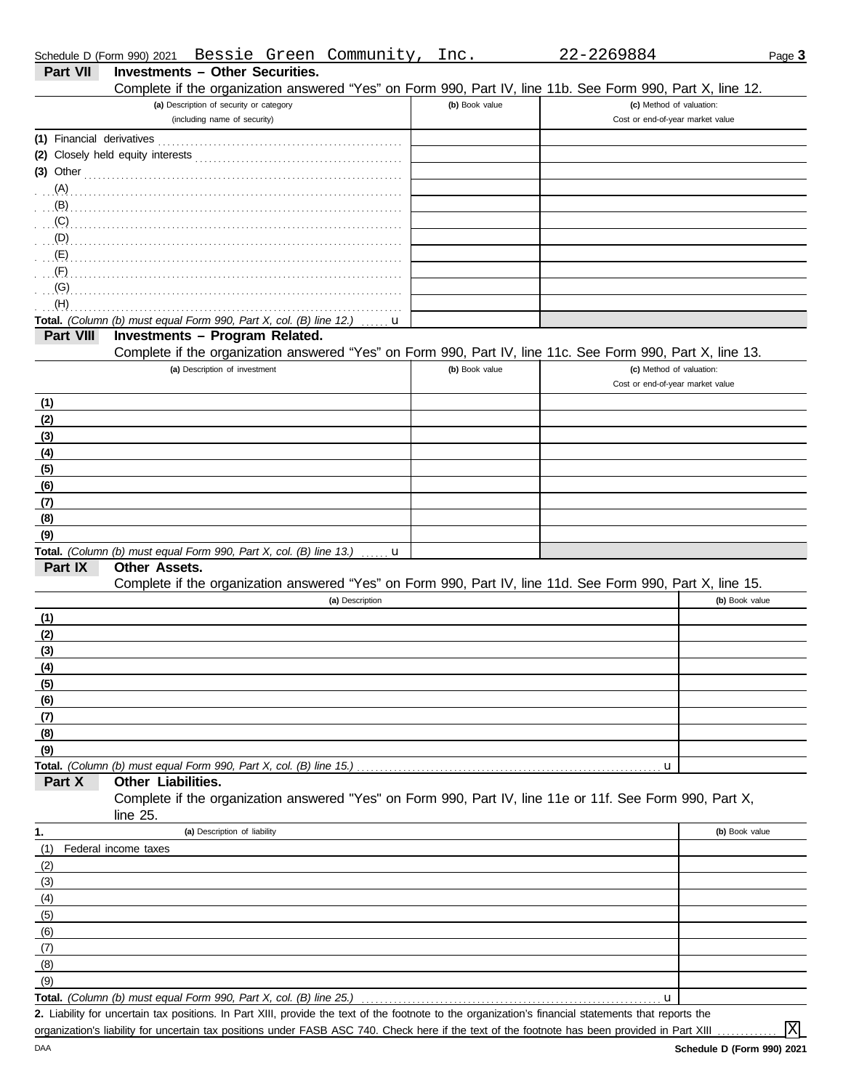| Schedule D (Form 990) 2021 | Bessie Green Community,                                                                                                                                                                                                             | Inc.           | 22-2269884                       | Page 3         |
|----------------------------|-------------------------------------------------------------------------------------------------------------------------------------------------------------------------------------------------------------------------------------|----------------|----------------------------------|----------------|
| Part VII                   | <b>Investments - Other Securities.</b>                                                                                                                                                                                              |                |                                  |                |
|                            | Complete if the organization answered "Yes" on Form 990, Part IV, line 11b. See Form 990, Part X, line 12.                                                                                                                          |                |                                  |                |
|                            | (a) Description of security or category                                                                                                                                                                                             | (b) Book value | (c) Method of valuation:         |                |
|                            | (including name of security)                                                                                                                                                                                                        |                | Cost or end-of-year market value |                |
| (1) Financial derivatives  |                                                                                                                                                                                                                                     |                |                                  |                |
|                            |                                                                                                                                                                                                                                     |                |                                  |                |
|                            | $(3)$ Other                                                                                                                                                                                                                         |                |                                  |                |
|                            |                                                                                                                                                                                                                                     |                |                                  |                |
| (B)                        |                                                                                                                                                                                                                                     |                |                                  |                |
|                            | $\overline{C}$ (C) and the continuum continuum continuum continuum continuum continuum continuum continuum continuum continuum continuum continuum continuum continuum continuum continuum continuum continuum continuum continuum  |                |                                  |                |
|                            | $\overline{p}$ . The continuum continuum continuum continuum continuum continuum continuum continuum continuum continuum continuum continuum continuum continuum continuum continuum continuum continuum continuum continuum contin |                |                                  |                |
|                            |                                                                                                                                                                                                                                     |                |                                  |                |
| (F)                        |                                                                                                                                                                                                                                     |                |                                  |                |
| (G)                        |                                                                                                                                                                                                                                     |                |                                  |                |
| (H)                        |                                                                                                                                                                                                                                     |                |                                  |                |
| Part VIII                  | Total. (Column (b) must equal Form 990, Part X, col. (B) line 12.)<br>u<br><b>Investments - Program Related.</b>                                                                                                                    |                |                                  |                |
|                            | Complete if the organization answered "Yes" on Form 990, Part IV, line 11c. See Form 990, Part X, line 13.                                                                                                                          |                |                                  |                |
|                            | (a) Description of investment                                                                                                                                                                                                       | (b) Book value | (c) Method of valuation:         |                |
|                            |                                                                                                                                                                                                                                     |                | Cost or end-of-year market value |                |
| (1)                        |                                                                                                                                                                                                                                     |                |                                  |                |
| (2)                        |                                                                                                                                                                                                                                     |                |                                  |                |
| (3)                        |                                                                                                                                                                                                                                     |                |                                  |                |
| (4)                        |                                                                                                                                                                                                                                     |                |                                  |                |
| (5)                        |                                                                                                                                                                                                                                     |                |                                  |                |
| (6)                        |                                                                                                                                                                                                                                     |                |                                  |                |
| (7)                        |                                                                                                                                                                                                                                     |                |                                  |                |
| (8)                        |                                                                                                                                                                                                                                     |                |                                  |                |
| (9)                        |                                                                                                                                                                                                                                     |                |                                  |                |
|                            | Total. (Column (b) must equal Form 990, Part X, col. (B) line 13.) $\ldots$ <b>u</b>                                                                                                                                                |                |                                  |                |
| Part IX                    | Other Assets.                                                                                                                                                                                                                       |                |                                  |                |
|                            | Complete if the organization answered "Yes" on Form 990, Part IV, line 11d. See Form 990, Part X, line 15.                                                                                                                          |                |                                  |                |
|                            | (a) Description                                                                                                                                                                                                                     |                |                                  | (b) Book value |
| (1)                        |                                                                                                                                                                                                                                     |                |                                  |                |
| (2)                        |                                                                                                                                                                                                                                     |                |                                  |                |
| (3)                        |                                                                                                                                                                                                                                     |                |                                  |                |
| (4)                        |                                                                                                                                                                                                                                     |                |                                  |                |
| (5)                        |                                                                                                                                                                                                                                     |                |                                  |                |
| (6)                        |                                                                                                                                                                                                                                     |                |                                  |                |
| (7)                        |                                                                                                                                                                                                                                     |                |                                  |                |
| (8)                        |                                                                                                                                                                                                                                     |                |                                  |                |
| (9)                        |                                                                                                                                                                                                                                     |                |                                  |                |
|                            |                                                                                                                                                                                                                                     |                | u                                |                |
| Part X                     | Other Liabilities.                                                                                                                                                                                                                  |                |                                  |                |
|                            | Complete if the organization answered "Yes" on Form 990, Part IV, line 11e or 11f. See Form 990, Part X,                                                                                                                            |                |                                  |                |
|                            | line $25$ .                                                                                                                                                                                                                         |                |                                  |                |
| 1.                         | (a) Description of liability                                                                                                                                                                                                        |                |                                  | (b) Book value |
| (1)                        | Federal income taxes                                                                                                                                                                                                                |                |                                  |                |
| (2)                        |                                                                                                                                                                                                                                     |                |                                  |                |
| (3)                        |                                                                                                                                                                                                                                     |                |                                  |                |
| (4)                        |                                                                                                                                                                                                                                     |                |                                  |                |
| (5)                        |                                                                                                                                                                                                                                     |                |                                  |                |
| (6)                        |                                                                                                                                                                                                                                     |                |                                  |                |
| (7)                        |                                                                                                                                                                                                                                     |                |                                  |                |
| (8)                        |                                                                                                                                                                                                                                     |                |                                  |                |
| (9)                        |                                                                                                                                                                                                                                     |                |                                  |                |
|                            | Total. (Column (b) must equal Form 990, Part X, col. (B) line 25.)<br>2. Liability for uncertain tax positions. In Part XIII, provide the text of the footnote to the organization's financial statements that reports the          |                | u                                |                |
|                            | organization's liability for uncertain tax positions under FASB ASC 740. Check here if the text of the footnote has been provided in Part XIII                                                                                      |                |                                  | $\rm X$        |
|                            |                                                                                                                                                                                                                                     |                |                                  |                |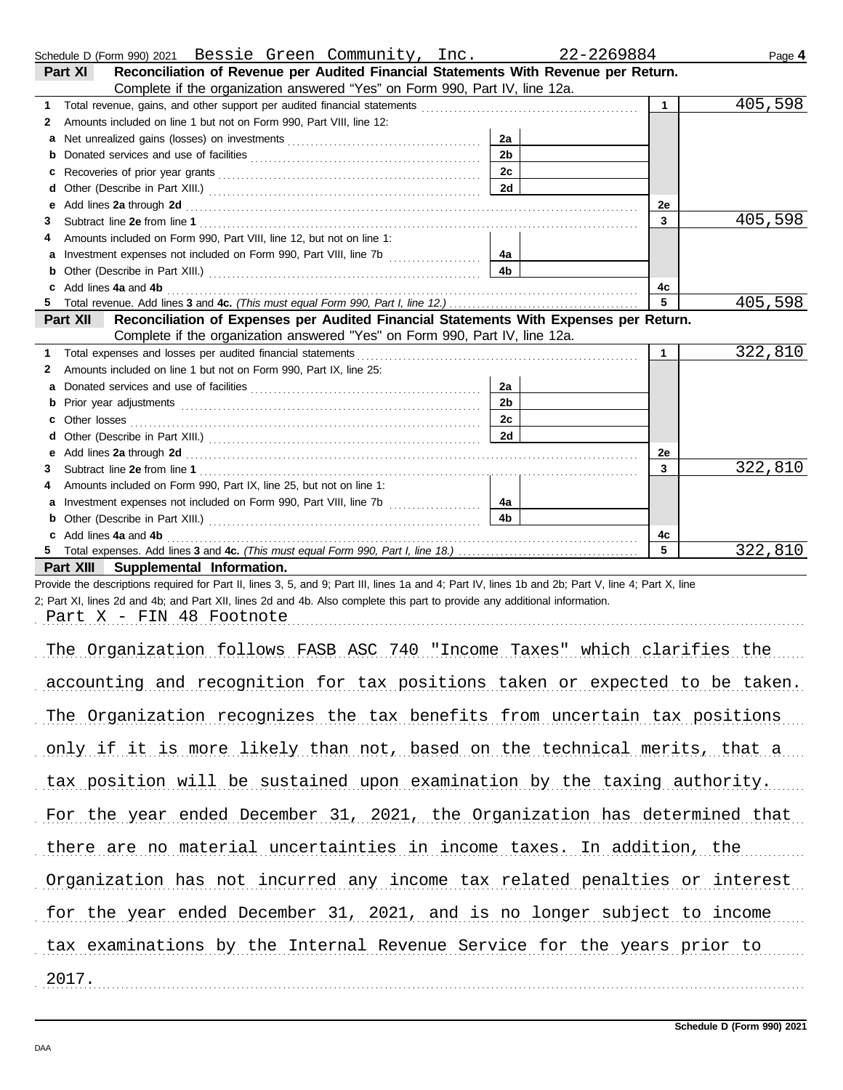|    | Schedule D (Form 990) 2021  Bessie Green Community, Inc.                                                                                                                                                                       |                | 22-2269884   | Page 4  |
|----|--------------------------------------------------------------------------------------------------------------------------------------------------------------------------------------------------------------------------------|----------------|--------------|---------|
|    | Reconciliation of Revenue per Audited Financial Statements With Revenue per Return.<br>Part XI                                                                                                                                 |                |              |         |
|    | Complete if the organization answered "Yes" on Form 990, Part IV, line 12a.                                                                                                                                                    |                |              |         |
| 1  |                                                                                                                                                                                                                                |                | $\mathbf{1}$ | 405,598 |
| 2  | Amounts included on line 1 but not on Form 990, Part VIII, line 12:                                                                                                                                                            |                |              |         |
| a  |                                                                                                                                                                                                                                | 2a             |              |         |
| b  | Donated services and use of facilities [[11, 11] contracts are not in the service of facilities [[11, 11] contracts and use of facilities [[11, 11] contracts are not in the service of the service of the service of the serv | 2 <sub>b</sub> |              |         |
| c  |                                                                                                                                                                                                                                | 2c             |              |         |
| d  |                                                                                                                                                                                                                                | 2d             |              |         |
| е  | Add lines 2a through 2d [11] Add [12] Add lines 2a through 2d [12] Add lines 2a through 2d [12] Add lines 2a through 2d [12] Add and Add and Addu                                                                              |                | 2e           |         |
| 3  |                                                                                                                                                                                                                                |                | $\mathbf{3}$ | 405,598 |
|    | Amounts included on Form 990, Part VIII, line 12, but not on line 1:                                                                                                                                                           |                |              |         |
| a  | Investment expenses not included on Form 990, Part VIII, line 7b [                                                                                                                                                             | 4a             |              |         |
| b  |                                                                                                                                                                                                                                | 4 <sub>b</sub> |              |         |
| c  | Add lines 4a and 4b                                                                                                                                                                                                            |                | 4с           |         |
| 5. |                                                                                                                                                                                                                                |                | 5            | 405,598 |
|    | Reconciliation of Expenses per Audited Financial Statements With Expenses per Return.<br>Part XII                                                                                                                              |                |              |         |
|    | Complete if the organization answered "Yes" on Form 990, Part IV, line 12a.                                                                                                                                                    |                |              |         |
| 1  | Total expenses and losses per audited financial statements                                                                                                                                                                     |                | $\mathbf{1}$ | 322,810 |
| 2  | Amounts included on line 1 but not on Form 990, Part IX, line 25:                                                                                                                                                              |                |              |         |
| a  |                                                                                                                                                                                                                                | 2a             |              |         |
| b  |                                                                                                                                                                                                                                | 2 <sub>b</sub> |              |         |
| C  |                                                                                                                                                                                                                                | 2 <sub>c</sub> |              |         |
| d  |                                                                                                                                                                                                                                | 2d             |              |         |
| е  | Add lines 2a through 2d [11] Add [12] Add [12] Add lines 2a through 2d [12] Add lines 2a through 2d [12] Add [12] Add [12] Add [12] Add [12] Add [12] Add [12] Add [12] Add [12] Add [12] Add [12] Add [12] Add [12] Add [12]  |                | 2e           |         |
| 3  |                                                                                                                                                                                                                                |                | 3            | 322,810 |
| 4  | Amounts included on Form 990, Part IX, line 25, but not on line 1:                                                                                                                                                             |                |              |         |
| a  |                                                                                                                                                                                                                                | 4a             |              |         |
| b  |                                                                                                                                                                                                                                | 4 <sub>b</sub> |              |         |
| c  | Add lines 4a and 4b                                                                                                                                                                                                            |                | 4c           |         |
| 5  |                                                                                                                                                                                                                                |                | 5            | 322,810 |
|    | Part XIII<br>Supplemental Information.                                                                                                                                                                                         |                |              |         |
|    | Provide the descriptions required for Part II, lines 3, 5, and 9; Part III, lines 1a and 4; Part IV, lines 1b and 2b; Part V, line 4; Part X, line                                                                             |                |              |         |
|    | 2; Part XI, lines 2d and 4b; and Part XII, lines 2d and 4b. Also complete this part to provide any additional information.                                                                                                     |                |              |         |
|    | Part X - FIN 48 Footnote                                                                                                                                                                                                       |                |              |         |
|    |                                                                                                                                                                                                                                |                |              |         |

| The Organization follows FASB ASC 740 "Income Taxes" which clarifies the    |
|-----------------------------------------------------------------------------|
| accounting and recognition for tax positions taken or expected to be taken. |
| The Organization recognizes the tax benefits from uncertain tax positions   |
| only if it is more likely than not, based on the technical merits, that a   |
| tax position will be sustained upon examination by the taxing authority.    |
| For the year ended December 31, 2021, the Organization has determined that  |
| there are no material uncertainties in income taxes. In addition, the       |
| Organization has not incurred any income tax related penalties or interest  |
| for the year ended December 31, 2021, and is no longer subject to income    |
| tax examinations by the Internal Revenue Service for the years prior to     |
| 2017.                                                                       |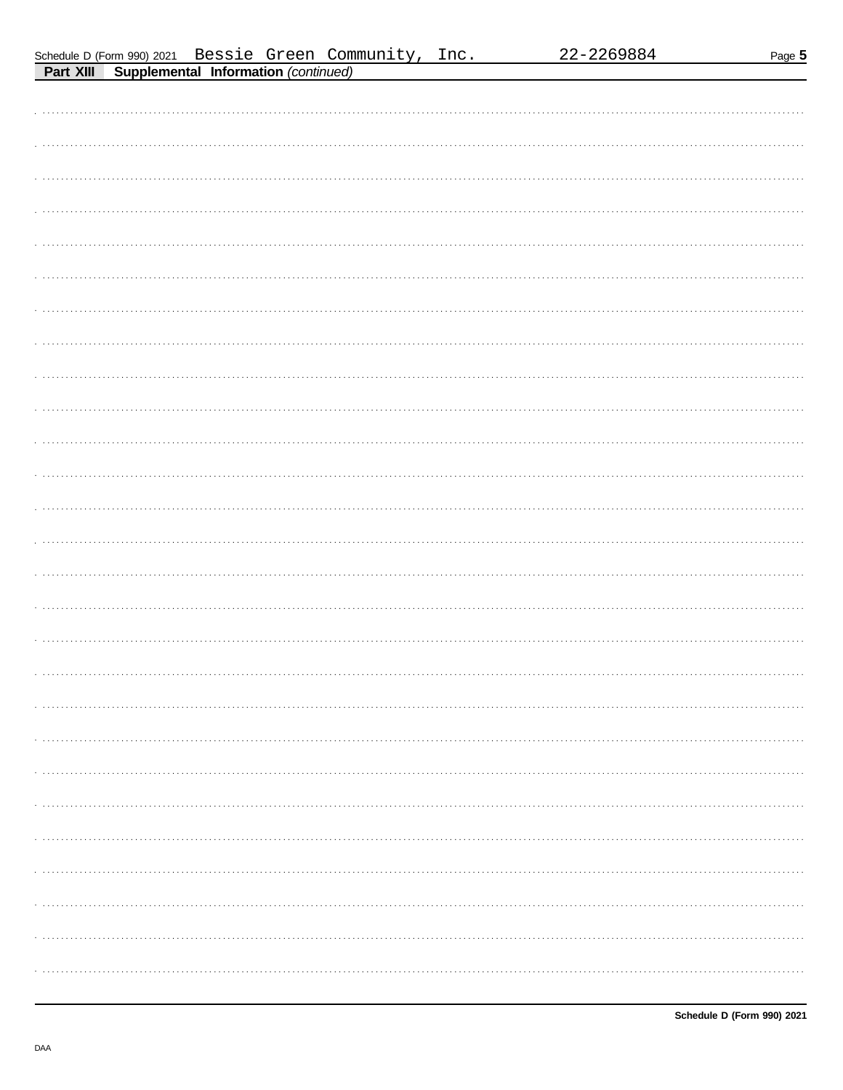| Schedule D (Form 990) 2021 |  |  |
|----------------------------|--|--|
|                            |  |  |

| . <del>.</del> <del>.</del> |
|-----------------------------|
|                             |
|                             |
|                             |
|                             |
|                             |
|                             |
|                             |
|                             |
|                             |
|                             |
|                             |
|                             |
|                             |
|                             |
|                             |
|                             |
|                             |
|                             |
|                             |
|                             |
|                             |
|                             |
|                             |
|                             |
|                             |
|                             |
|                             |
|                             |
|                             |
|                             |
|                             |
|                             |
|                             |
|                             |
|                             |
|                             |
|                             |
|                             |
|                             |
|                             |
|                             |
|                             |
|                             |
|                             |
|                             |
|                             |
|                             |
|                             |
|                             |
|                             |
|                             |
|                             |
|                             |
|                             |
|                             |
|                             |
|                             |
|                             |
|                             |
|                             |
|                             |
|                             |
|                             |
|                             |
|                             |
|                             |
|                             |
|                             |
|                             |
|                             |
|                             |
|                             |
|                             |
|                             |
|                             |
|                             |
|                             |
|                             |
|                             |
|                             |
|                             |
|                             |
|                             |
|                             |
|                             |
|                             |
|                             |
|                             |

DAA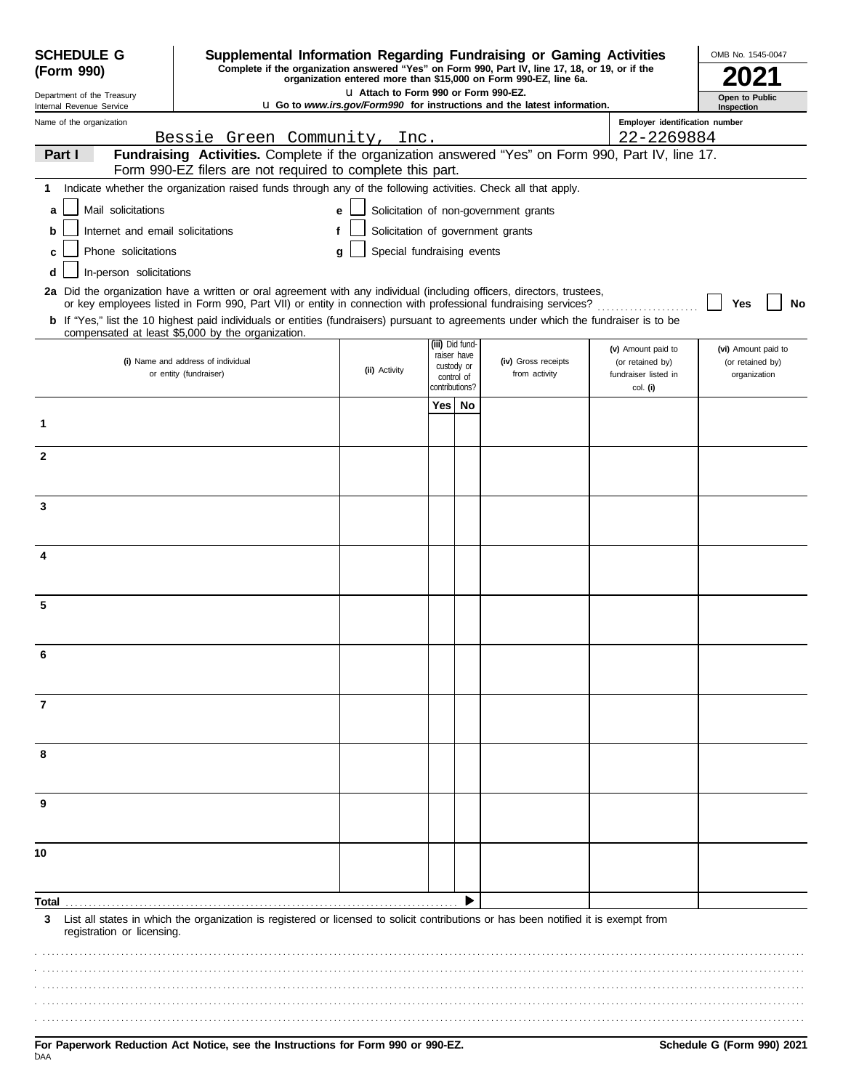| <b>SCHEDULE G</b><br>(Form 990)                      | Supplemental Information Regarding Fundraising or Gaming Activities<br>Complete if the organization answered "Yes" on Form 990, Part IV, line 17, 18, or 19, or if the                                                                                                                                                                                                            |                                       |                       |                          | organization entered more than \$15,000 on Form 990-EZ, line 6a.                |                                          | OMB No. 1545-0047                |
|------------------------------------------------------|-----------------------------------------------------------------------------------------------------------------------------------------------------------------------------------------------------------------------------------------------------------------------------------------------------------------------------------------------------------------------------------|---------------------------------------|-----------------------|--------------------------|---------------------------------------------------------------------------------|------------------------------------------|----------------------------------|
| Department of the Treasury                           |                                                                                                                                                                                                                                                                                                                                                                                   | LI Attach to Form 990 or Form 990-EZ. |                       | Open to Public           |                                                                                 |                                          |                                  |
| Internal Revenue Service<br>Name of the organization |                                                                                                                                                                                                                                                                                                                                                                                   |                                       |                       |                          | <b>u</b> Go to www.irs.gov/Form990 for instructions and the latest information. | Employer identification number           | Inspection                       |
|                                                      | Bessie Green Community, Inc.                                                                                                                                                                                                                                                                                                                                                      |                                       |                       |                          |                                                                                 | 22-2269884                               |                                  |
| Part I                                               | Fundraising Activities. Complete if the organization answered "Yes" on Form 990, Part IV, line 17.<br>Form 990-EZ filers are not required to complete this part.                                                                                                                                                                                                                  |                                       |                       |                          |                                                                                 |                                          |                                  |
| 1                                                    | Indicate whether the organization raised funds through any of the following activities. Check all that apply.                                                                                                                                                                                                                                                                     |                                       |                       |                          |                                                                                 |                                          |                                  |
| Mail solicitations<br>a                              |                                                                                                                                                                                                                                                                                                                                                                                   | e                                     |                       |                          | Solicitation of non-government grants                                           |                                          |                                  |
| Internet and email solicitations<br>b                |                                                                                                                                                                                                                                                                                                                                                                                   | f                                     |                       |                          | Solicitation of government grants                                               |                                          |                                  |
| Phone solicitations                                  |                                                                                                                                                                                                                                                                                                                                                                                   | Special fundraising events<br>a       |                       |                          |                                                                                 |                                          |                                  |
| In-person solicitations<br>d                         |                                                                                                                                                                                                                                                                                                                                                                                   |                                       |                       |                          |                                                                                 |                                          |                                  |
|                                                      | 2a Did the organization have a written or oral agreement with any individual (including officers, directors, trustees,<br>or key employees listed in Form 990, Part VII) or entity in connection with professional fundraising services?<br>b If "Yes," list the 10 highest paid individuals or entities (fundraisers) pursuant to agreements under which the fundraiser is to be |                                       |                       |                          |                                                                                 |                                          | Yes<br>No                        |
|                                                      | compensated at least \$5,000 by the organization.                                                                                                                                                                                                                                                                                                                                 |                                       |                       |                          |                                                                                 |                                          |                                  |
|                                                      |                                                                                                                                                                                                                                                                                                                                                                                   |                                       | (iii) Did fund-       | raiser have              |                                                                                 | (v) Amount paid to                       | (vi) Amount paid to              |
|                                                      | (i) Name and address of individual<br>or entity (fundraiser)                                                                                                                                                                                                                                                                                                                      | (ii) Activity                         |                       | custody or<br>control of | (iv) Gross receipts<br>from activity                                            | (or retained by)<br>fundraiser listed in | (or retained by)<br>organization |
|                                                      |                                                                                                                                                                                                                                                                                                                                                                                   |                                       | contributions?<br>Yes | No                       |                                                                                 | col. (i)                                 |                                  |
| 1                                                    |                                                                                                                                                                                                                                                                                                                                                                                   |                                       |                       |                          |                                                                                 |                                          |                                  |
| $\mathbf{2}$                                         |                                                                                                                                                                                                                                                                                                                                                                                   |                                       |                       |                          |                                                                                 |                                          |                                  |
|                                                      |                                                                                                                                                                                                                                                                                                                                                                                   |                                       |                       |                          |                                                                                 |                                          |                                  |
| 3                                                    |                                                                                                                                                                                                                                                                                                                                                                                   |                                       |                       |                          |                                                                                 |                                          |                                  |
|                                                      |                                                                                                                                                                                                                                                                                                                                                                                   |                                       |                       |                          |                                                                                 |                                          |                                  |
| 4                                                    |                                                                                                                                                                                                                                                                                                                                                                                   |                                       |                       |                          |                                                                                 |                                          |                                  |
|                                                      |                                                                                                                                                                                                                                                                                                                                                                                   |                                       |                       |                          |                                                                                 |                                          |                                  |
| 5                                                    |                                                                                                                                                                                                                                                                                                                                                                                   |                                       |                       |                          |                                                                                 |                                          |                                  |
| 6                                                    |                                                                                                                                                                                                                                                                                                                                                                                   |                                       |                       |                          |                                                                                 |                                          |                                  |
|                                                      |                                                                                                                                                                                                                                                                                                                                                                                   |                                       |                       |                          |                                                                                 |                                          |                                  |
| 7                                                    |                                                                                                                                                                                                                                                                                                                                                                                   |                                       |                       |                          |                                                                                 |                                          |                                  |
|                                                      |                                                                                                                                                                                                                                                                                                                                                                                   |                                       |                       |                          |                                                                                 |                                          |                                  |
| 8                                                    |                                                                                                                                                                                                                                                                                                                                                                                   |                                       |                       |                          |                                                                                 |                                          |                                  |
| 9                                                    |                                                                                                                                                                                                                                                                                                                                                                                   |                                       |                       |                          |                                                                                 |                                          |                                  |
|                                                      |                                                                                                                                                                                                                                                                                                                                                                                   |                                       |                       |                          |                                                                                 |                                          |                                  |
| 10                                                   |                                                                                                                                                                                                                                                                                                                                                                                   |                                       |                       |                          |                                                                                 |                                          |                                  |
|                                                      |                                                                                                                                                                                                                                                                                                                                                                                   |                                       |                       |                          |                                                                                 |                                          |                                  |
| Total                                                |                                                                                                                                                                                                                                                                                                                                                                                   |                                       |                       |                          |                                                                                 |                                          |                                  |
| 3<br>registration or licensing.                      | List all states in which the organization is registered or licensed to solicit contributions or has been notified it is exempt from                                                                                                                                                                                                                                               |                                       |                       |                          |                                                                                 |                                          |                                  |
|                                                      |                                                                                                                                                                                                                                                                                                                                                                                   |                                       |                       |                          |                                                                                 |                                          |                                  |
|                                                      |                                                                                                                                                                                                                                                                                                                                                                                   |                                       |                       |                          |                                                                                 |                                          |                                  |
|                                                      |                                                                                                                                                                                                                                                                                                                                                                                   |                                       |                       |                          |                                                                                 |                                          |                                  |
|                                                      |                                                                                                                                                                                                                                                                                                                                                                                   |                                       |                       |                          |                                                                                 |                                          |                                  |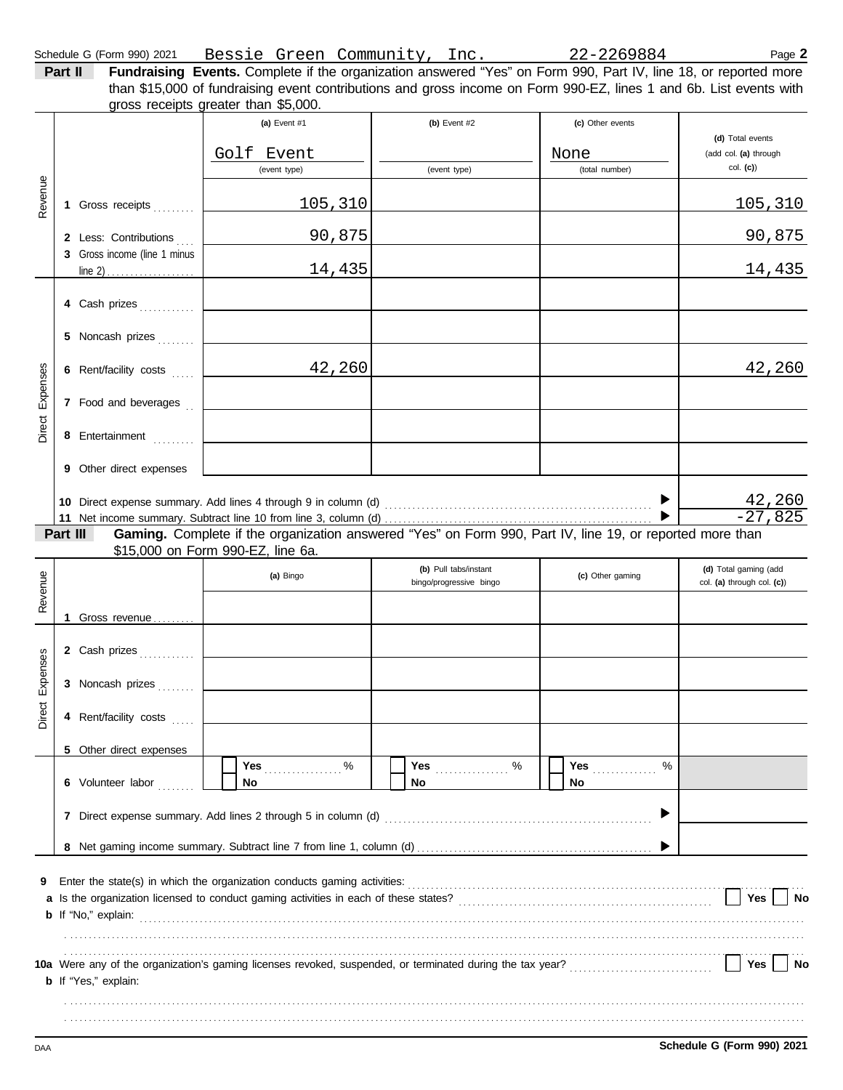|          | Schedule G (Form 990) 2021<br>Part II                 | Bessie Green Community, Inc. 22-2269884<br>Fundraising Events. Complete if the organization answered "Yes" on Form 990, Part IV, line 18, or reported more |                                                  |                                            | Page 2                                                   |
|----------|-------------------------------------------------------|------------------------------------------------------------------------------------------------------------------------------------------------------------|--------------------------------------------------|--------------------------------------------|----------------------------------------------------------|
|          |                                                       | than \$15,000 of fundraising event contributions and gross income on Form 990-EZ, lines 1 and 6b. List events with<br>gross receipts greater than \$5,000. |                                                  |                                            |                                                          |
|          |                                                       | (a) Event $#1$<br>Golf Event<br>(event type)                                                                                                               | (b) Event $#2$<br>(event type)                   | (c) Other events<br>None<br>(total number) | (d) Total events<br>(add col. (a) through<br>$col.$ (c)) |
| Revenue  | 1 Gross receipts                                      | 105,310                                                                                                                                                    |                                                  |                                            | 105,310                                                  |
|          | 2 Less: Contributions<br>3 Gross income (line 1 minus | 90,875                                                                                                                                                     |                                                  |                                            | 90,875                                                   |
|          |                                                       | 14,435                                                                                                                                                     |                                                  |                                            | 14,435                                                   |
|          | 4 Cash prizes                                         |                                                                                                                                                            |                                                  |                                            |                                                          |
|          | 5 Noncash prizes                                      |                                                                                                                                                            |                                                  |                                            |                                                          |
| Expenses | 6 Rent/facility costs                                 | 42,260                                                                                                                                                     |                                                  |                                            | 42,260                                                   |
|          | 7 Food and beverages                                  |                                                                                                                                                            |                                                  |                                            |                                                          |
| Direct   | 8 Entertainment                                       |                                                                                                                                                            |                                                  |                                            |                                                          |
|          | 9 Other direct expenses                               |                                                                                                                                                            |                                                  |                                            |                                                          |
|          |                                                       |                                                                                                                                                            |                                                  |                                            | <u>42,260</u><br>$-27,825$                               |
|          | Part III                                              | Gaming. Complete if the organization answered "Yes" on Form 990, Part IV, line 19, or reported more than                                                   |                                                  |                                            |                                                          |
| em       |                                                       | \$15,000 on Form 990-EZ, line 6a.<br>(a) Bingo                                                                                                             | (b) Pull tabs/instant<br>bingo/progressive bingo | (c) Other gaming                           | (d) Total gaming (add<br>col. (a) through col. (c))      |
| Reve     |                                                       |                                                                                                                                                            |                                                  |                                            |                                                          |
|          | 1 Gross revenue                                       |                                                                                                                                                            |                                                  |                                            |                                                          |
|          | 2 Cash prizes                                         |                                                                                                                                                            |                                                  |                                            |                                                          |
| Expenses | 3 Noncash prizes                                      |                                                                                                                                                            |                                                  |                                            |                                                          |
| Direct   | 4 Rent/facility costs                                 |                                                                                                                                                            |                                                  |                                            |                                                          |
|          | Other direct expenses<br>5                            |                                                                                                                                                            |                                                  |                                            |                                                          |
|          | 6 Volunteer labor                                     | Yes %<br>No                                                                                                                                                | No.                                              | <b>Yes</b> _____________<br>%<br>No.       |                                                          |
|          |                                                       |                                                                                                                                                            |                                                  |                                            |                                                          |
|          |                                                       |                                                                                                                                                            |                                                  |                                            |                                                          |

. . . . . . . . . . . . . . . . . . . . . . . . . . . . . . . . . . . . . . . . . . . . . . . . . . . . . . . . . . . . . . . . . . . . . . . . . . . . . . . . . . . . . . . . . . . . . . . . . . . . . . . . . . . . . . . . . . . . . . . . . . . . . . . . . . . . . . . . . . . . . . . . . . . . . . . . . . . . . . . .

. . . . . . . . . . . . . . . . . . . . . . . . . . . . . . . . . . . . . . . . . . . . . . . . . . . . . . . . . . . . . . . . . . . . . . . . . . . . . . . . . . . . . . . . . . . . . . . . . . . . . . . . . . . . . . . . . . . . . . . . . . . . . . . . . . . . . . . . . . . . . . . . . . . . . . . . . . . . . . . . . . . . . . . . . . . . . . . . . . . . . . . . . . . . . . . . . . . . . . . . . . . . . . . . . . . . . . . . . . . . . . . . . . . . . . . . . . . . . . . . . . . . . . . . . . . . . . . . . . . . . . . . . . . . . . . . . . . . . . . . . . . . . . . . . . . . . . . . . . . . . . . . . . . . . . . . . . . . . . . .

| 10a Were any of the organization's gaming licenses revoked, suspended, or terminated during the tax year? |  |  |
|-----------------------------------------------------------------------------------------------------------|--|--|
| <b>b</b> If "Yes," explain:                                                                               |  |  |

DAA **Schedule G (Form 990) 2021**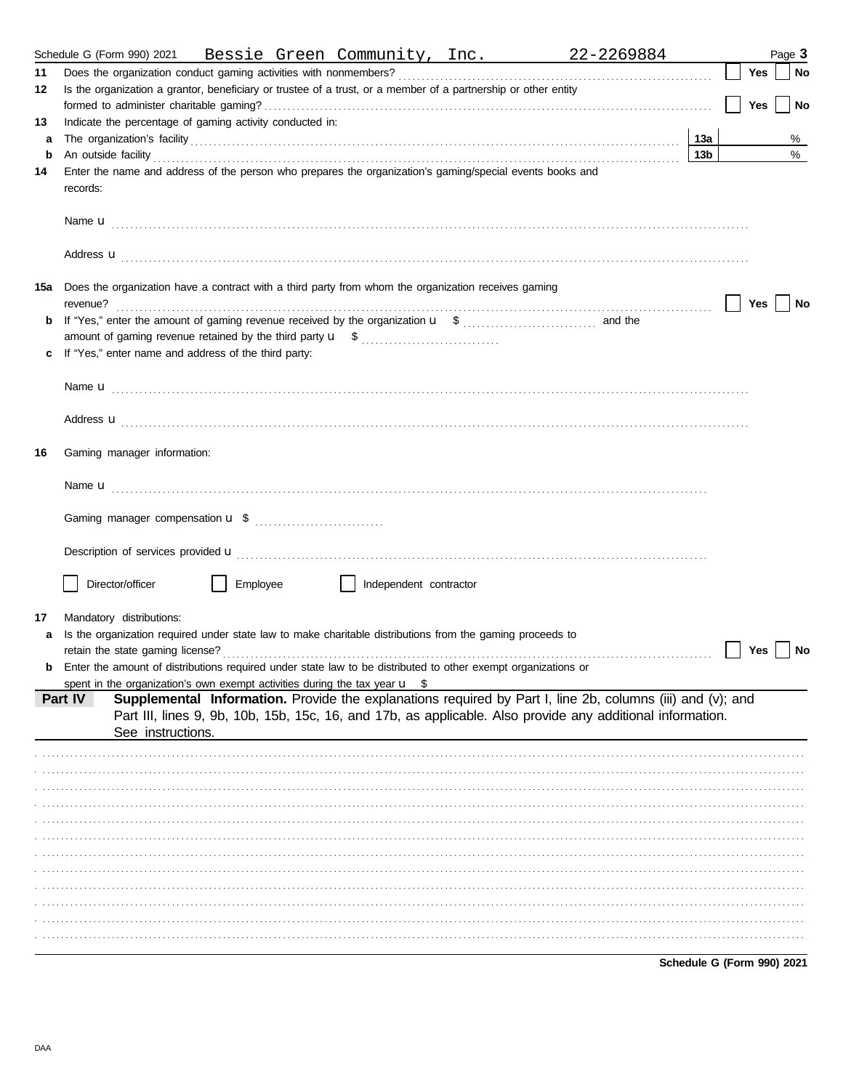|     | Schedule G (Form 990) 2021 Bessie Green Community, Inc. 22-2269884                                                                                                                                                                   |     |  |     | Page 3 |  |  |  |
|-----|--------------------------------------------------------------------------------------------------------------------------------------------------------------------------------------------------------------------------------------|-----|--|-----|--------|--|--|--|
| 11  |                                                                                                                                                                                                                                      |     |  | Yes | No     |  |  |  |
| 12  | Is the organization a grantor, beneficiary or trustee of a trust, or a member of a partnership or other entity                                                                                                                       |     |  |     |        |  |  |  |
|     |                                                                                                                                                                                                                                      |     |  | Yes | No     |  |  |  |
| 13  | Indicate the percentage of gaming activity conducted in:                                                                                                                                                                             |     |  |     |        |  |  |  |
| a   | The organization's facility encourance and contact the organization's facility encourance and contact the organization's facility                                                                                                    | 13a |  |     | %      |  |  |  |
| b   | An outside facility <b>contained a set of the contract of the contract of the contract of the contract of the contract of the contract of the contract of the contract of the contract of the contract of the contract of the co</b> | 13b |  |     | %      |  |  |  |
| 14  | Enter the name and address of the person who prepares the organization's gaming/special events books and<br>records:                                                                                                                 |     |  |     |        |  |  |  |
|     |                                                                                                                                                                                                                                      |     |  |     |        |  |  |  |
|     | Address <b>u</b>                                                                                                                                                                                                                     |     |  |     |        |  |  |  |
| 15a | Does the organization have a contract with a third party from whom the organization receives gaming                                                                                                                                  |     |  | Yes | No     |  |  |  |
| b   |                                                                                                                                                                                                                                      |     |  |     |        |  |  |  |
|     |                                                                                                                                                                                                                                      |     |  |     |        |  |  |  |
| c   | If "Yes," enter name and address of the third party:                                                                                                                                                                                 |     |  |     |        |  |  |  |
|     |                                                                                                                                                                                                                                      |     |  |     |        |  |  |  |
|     | Address <b>u</b>                                                                                                                                                                                                                     |     |  |     |        |  |  |  |
| 16  | Gaming manager information:                                                                                                                                                                                                          |     |  |     |        |  |  |  |
|     |                                                                                                                                                                                                                                      |     |  |     |        |  |  |  |
|     |                                                                                                                                                                                                                                      |     |  |     |        |  |  |  |
|     |                                                                                                                                                                                                                                      |     |  |     |        |  |  |  |
|     | Director/officer<br>Employee<br>    Independent contractor                                                                                                                                                                           |     |  |     |        |  |  |  |
|     |                                                                                                                                                                                                                                      |     |  |     |        |  |  |  |
| 17  | Mandatory distributions:                                                                                                                                                                                                             |     |  |     |        |  |  |  |
| a   | Is the organization required under state law to make charitable distributions from the gaming proceeds to                                                                                                                            |     |  |     |        |  |  |  |
|     |                                                                                                                                                                                                                                      |     |  | Yes | No     |  |  |  |
| b   | Enter the amount of distributions required under state law to be distributed to other exempt organizations or                                                                                                                        |     |  |     |        |  |  |  |
|     | spent in the organization's own exempt activities during the tax year $\mathbf{u}$ \$                                                                                                                                                |     |  |     |        |  |  |  |
|     | Supplemental Information. Provide the explanations required by Part I, line 2b, columns (iii) and (v); and<br>Part IV                                                                                                                |     |  |     |        |  |  |  |
|     | Part III, lines 9, 9b, 10b, 15b, 15c, 16, and 17b, as applicable. Also provide any additional information.<br>See instructions.                                                                                                      |     |  |     |        |  |  |  |
|     |                                                                                                                                                                                                                                      |     |  |     |        |  |  |  |
|     |                                                                                                                                                                                                                                      |     |  |     |        |  |  |  |
|     |                                                                                                                                                                                                                                      |     |  |     |        |  |  |  |
|     |                                                                                                                                                                                                                                      |     |  |     |        |  |  |  |
|     |                                                                                                                                                                                                                                      |     |  |     |        |  |  |  |
|     |                                                                                                                                                                                                                                      |     |  |     |        |  |  |  |
|     |                                                                                                                                                                                                                                      |     |  |     |        |  |  |  |
|     |                                                                                                                                                                                                                                      |     |  |     |        |  |  |  |
|     |                                                                                                                                                                                                                                      |     |  |     |        |  |  |  |
|     |                                                                                                                                                                                                                                      |     |  |     |        |  |  |  |
|     |                                                                                                                                                                                                                                      |     |  |     |        |  |  |  |
|     |                                                                                                                                                                                                                                      |     |  |     |        |  |  |  |
|     |                                                                                                                                                                                                                                      |     |  |     |        |  |  |  |

Schedule G (Form 990) 2021